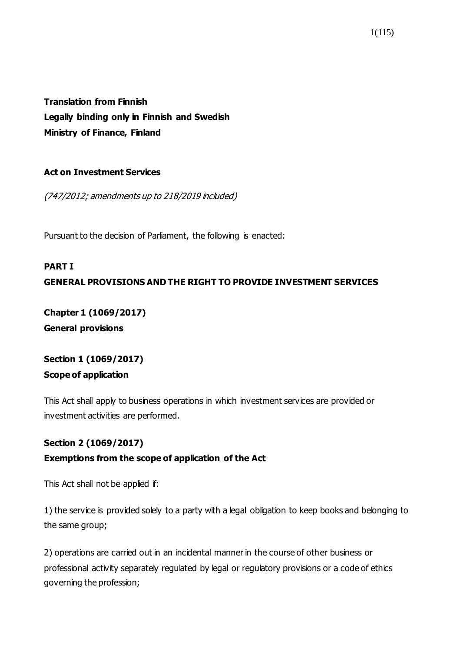**Translation from Finnish Legally binding only in Finnish and Swedish Ministry of Finance, Finland**

#### **Act on Investment Services**

(747/2012; amendments up to 218/2019 included)

Pursuant to the decision of Parliament, the following is enacted:

# **PART I GENERAL PROVISIONS AND THE RIGHT TO PROVIDE INVESTMENT SERVICES**

**Chapter 1 [\(1069/2017\)](https://www.finlex.fi/fi/laki/ajantasa/2012/20120747#a28.12.2017-1069) General provisions**

## **Section 1 [\(1069/2017\)](https://www.finlex.fi/fi/laki/ajantasa/2012/20120747#a28.12.2017-1069) Scope of application**

This Act shall apply to business operations in which investment services are provided or investment activities are performed.

## **Section 2 [\(1069/2017\)](https://www.finlex.fi/fi/laki/ajantasa/2012/20120747#a28.12.2017-1069)**

## **Exemptions from the scope of application of the Act**

This Act shall not be applied if:

1) the service is provided solely to a party with a legal obligation to keep books and belonging to the same group;

2) operations are carried out in an incidental manner in the course of other business or professional activity separately regulated by legal or regulatory provisions or a code of ethics governing the profession;

1(115)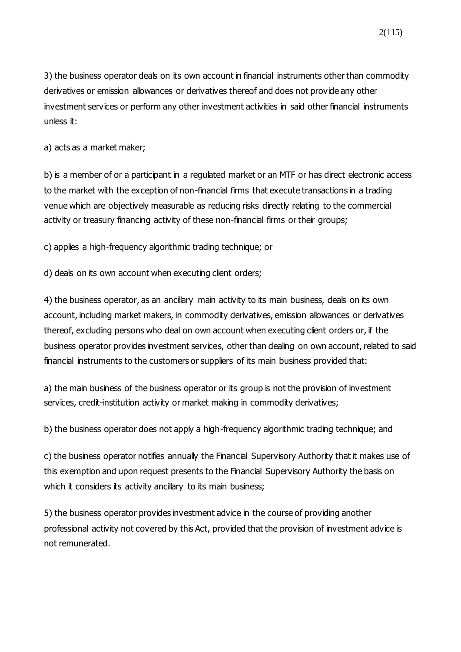3) the business operator deals on its own account in financial instruments other than commodity derivatives or emission allowances or derivatives thereof and does not provide any other investment services or perform any other investment activities in said other financial instruments unless it:

a) acts as a market maker;

b) is a member of or a participant in a regulated market or an MTF or has direct electronic access to the market with the exception of non-financial firms that execute transactions in a trading venue which are objectively measurable as reducing risks directly relating to the commercial activity or treasury financing activity of these non-financial firms or their groups;

c) applies a high-frequency algorithmic trading technique; or

d) deals on its own account when executing client orders;

4) the business operator, as an ancillary main activity to its main business, deals on its own account, including market makers, in commodity derivatives, emission allowances or derivatives thereof, excluding persons who deal on own account when executing client orders or, if the business operator provides investment services, other than dealing on own account, related to said financial instruments to the customers or suppliers of its main business provided that:

a) the main business of the business operator or its group is not the provision of investment services, credit-institution activity or market making in commodity derivatives;

b) the business operator does not apply a high-frequency algorithmic trading technique; and

c) the business operator notifies annually the Financial Supervisory Authority that it makes use of this exemption and upon request presents to the Financial Supervisory Authority the basis on which it considers its activity ancillary to its main business;

5) the business operator provides investment advice in the course of providing another professional activity not covered by this Act, provided that the provision of investment advice is not remunerated.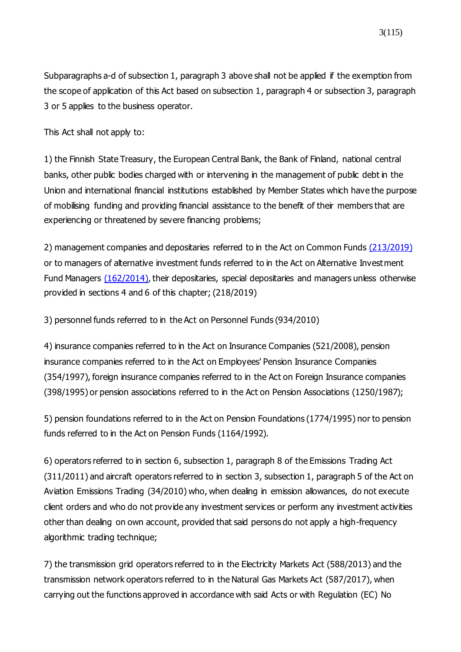Subparagraphs a-d of subsection 1, paragraph 3 above shall not be applied if the exemption from the scope of application of this Act based on subsection 1, paragraph 4 or subsection 3, paragraph 3 or 5 applies to the business operator.

This Act shall not apply to:

1) the Finnish State Treasury, the European Central Bank, the Bank of Finland, national central banks, other public bodies charged with or intervening in the management of public debt in the Union and international financial institutions established by Member States which have the purpose of mobilising funding and providing financial assistance to the benefit of their members that are experiencing or threatened by severe financing problems;

2) management companies and depositaries referred to in the Act on Common Funds (213/2019) or to managers of alternative investment funds referred to in the Act on Alternative Investment Fund Managers [\(162/2014\)](https://www.finlex.fi/fi/laki/ajantasa/2014/20140162), their depositaries, special depositaries and managers unless otherwise provided in sections 4 and 6 of this chapter; (218/2019)

3) personnel funds referred to in the Act on Personnel Funds (934/2010)

4) insurance companies referred to in the Act on Insurance Companies (521/2008), pension insurance companies referred to in the Act on Employees' Pension Insurance Companies (354/1997), foreign insurance companies referred to in the Act on Foreign Insurance companies (398/1995) or pension associations referred to in the Act on Pension Associations (1250/1987);

5) pension foundations referred to in the Act on Pension Foundations (1774/1995) nor to pension funds referred to in the Act on Pension Funds (1164/1992).

6) operators referred to in section 6, subsection 1, paragraph 8 of the Emissions Trading Act [\(311/2011\) a](https://www.finlex.fi/fi/laki/ajantasa/2011/20110311)nd aircraft operators referred to in section 3, subsection 1, paragraph 5 of the Act on Aviation Emissions Trading [\(34/2010\)](https://www.finlex.fi/fi/laki/ajantasa/2010/20100034) who, when dealing in emission allowances, do not execute client orders and who do not provide any investment services or perform any investment activities other than dealing on own account, provided that said persons do not apply a high-frequency algorithmic trading technique;

7) the transmission grid operators referred to in the Electricity Markets Act [\(588/2013\)](https://www.finlex.fi/fi/laki/ajantasa/2013/20130588) and the transmission network operators referred to in the Natural Gas Markets Act [\(587/2017\)](https://www.finlex.fi/fi/laki/smur/2017/20170587), when carrying out the functions approved in accordance with said Acts or with Regulation (EC) No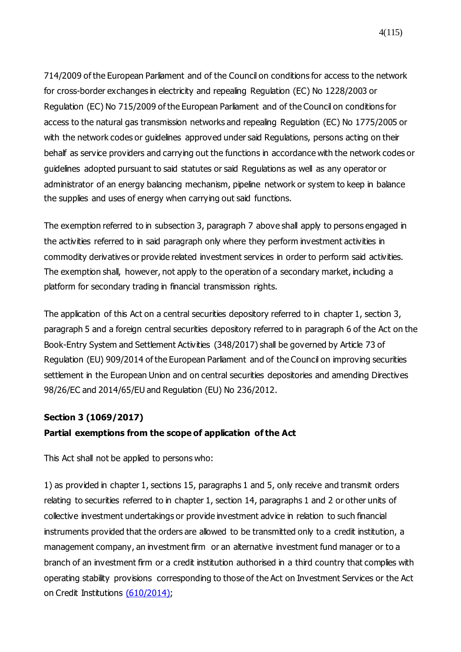714/2009 of the European Parliament and of the Council on conditions for access to the network for cross-border exchanges in electricity and repealing Regulation (EC) No 1228/2003 or Regulation (EC) No 715/2009 of the European Parliament and of the Council on conditions for access to the natural gas transmission networks and repealing Regulation (EC) No 1775/2005 or with the network codes or guidelines approved under said Regulations, persons acting on their behalf as service providers and carrying out the functions in accordance with the network codes or guidelines adopted pursuant to said statutes or said Regulations as well as any operator or administrator of an energy balancing mechanism, pipeline network or system to keep in balance the supplies and uses of energy when carrying out said functions.

The exemption referred to in subsection 3, paragraph 7 above shall apply to persons engaged in the activities referred to in said paragraph only where they perform investment activities in commodity derivatives or provide related investment services in order to perform said activities. The exemption shall, however, not apply to the operation of a secondary market, including a platform for secondary trading in financial transmission rights.

The application of this Act on a central securities depository referred to in chapter 1, section 3, paragraph 5 and a foreign central securities depository referred to in paragraph 6 of the Act on the Book-Entry System and Settlement Activities (348/2017) shall be governed by Article 73 of Regulation (EU) 909/2014 of the European Parliament and of the Council on improving securities settlement in the European Union and on central securities depositories and amending Directives 98/26/EC and 2014/65/EU and Regulation (EU) No 236/2012.

#### **Section 3 [\(1069/2017\)](https://www.finlex.fi/fi/laki/ajantasa/2012/20120747#a28.12.2017-1069)**

#### **Partial exemptions from the scope of application of the Act**

This Act shall not be applied to persons who:

1) as provided in chapter 1, sections 15, paragraphs 1 and 5, only receive and transmit orders relating to securities referred to in chapter 1, section 14, paragraphs 1 and 2 or other units of collective investment undertakings or provide investment advice in relation to such financial instruments provided that the orders are allowed to be transmitted only to a credit institution, a management company, an investment firm or an alternative investment fund manager or to a branch of an investment firm or a credit institution authorised in a third country that complies with operating stability provisions corresponding to those of the Act on Investment Services or the Act on Credit Institutions [\(610/2014\)](https://www.finlex.fi/fi/laki/ajantasa/2014/20140610);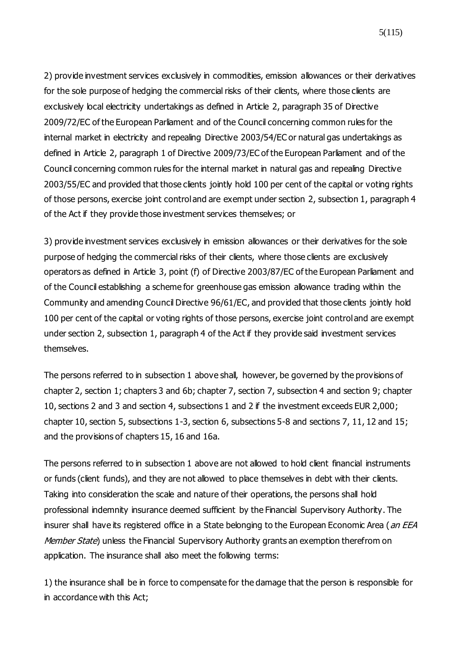2) provide investment services exclusively in commodities, emission allowances or their derivatives for the sole purpose of hedging the commercial risks of their clients, where those clients are exclusively local electricity undertakings as defined in Article 2, paragraph 35 of Directive 2009/72/EC of the European Parliament and of the Council concerning common rules for the internal market in electricity and repealing Directive 2003/54/EC or natural gas undertakings as defined in Article 2, paragraph 1 of Directive 2009/73/EC of the European Parliament and of the Council concerning common rules for the internal market in natural gas and repealing Directive 2003/55/EC and provided that those clients jointly hold 100 per cent of the capital or voting rights of those persons, exercise joint control and are exempt under section 2, subsection 1, paragraph 4 of the Act if they provide those investment services themselves; or

3) provide investment services exclusively in emission allowances or their derivatives for the sole purpose of hedging the commercial risks of their clients, where those clients are exclusively operators as defined in Article 3, point (f) of Directive 2003/87/EC of the European Parliament and of the Council establishing a scheme for greenhouse gas emission allowance trading within the Community and amending Council Directive 96/61/EC, and provided that those clients jointly hold 100 per cent of the capital or voting rights of those persons, exercise joint control and are exempt under section 2, subsection 1, paragraph 4 of the Act if they provide said investment services themselves.

The persons referred to in subsection 1 above shall, however, be governed by the provisions of chapter 2, section 1; chapters 3 and 6b; chapter 7, section 7, subsection 4 and section 9; chapter 10, sections 2 and 3 and section 4, subsections 1 and 2 if the investment exceeds EUR 2,000; chapter 10, section 5, subsections 1-3, section 6, subsections 5-8 and sections 7, 11, 12 and 15; and the provisions of chapters 15, 16 and 16a.

The persons referred to in subsection 1 above are not allowed to hold client financial instruments or funds (client funds), and they are not allowed to place themselves in debt with their clients. Taking into consideration the scale and nature of their operations, the persons shall hold professional indemnity insurance deemed sufficient by the Financial Supervisory Authority. The insurer shall have its registered office in a State belonging to the European Economic Area (an EEA Member State) unless the Financial Supervisory Authority grants an exemption therefrom on application. The insurance shall also meet the following terms:

1) the insurance shall be in force to compensate for the damage that the person is responsible for in accordance with this Act;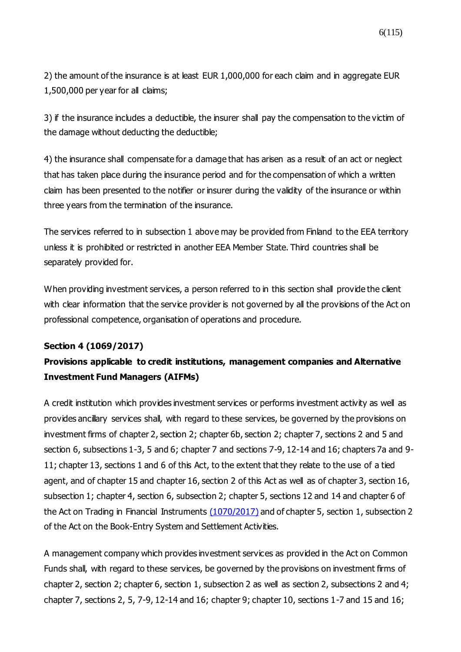2) the amount of the insurance is at least EUR 1,000,000 for each claim and in aggregate EUR 1,500,000 per year for all claims;

3) if the insurance includes a deductible, the insurer shall pay the compensation to the victim of the damage without deducting the deductible;

4) the insurance shall compensate for a damage that has arisen as a result of an act or neglect that has taken place during the insurance period and for the compensation of which a written claim has been presented to the notifier or insurer during the validity of the insurance or within three years from the termination of the insurance.

The services referred to in subsection 1 above may be provided from Finland to the EEA territory unless it is prohibited or restricted in another EEA Member State. Third countries shall be separately provided for.

When providing investment services, a person referred to in this section shall provide the client with clear information that the service provider is not governed by all the provisions of the Act on professional competence, organisation of operations and procedure.

## **Section 4 [\(1069/2017\)](https://www.finlex.fi/fi/laki/ajantasa/2012/20120747#a28.12.2017-1069)**

## **Provisions applicable to credit institutions, management companies and Alternative Investment Fund Managers (AIFMs)**

A credit institution which provides investment services or performs investment activity as well as provides ancillary services shall, with regard to these services, be governed by the provisions on investment firms of chapter 2, section 2; chapter 6b, section 2; chapter 7, sections 2 and 5 and section 6, subsections 1-3, 5 and 6; chapter 7 and sections 7-9, 12-14 and 16; chapters 7a and 9- 11; chapter 13, sections 1 and 6 of this Act, to the extent that they relate to the use of a tied agent, and of chapter 15 and chapter 16, section 2 of this Act as well as of chapter 3, section 16, subsection 1; chapter 4, section 6, subsection 2; chapter 5, sections 12 and 14 and chapter 6 of the Act on Trading in Financial Instruments  $(1070/2017)$  and of chapter 5, section 1, subsection 2 of the Act on the Book-Entry System and Settlement Activities.

A management company which provides investment services as provided in the Act on Common Funds shall, with regard to these services, be governed by the provisions on investment firms of chapter 2, section 2; chapter 6, section 1, subsection 2 as well as section 2, subsections 2 and 4; chapter 7, sections 2, 5, 7-9, 12-14 and 16; chapter 9; chapter 10, sections 1-7 and 15 and 16;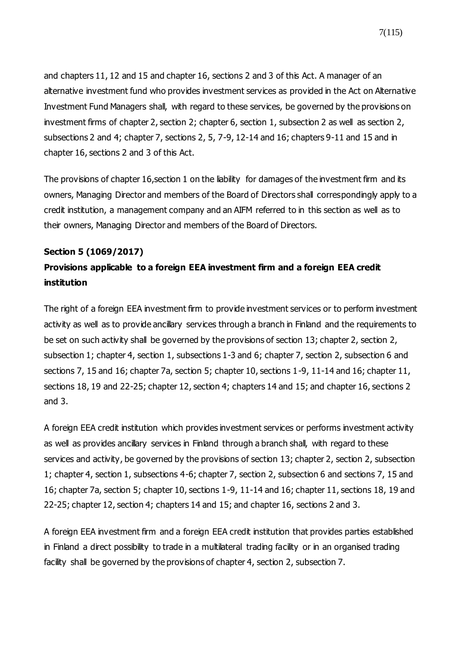and chapters 11, 12 and 15 and chapter 16, sections 2 and 3 of this Act. A manager of an alternative investment fund who provides investment services as provided in the Act on Alternative Investment Fund Managers shall, with regard to these services, be governed by the provisions on investment firms of chapter 2, section 2; chapter 6, section 1, subsection 2 as well as section 2, subsections 2 and 4; chapter 7, sections 2, 5, 7-9, 12-14 and 16; chapters 9-11 and 15 and in chapter 16, sections 2 and 3 of this Act.

The provisions of chapter 16, section 1 on the liability for damages of the investment firm and its owners, Managing Director and members of the Board of Directors shall correspondingly apply to a credit institution, a management company and an AIFM referred to in this section as well as to their owners, Managing Director and members of the Board of Directors.

#### **Section 5 [\(1069/2017\)](https://www.finlex.fi/fi/laki/ajantasa/2012/20120747#a28.12.2017-1069)**

## **Provisions applicable to a foreign EEA investment firm and a foreign EEA credit institution**

The right of a foreign EEA investment firm to provide investment services or to perform investment activity as well as to provide ancillary services through a branch in Finland and the requirements to be set on such activity shall be governed by the provisions of section 13; chapter 2, section 2, subsection 1; chapter 4, section 1, subsections 1-3 and 6; chapter 7, section 2, subsection 6 and sections 7, 15 and 16; chapter 7a, section 5; chapter 10, sections 1-9, 11-14 and 16; chapter 11, sections 18, 19 and 22-25; chapter 12, section 4; chapters 14 and 15; and chapter 16, sections 2 and 3.

A foreign EEA credit institution which provides investment services or performs investment activity as well as provides ancillary services in Finland through a branch shall, with regard to these services and activity, be governed by the provisions of section 13; chapter 2, section 2, subsection 1; chapter 4, section 1, subsections 4-6; chapter 7, section 2, subsection 6 and sections 7, 15 and 16; chapter 7a, section 5; chapter 10, sections 1-9, 11-14 and 16; chapter 11, sections 18, 19 and 22-25; chapter 12, section 4; chapters 14 and 15; and chapter 16, sections 2 and 3.

A foreign EEA investment firm and a foreign EEA credit institution that provides parties established in Finland a direct possibility to trade in a multilateral trading facility or in an organised trading facility shall be governed by the provisions of chapter 4, section 2, subsection 7.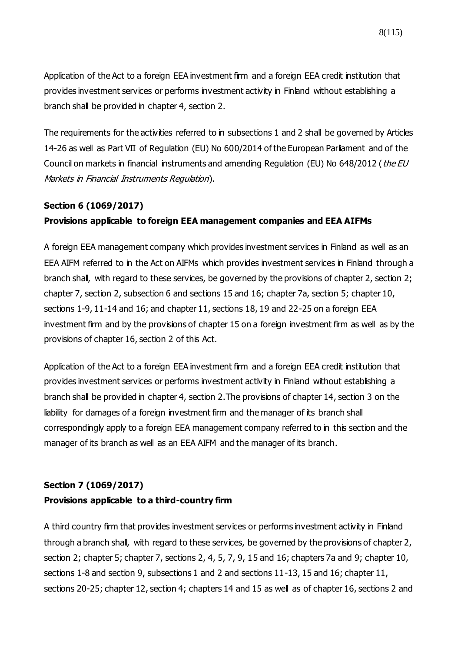8(115)

Application of the Act to a foreign EEA investment firm and a foreign EEA credit institution that provides investment services or performs investment activity in Finland without establishing a branch shall be provided in chapter 4, section 2.

The requirements for the activities referred to in subsections 1 and 2 shall be governed by Articles 14-26 as well as Part VII of Regulation (EU) No 600/2014 of the European Parliament and of the Council on markets in financial instruments and amending Regulation (EU) No 648/2012 (the EU Markets in Financial Instruments Regulation).

### **Section 6 [\(1069/2017\)](https://www.finlex.fi/fi/laki/ajantasa/2012/20120747#a28.12.2017-1069)**

## **Provisions applicable to foreign EEA management companies and EEA AIFMs**

A foreign EEA management company which provides investment services in Finland as well as an EEA AIFM referred to in the Act on AIFMs which provides investment services in Finland through a branch shall, with regard to these services, be governed by the provisions of chapter 2, section 2; chapter 7, section 2, subsection 6 and sections 15 and 16; chapter 7a, section 5; chapter 10, sections 1-9, 11-14 and 16; and chapter 11, sections 18, 19 and 22-25 on a foreign EEA investment firm and by the provisions of chapter 15 on a foreign investment firm as well as by the provisions of chapter 16, section 2 of this Act.

Application of the Act to a foreign EEA investment firm and a foreign EEA credit institution that provides investment services or performs investment activity in Finland without establishing a branch shall be provided in chapter 4, section 2.The provisions of chapter 14, section 3 on the liability for damages of a foreign investment firm and the manager of its branch shall correspondingly apply to a foreign EEA management company referred to in this section and the manager of its branch as well as an EEA AIFM and the manager of its branch.

## **Section 7 [\(1069/2017\)](https://www.finlex.fi/fi/laki/ajantasa/2012/20120747#a28.12.2017-1069)**

#### **Provisions applicable to a third-country firm**

A third country firm that provides investment services or performs investment activity in Finland through a branch shall, with regard to these services, be governed by the provisions of chapter 2, section 2; chapter 5; chapter 7, sections 2, 4, 5, 7, 9, 15 and 16; chapters 7a and 9; chapter 10, sections 1-8 and section 9, subsections 1 and 2 and sections 11-13, 15 and 16; chapter 11, sections 20-25; chapter 12, section 4; chapters 14 and 15 as well as of chapter 16, sections 2 and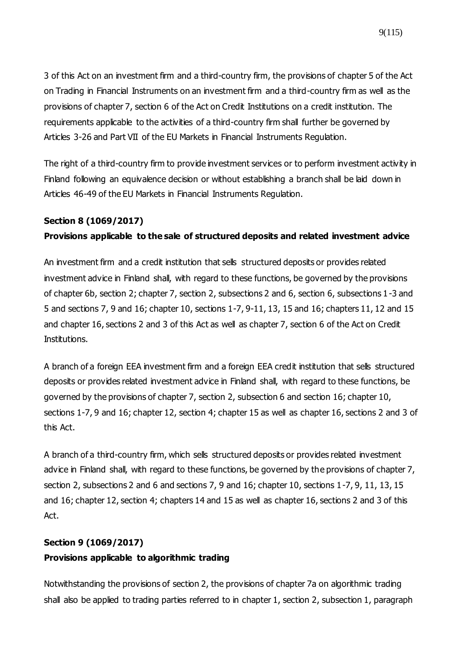3 of this Act on an investment firm and a third-country firm, the provisions of chapter 5 of the Act on Trading in Financial Instruments on an investment firm and a third-country firm as well as the provisions of chapter 7, section 6 of the Act on Credit Institutions on a credit institution. The requirements applicable to the activities of a third-country firm shall further be governed by Articles 3-26 and Part VII of the EU Markets in Financial Instruments Regulation.

The right of a third-country firm to provide investment services or to perform investment activity in Finland following an equivalence decision or without establishing a branch shall be laid down in Articles 46-49 of the EU Markets in Financial Instruments Regulation.

### **Section 8 [\(1069/2017\)](https://www.finlex.fi/fi/laki/ajantasa/2012/20120747#a28.12.2017-1069)**

## **Provisions applicable to the sale of structured deposits and related investment advice**

An investment firm and a credit institution that sells structured deposits or provides related investment advice in Finland shall, with regard to these functions, be governed by the provisions of chapter 6b, section 2; chapter 7, section 2, subsections 2 and 6, section 6, subsections 1-3 and 5 and sections 7, 9 and 16; chapter 10, sections 1-7, 9-11, 13, 15 and 16; chapters 11, 12 and 15 and chapter 16, sections 2 and 3 of this Act as well as chapter 7, section 6 of the Act on Credit Institutions.

A branch of a foreign EEA investment firm and a foreign EEA credit institution that sells structured deposits or provides related investment advice in Finland shall, with regard to these functions, be governed by the provisions of chapter 7, section 2, subsection 6 and section 16; chapter 10, sections 1-7, 9 and 16; chapter 12, section 4; chapter 15 as well as chapter 16, sections 2 and 3 of this Act.

A branch of a third-country firm, which sells structured deposits or provides related investment advice in Finland shall, with regard to these functions, be governed by the provisions of chapter 7, section 2, subsections 2 and 6 and sections 7, 9 and 16; chapter 10, sections 1-7, 9, 11, 13, 15 and 16; chapter 12, section 4; chapters 14 and 15 as well as chapter 16, sections 2 and 3 of this Act.

## **Section 9 [\(1069/2017\)](https://www.finlex.fi/fi/laki/ajantasa/2012/20120747#a28.12.2017-1069) Provisions applicable to algorithmic trading**

Notwithstanding the provisions of section 2, the provisions of chapter 7a on algorithmic trading shall also be applied to trading parties referred to in chapter 1, section 2, subsection 1, paragraph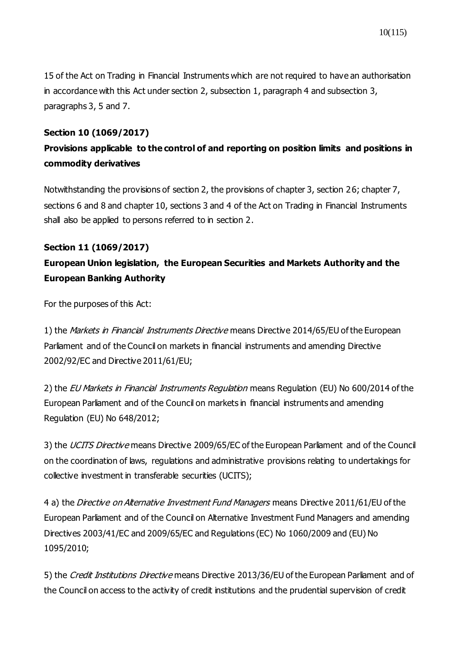15 of the Act on Trading in Financial Instruments which are not required to have an authorisation in accordance with this Act under section 2, subsection 1, paragraph 4 and subsection 3, paragraphs 3, 5 and 7.

### **Section 10 [\(1069/2017\)](https://www.finlex.fi/fi/laki/ajantasa/2012/20120747#a28.12.2017-1069)**

## **Provisions applicable to the control of and reporting on position limits and positions in commodity derivatives**

Notwithstanding the provisions of section 2, the provisions of chapter 3, section 26; chapter 7, sections 6 and 8 and chapter 10, sections 3 and 4 of the Act on Trading in Financial Instruments shall also be applied to persons referred to in section 2.

# **Section 11 [\(1069/2017\)](https://www.finlex.fi/fi/laki/ajantasa/2012/20120747#a28.12.2017-1069) European Union legislation, the European Securities and Markets Authority and the European Banking Authority**

For the purposes of this Act:

1) the Markets in Financial Instruments Directive means Directive 2014/65/EU of the European Parliament and of the Council on markets in financial instruments and amending Directive 2002/92/EC and Directive 2011/61/EU;

2) the *EU Markets in Financial Instruments Regulation* means Regulation (EU) No 600/2014 of the European Parliament and of the Council on markets in financial instruments and amending Regulation (EU) No 648/2012;

3) the *UCITS Directive* means Directive 2009/65/EC of the European Parliament and of the Council on the coordination of laws, regulations and administrative provisions relating to undertakings for collective investment in transferable securities (UCITS);

4 a) the *Directive on Alternative Investment Fund Managers* means Directive 2011/61/EU of the European Parliament and of the Council on Alternative Investment Fund Managers and amending Directives 2003/41/EC and 2009/65/EC and Regulations (EC) No 1060/2009 and (EU) No 1095/2010;

5) the Credit Institutions Directive means Directive 2013/36/EU of the European Parliament and of the Council on access to the activity of credit institutions and the prudential supervision of credit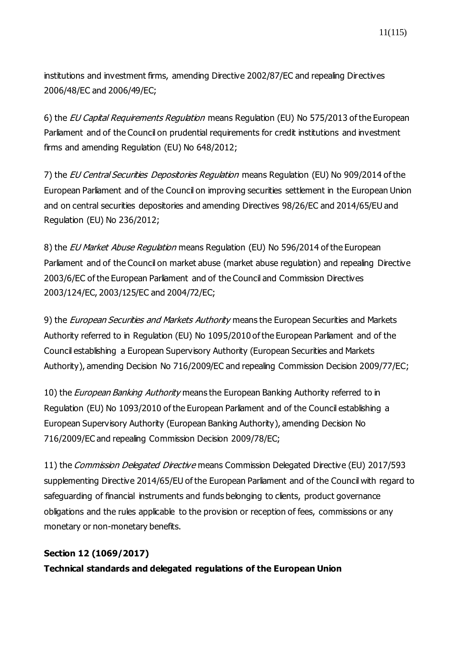institutions and investment firms, amending Directive 2002/87/EC and repealing Directives 2006/48/EC and 2006/49/EC;

6) the EU Capital Requirements Regulation means Regulation (EU) No 575/2013 of the European Parliament and of the Council on prudential requirements for credit institutions and investment firms and amending Regulation (EU) No 648/2012;

7) the EU Central Securities Depositories Regulation means Regulation (EU) No 909/2014 of the European Parliament and of the Council on improving securities settlement in the European Union and on central securities depositories and amending Directives 98/26/EC and 2014/65/EU and Regulation (EU) No 236/2012;

8) the *EU Market Abuse Regulation* means Regulation (EU) No 596/2014 of the European Parliament and of the Council on market abuse (market abuse regulation) and repealing Directive 2003/6/EC of the European Parliament and of the Council and Commission Directives 2003/124/EC, 2003/125/EC and 2004/72/EC;

9) the *European Securities and Markets Authority* means the European Securities and Markets Authority referred to in Regulation (EU) No 1095/2010 of the European Parliament and of the Council establishing a European Supervisory Authority (European Securities and Markets Authority), amending Decision No 716/2009/EC and repealing Commission Decision 2009/77/EC;

10) the *European Banking Authority* means the European Banking Authority referred to in Regulation (EU) No 1093/2010 of the European Parliament and of the Council establishing a European Supervisory Authority (European Banking Authority), amending Decision No 716/2009/EC and repealing Commission Decision 2009/78/EC;

11) the Commission Delegated Directive means Commission Delegated Directive (EU) 2017/593 supplementing Directive 2014/65/EU of the European Parliament and of the Council with regard to safeguarding of financial instruments and funds belonging to clients, product governance obligations and the rules applicable to the provision or reception of fees, commissions or any monetary or non-monetary benefits.

## **Section 12 [\(1069/2017\)](https://www.finlex.fi/fi/laki/ajantasa/2012/20120747#a28.12.2017-1069)**

**Technical standards and delegated regulations of the European Union**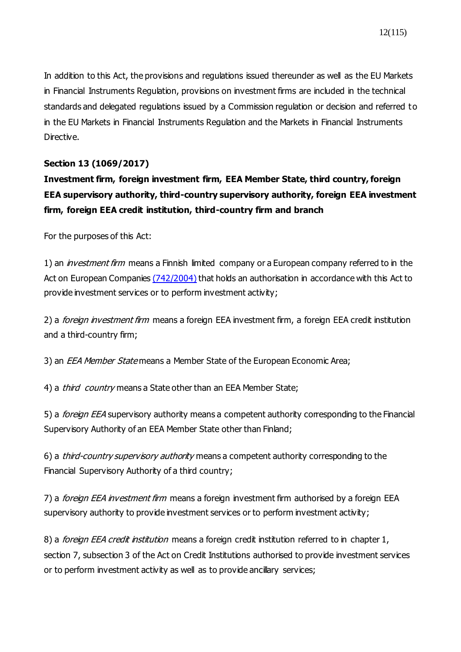In addition to this Act, the provisions and regulations issued thereunder as well as the EU Markets in Financial Instruments Regulation, provisions on investment firms are included in the technical standards and delegated regulations issued by a Commission regulation or decision and referred to in the EU Markets in Financial Instruments Regulation and the Markets in Financial Instruments Directive.

## **Section 13 [\(1069/2017\)](https://www.finlex.fi/fi/laki/ajantasa/2012/20120747#a28.12.2017-1069)**

# **Investment firm, foreign investment firm, EEA Member State, third country, foreign EEA supervisory authority, third-country supervisory authority, foreign EEA investment firm, foreign EEA credit institution, third-country firm and branch**

For the purposes of this Act:

1) an *investment firm* means a Finnish limited company or a European company referred to in the Act on European Companies [\(742/2004\)](https://www.finlex.fi/fi/laki/ajantasa/2004/20040742) that holds an authorisation in accordance with this Act to provide investment services or to perform investment activity;

2) a *foreign investment firm* means a foreign EEA investment firm, a foreign EEA credit institution and a third-country firm;

3) an *EEA Member State* means a Member State of the European Economic Area;

4) a *third country* means a State other than an EEA Member State;

5) a *foreign EEA* supervisory authority means a competent authority corresponding to the Financial Supervisory Authority of an EEA Member State other than Finland;

6) a *third-country supervisory authority* means a competent authority corresponding to the Financial Supervisory Authority of a third country;

7) a *foreign EEA investment firm* means a foreign investment firm authorised by a foreign EEA supervisory authority to provide investment services or to perform investment activity;

8) a *foreign EEA credit institution* means a foreign credit institution referred to in chapter 1, section 7, subsection 3 of the Act on Credit Institutions authorised to provide investment services or to perform investment activity as well as to provide ancillary services;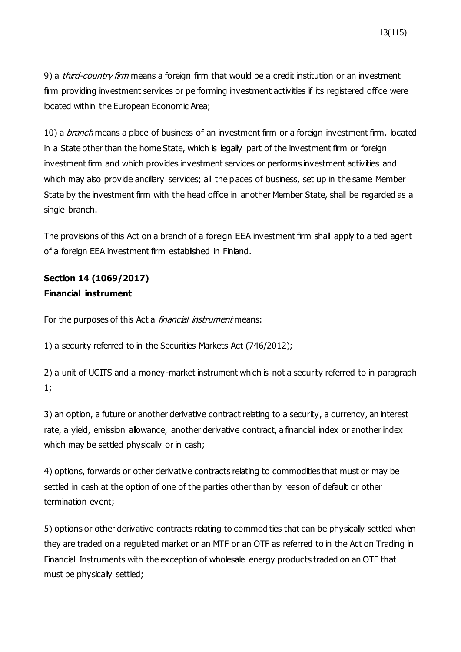13(115)

9) a *third-country firm* means a foreign firm that would be a credit institution or an investment firm providing investment services or performing investment activities if its registered office were located within the European Economic Area;

10) a *branch* means a place of business of an investment firm or a foreign investment firm, located in a State other than the home State, which is legally part of the investment firm or foreign investment firm and which provides investment services or performs investment activities and which may also provide ancillary services; all the places of business, set up in the same Member State by the investment firm with the head office in another Member State, shall be regarded as a single branch.

The provisions of this Act on a branch of a foreign EEA investment firm shall apply to a tied agent of a foreign EEA investment firm established in Finland.

## **Section 14 [\(1069/2017\)](https://www.finlex.fi/fi/laki/ajantasa/2012/20120747#a28.12.2017-1069) Financial instrument**

For the purposes of this Act a *financial instrument* means:

1) a security referred to in the Securities Markets Act (746/2012);

2) a unit of UCITS and a money-market instrument which is not a security referred to in paragraph 1;

3) an option, a future or another derivative contract relating to a security, a currency, an interest rate, a yield, emission allowance, another derivative contract, a financial index or another index which may be settled physically or in cash;

4) options, forwards or other derivative contracts relating to commodities that must or may be settled in cash at the option of one of the parties other than by reason of default or other termination event;

5) options or other derivative contracts relating to commodities that can be physically settled when they are traded on a regulated market or an MTF or an OTF as referred to in the Act on Trading in Financial Instruments with the exception of wholesale energy products traded on an OTF that must be physically settled;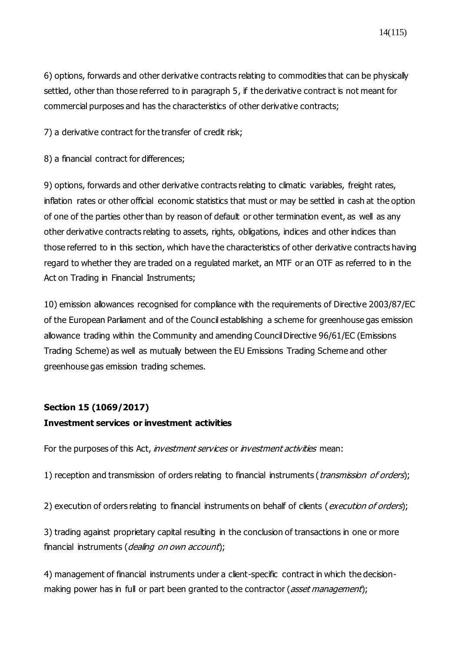6) options, forwards and other derivative contracts relating to commodities that can be physically settled, other than those referred to in paragraph 5, if the derivative contract is not meant for commercial purposes and has the characteristics of other derivative contracts;

7) a derivative contract for the transfer of credit risk;

8) a financial contract for differences;

9) options, forwards and other derivative contracts relating to climatic variables, freight rates, inflation rates or other official economic statistics that must or may be settled in cash at the option of one of the parties other than by reason of default or other termination event, as well as any other derivative contracts relating to assets, rights, obligations, indices and other indices than those referred to in this section, which have the characteristics of other derivative contracts having regard to whether they are traded on a regulated market, an MTF or an OTF as referred to in the Act on Trading in Financial Instruments;

10) emission allowances recognised for compliance with the requirements of Directive 2003/87/EC of the European Parliament and of the Council establishing a scheme for greenhouse gas emission allowance trading within the Community and amending Council Directive 96/61/EC (Emissions Trading Scheme) as well as mutually between the EU Emissions Trading Scheme and other greenhouse gas emission trading schemes.

#### **Section 15 [\(1069/2017\)](https://www.finlex.fi/fi/laki/ajantasa/2012/20120747#a28.12.2017-1069)**

#### **Investment services or investment activities**

For the purposes of this Act, *investment services* or *investment activities* mean:

1) reception and transmission of orders relating to financial instruments (*transmission of orders*);

2) execution of orders relating to financial instruments on behalf of clients (execution of orders);

3) trading against proprietary capital resulting in the conclusion of transactions in one or more financial instruments (dealing on own account);

4) management of financial instruments under a client-specific contract in which the decisionmaking power has in full or part been granted to the contractor (asset management);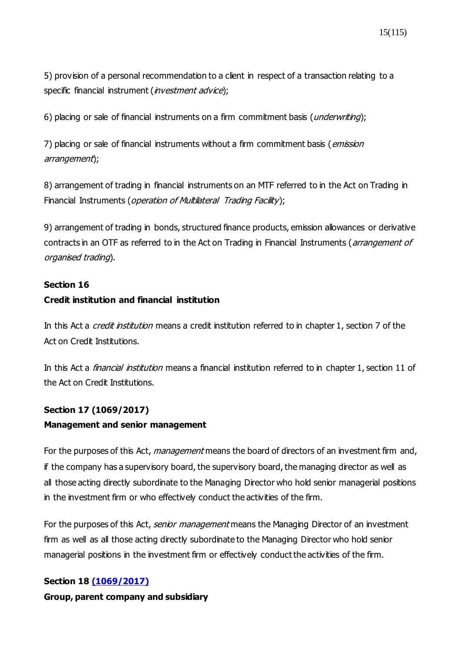5) provision of a personal recommendation to a client in respect of a transaction relating to a specific financial instrument (*investment advice*);

6) placing or sale of financial instruments on a firm commitment basis (*underwriting*);

7) placing or sale of financial instruments without a firm commitment basis (*emission* arrangement);

8) arrangement of trading in financial instruments on an MTF referred to in the Act on Trading in Financial Instruments (*operation of Multilateral Trading Facility*);

9) arrangement of trading in bonds, structured finance products, emission allowances or derivative contracts in an OTF as referred to in the Act on Trading in Financial Instruments (*arrangement of* organised trading).

#### **Section 16**

#### **Credit institution and financial institution**

In this Act a *credit institution* means a credit institution referred to in chapter 1, section 7 of the Act on Credit Institutions.

In this Act a *financial institution* means a financial institution referred to in chapter 1, section 11 of the Act on Credit Institutions.

## **Section 17 [\(1069/2017\)](https://www.finlex.fi/fi/laki/ajantasa/2012/20120747#a28.12.2017-1069) Management and senior management**

For the purposes of this Act, *management* means the board of directors of an investment firm and, if the company has a supervisory board, the supervisory board, the managing director as well as all those acting directly subordinate to the Managing Director who hold senior managerial positions in the investment firm or who effectively conduct the activities of the firm.

For the purposes of this Act, *senior management* means the Managing Director of an investment firm as well as all those acting directly subordinate to the Managing Director who hold senior managerial positions in the investment firm or effectively conduct the activities of the firm.

## **Section 18 [\(1069/2017\)](https://www.finlex.fi/fi/laki/ajantasa/2012/20120747#a28.12.2017-1069)**

**Group, parent company and subsidiary**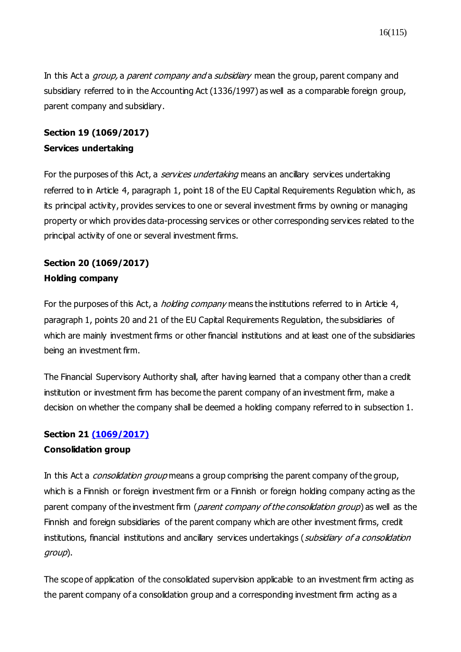In this Act a *group*, a *parent company and* a *subsidiary* mean the group, parent company and subsidiary referred to in the Accounting Act (1336/1997) as well as a comparable foreign group, parent company and subsidiary.

## **Section 19 [\(1069/2017\)](https://www.finlex.fi/fi/laki/ajantasa/2012/20120747#a28.12.2017-1069) Services undertaking**

For the purposes of this Act, a *services undertaking* means an ancillary services undertaking referred to in Article 4, paragraph 1, point 18 of the EU Capital Requirements Regulation which, as its principal activity, provides services to one or several investment firms by owning or managing property or which provides data-processing services or other corresponding services related to the principal activity of one or several investment firms.

## **Section 20 [\(1069/2017\)](https://www.finlex.fi/fi/laki/ajantasa/2012/20120747#a28.12.2017-1069) Holding company**

For the purposes of this Act, a *holding company* means the institutions referred to in Article 4, paragraph 1, points 20 and 21 of the EU Capital Requirements Regulation, the subsidiaries of which are mainly investment firms or other financial institutions and at least one of the subsidiaries being an investment firm.

The Financial Supervisory Authority shall, after having learned that a company other than a credit institution or investment firm has become the parent company of an investment firm, make a decision on whether the company shall be deemed a holding company referred to in subsection 1.

## **Section 21 [\(1069/2017\)](https://www.finlex.fi/fi/laki/ajantasa/2012/20120747#a28.12.2017-1069)**

## **Consolidation group**

In this Act a *consolidation group* means a group comprising the parent company of the group, which is a Finnish or foreign investment firm or a Finnish or foreign holding company acting as the parent company of the investment firm (parent company of the consolidation group) as well as the Finnish and foreign subsidiaries of the parent company which are other investment firms, credit institutions, financial institutions and ancillary services undertakings (subsidiary of a consolidation group).

The scope of application of the consolidated supervision applicable to an investment firm acting as the parent company of a consolidation group and a corresponding investment firm acting as a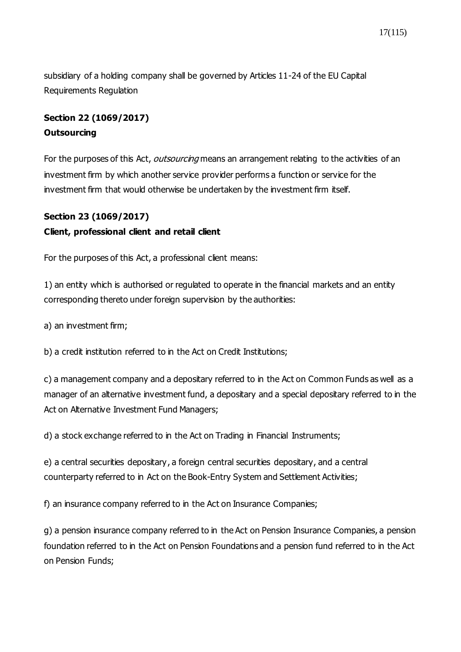subsidiary of a holding company shall be governed by Articles 11-24 of the EU Capital Requirements Regulation

## **Section 22 [\(1069/2017\)](https://www.finlex.fi/fi/laki/ajantasa/2012/20120747#a28.12.2017-1069) Outsourcing**

For the purposes of this Act, outsourcing means an arrangement relating to the activities of an investment firm by which another service provider performs a function or service for the investment firm that would otherwise be undertaken by the investment firm itself.

### **Section 23 [\(1069/2017\)](https://www.finlex.fi/fi/laki/ajantasa/2012/20120747#a28.12.2017-1069)**

### **Client, professional client and retail client**

For the purposes of this Act, a professional client means:

1) an entity which is authorised or regulated to operate in the financial markets and an entity corresponding thereto under foreign supervision by the authorities:

a) an investment firm;

b) a credit institution referred to in the Act on Credit Institutions;

c) a management company and a depositary referred to in the Act on Common Funds as well as a manager of an alternative investment fund, a depositary and a special depositary referred to in the Act on Alternative Investment Fund Managers;

d) a stock exchange referred to in the Act on Trading in Financial Instruments;

e) a central securities depositary, a foreign central securities depositary, and a central counterparty referred to in Act on the Book-Entry System and Settlement Activities;

f) an insurance company referred to in the Act on Insurance Companies;

g) a pension insurance company referred to in the Act on Pension Insurance Companies, a pension foundation referred to in the Act on Pension Foundations and a pension fund referred to in the Act on Pension Funds;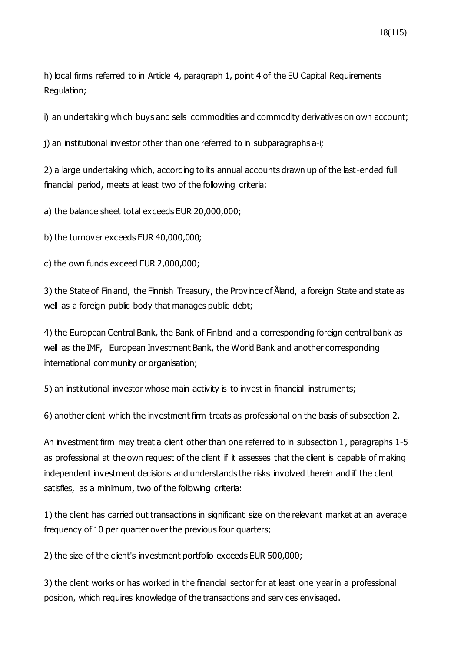h) local firms referred to in Article 4, paragraph 1, point 4 of the EU Capital Requirements Regulation;

i) an undertaking which buys and sells commodities and commodity derivatives on own account;

j) an institutional investor other than one referred to in subparagraphs a-i;

2) a large undertaking which, according to its annual accounts drawn up of the last-ended full financial period, meets at least two of the following criteria:

a) the balance sheet total exceeds EUR 20,000,000;

b) the turnover exceeds EUR 40,000,000;

c) the own funds exceed EUR 2,000,000;

3) the State of Finland, the Finnish Treasury, the Province of Åland, a foreign State and state as well as a foreign public body that manages public debt;

4) the European Central Bank, the Bank of Finland and a corresponding foreign central bank as well as the IMF, European Investment Bank, the World Bank and another corresponding international community or organisation;

5) an institutional investor whose main activity is to invest in financial instruments;

6) another client which the investment firm treats as professional on the basis of subsection 2.

An investment firm may treat a client other than one referred to in subsection 1, paragraphs 1-5 as professional at the own request of the client if it assesses that the client is capable of making independent investment decisions and understands the risks involved therein and if the client satisfies, as a minimum, two of the following criteria:

1) the client has carried out transactions in significant size on the relevant market at an average frequency of 10 per quarter over the previous four quarters;

2) the size of the client's investment portfolio exceeds EUR 500,000;

3) the client works or has worked in the financial sector for at least one year in a professional position, which requires knowledge of the transactions and services envisaged.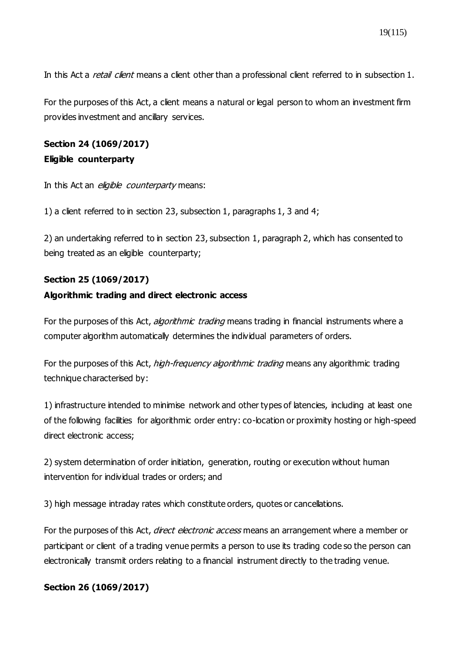In this Act a *retail client* means a client other than a professional client referred to in subsection 1.

For the purposes of this Act, a client means a natural or legal person to whom an investment firm provides investment and ancillary services.

## **Section 24 (1069/2017) Eligible counterparty**

In this Act an *eligible counterparty* means:

1) a client referred to in section 23, subsection 1, paragraphs 1, 3 and 4;

2) an undertaking referred to in section 23, subsection 1, paragraph 2, which has consented to being treated as an eligible counterparty;

## **Section 25 [\(1069/2017\)](https://www.finlex.fi/fi/laki/ajantasa/2012/20120747#a28.12.2017-1069)**

#### **Algorithmic trading and direct electronic access**

For the purposes of this Act, *algorithmic trading* means trading in financial instruments where a computer algorithm automatically determines the individual parameters of orders.

For the purposes of this Act, *high-frequency algorithmic trading* means any algorithmic trading technique characterised by:

1) infrastructure intended to minimise network and other types of latencies, including at least one of the following facilities for algorithmic order entry: co-location or proximity hosting or high-speed direct electronic access;

2) system determination of order initiation, generation, routing or execution without human intervention for individual trades or orders; and

3) high message intraday rates which constitute orders, quotes or cancellations.

For the purposes of this Act, direct electronic access means an arrangement where a member or participant or client of a trading venue permits a person to use its trading code so the person can electronically transmit orders relating to a financial instrument directly to the trading venue.

## **Section 26 [\(1069/2017\)](https://www.finlex.fi/fi/laki/ajantasa/2012/20120747#a28.12.2017-1069)**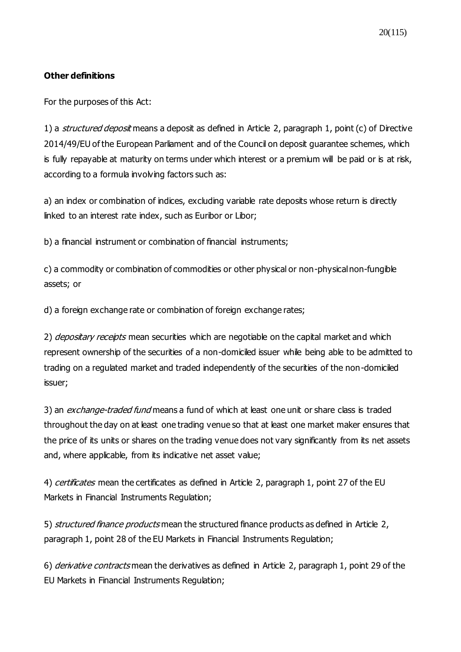### **Other definitions**

For the purposes of this Act:

1) a *structured deposit* means a deposit as defined in Article 2, paragraph 1, point (c) of Directive 2014/49/EU of the European Parliament and of the Council on deposit guarantee schemes, which is fully repayable at maturity on terms under which interest or a premium will be paid or is at risk, according to a formula involving factors such as:

a) an index or combination of indices, excluding variable rate deposits whose return is directly linked to an interest rate index, such as Euribor or Libor;

b) a financial instrument or combination of financial instruments;

c) a commodity or combination of commodities or other physical or non-physical non-fungible assets; or

d) a foreign exchange rate or combination of foreign exchange rates;

2) depositary receipts mean securities which are negotiable on the capital market and which represent ownership of the securities of a non-domiciled issuer while being able to be admitted to trading on a regulated market and traded independently of the securities of the non-domiciled issuer;

3) an exchange-traded fund means a fund of which at least one unit or share class is traded throughout the day on at least one trading venue so that at least one market maker ensures that the price of its units or shares on the trading venue does not vary significantly from its net assets and, where applicable, from its indicative net asset value;

4) certificates mean the certificates as defined in Article 2, paragraph 1, point 27 of the EU Markets in Financial Instruments Regulation;

5) structured finance products mean the structured finance products as defined in Article 2, paragraph 1, point 28 of the EU Markets in Financial Instruments Regulation;

6) derivative contracts mean the derivatives as defined in Article 2, paragraph 1, point 29 of the EU Markets in Financial Instruments Regulation;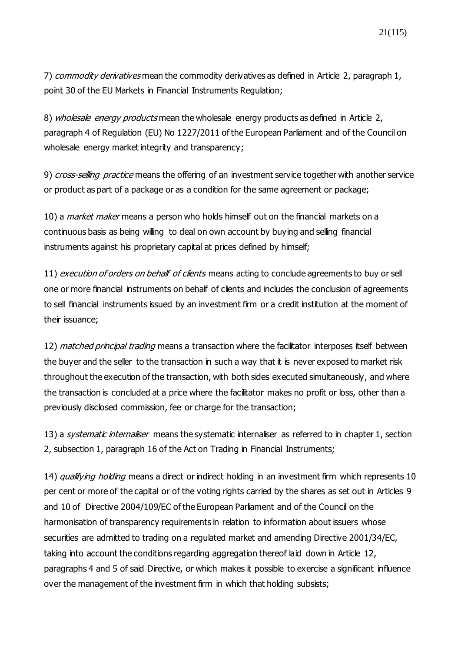7) commodity derivatives mean the commodity derivatives as defined in Article 2, paragraph 1, point 30 of the EU Markets in Financial Instruments Regulation;

8) wholesale energy products mean the wholesale energy products as defined in Article 2, paragraph 4 of Regulation (EU) No 1227/2011 of the European Parliament and of the Council on wholesale energy market integrity and transparency;

9) *cross-selling practice* means the offering of an investment service together with another service or product as part of a package or as a condition for the same agreement or package;

10) a *market maker* means a person who holds himself out on the financial markets on a continuous basis as being willing to deal on own account by buying and selling financial instruments against his proprietary capital at prices defined by himself;

11) *execution of orders on behalf of clients* means acting to conclude agreements to buy or sell one or more financial instruments on behalf of clients and includes the conclusion of agreements to sell financial instruments issued by an investment firm or a credit institution at the moment of their issuance;

12) matched principal trading means a transaction where the facilitator interposes itself between the buyer and the seller to the transaction in such a way that it is never exposed to market risk throughout the execution of the transaction, with both sides executed simultaneously, and where the transaction is concluded at a price where the facilitator makes no profit or loss, other than a previously disclosed commission, fee or charge for the transaction;

13) a *systematic internaliser* means the systematic internaliser as referred to in chapter 1, section 2, subsection 1, paragraph 16 of the Act on Trading in Financial Instruments;

14) qualifying holding means a direct or indirect holding in an investment firm which represents 10 per cent or more of the capital or of the voting rights carried by the shares as set out in Articles 9 and 10 of Directive 2004/109/EC of the European Parliament and of the Council on the harmonisation of transparency requirements in relation to information about issuers whose securities are admitted to trading on a regulated market and amending Directive 2001/34/EC, taking into account the conditions regarding aggregation thereof laid down in Article 12, paragraphs 4 and 5 of said Directive, or which makes it possible to exercise a significant influence over the management of the investment firm in which that holding subsists;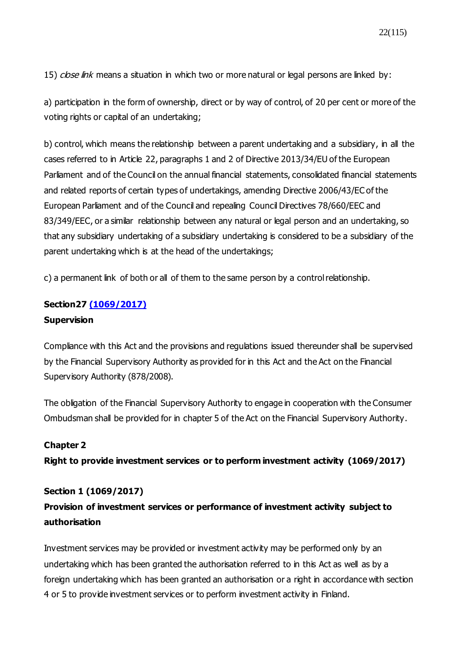15) close link means a situation in which two or more natural or legal persons are linked by:

a) participation in the form of ownership, direct or by way of control, of 20 per cent or more of the voting rights or capital of an undertaking;

b) control, which means the relationship between a parent undertaking and a subsidiary, in all the cases referred to in Article 22, paragraphs 1 and 2 of Directive 2013/34/EU of the European Parliament and of the Council on the annual financial statements, consolidated financial statements and related reports of certain types of undertakings, amending Directive 2006/43/EC of the European Parliament and of the Council and repealing Council Directives 78/660/EEC and 83/349/EEC, or a similar relationship between any natural or legal person and an undertaking, so that any subsidiary undertaking of a subsidiary undertaking is considered to be a subsidiary of the parent undertaking which is at the head of the undertakings;

c) a permanent link of both or all of them to the same person by a control relationship.

#### **Section27 [\(1069/2017\)](https://www.finlex.fi/fi/laki/ajantasa/2012/20120747#a28.12.2017-1069)**

#### **Supervision**

Compliance with this Act and the provisions and regulations issued thereunder shall be supervised by the Financial Supervisory Authority as provided for in this Act and the Act on the Financial Supervisory Authority (878/2008).

The obligation of the Financial Supervisory Authority to engage in cooperation with the Consumer Ombudsman shall be provided for in chapter 5 of the Act on the Financial Supervisory Authority.

#### **Chapter 2**

**Right to provide investment services or to perform investment activity [\(1069/2017\)](https://www.finlex.fi/fi/laki/ajantasa/2012/20120747#a28.12.2017-1069)**

#### **Section 1 [\(1069/2017\)](https://www.finlex.fi/fi/laki/ajantasa/2012/20120747#a28.12.2017-1069)**

## **Provision of investment services or performance of investment activity subject to authorisation**

Investment services may be provided or investment activity may be performed only by an undertaking which has been granted the authorisation referred to in this Act as well as by a foreign undertaking which has been granted an authorisation or a right in accordance with section 4 or 5 to provide investment services or to perform investment activity in Finland.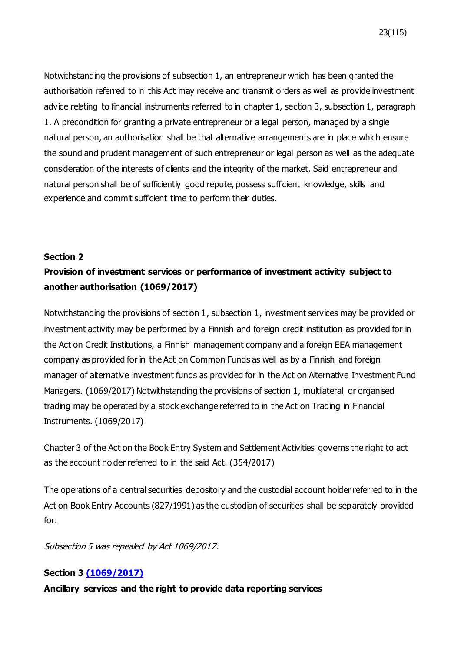23(115)

Notwithstanding the provisions of subsection 1, an entrepreneur which has been granted the authorisation referred to in this Act may receive and transmit orders as well as provide investment advice relating to financial instruments referred to in chapter 1, section 3, subsection 1, paragraph 1. A precondition for granting a private entrepreneur or a legal person, managed by a single natural person, an authorisation shall be that alternative arrangements are in place which ensure the sound and prudent management of such entrepreneur or legal person as well as the adequate consideration of the interests of clients and the integrity of the market. Said entrepreneur and natural person shall be of sufficiently good repute, possess sufficient knowledge, skills and experience and commit sufficient time to perform their duties.

#### **[Section 2](https://www.finlex.fi/fi/laki/ajantasa/2012/20120747#a747-2012)**

## **Provision of investment services or performance of investment activity subject to another authorisation [\(1069/2017\)](https://www.finlex.fi/fi/laki/ajantasa/2012/20120747#a28.12.2017-1069)**

Notwithstanding the provisions of section 1, subsection 1, investment services may be provided or investment activity may be performed by a Finnish and foreign credit institution as provided for in the Act on Credit Institutions, a Finnish management company and a foreign EEA management company as provided for in the Act on Common Funds as well as by a Finnish and foreign manager of alternative investment funds as provided for in the Act on Alternative Investment Fund Managers. (1069/2017) Notwithstanding the provisions of section 1, multilateral or organised trading may be operated by a stock exchange referred to in the Act on Trading in Financial Instruments. (1069/2017)

Chapter 3 of the Act on the Book Entry System and Settlement Activities governs the right to act as the account holder referred to in the said Act. (354/2017)

The operations of a central securities depository and the custodial account holder referred to in the Act on Book Entry Accounts (827/1991) as the custodian of securities shall be separately provided for.

Subsection 5 was repealed by Act 1069/2017.

## **Section 3 [\(1069/2017\)](https://www.finlex.fi/fi/laki/ajantasa/2012/20120747#a28.12.2017-1069)**

**Ancillary services and the right to provide data reporting services**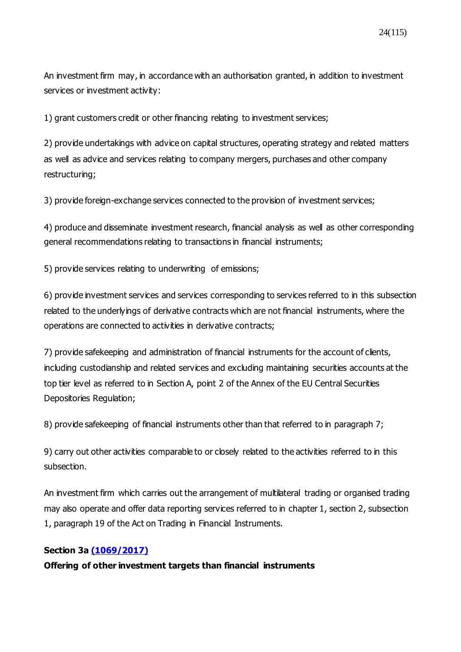24(115)

An investment firm may, in accordance with an authorisation granted, in addition to investment services or investment activity:

1) grant customers credit or other financing relating to investment services;

2) provide undertakings with advice on capital structures, operating strategy and related matters as well as advice and services relating to company mergers, purchases and other company restructuring;

3) provide foreign-exchange services connected to the provision of investment services;

4) produce and disseminate investment research, financial analysis as well as other corresponding general recommendations relating to transactions in financial instruments;

5) provide services relating to underwriting of emissions;

6) provide investment services and services corresponding to services referred to in this subsection related to the underlyings of derivative contracts which are not financial instruments, where the operations are connected to activities in derivative contracts;

7) provide safekeeping and administration of financial instruments for the account of clients, including custodianship and related services and excluding maintaining securities accounts at the top tier level as referred to in Section A, point 2 of the Annex of the EU Central Securities Depositories Regulation;

8) provide safekeeping of financial instruments other than that referred to in paragraph 7;

9) carry out other activities comparable to or closely related to the activities referred to in this subsection.

An investment firm which carries out the arrangement of multilateral trading or organised trading may also operate and offer data reporting services referred to in chapter 1, section 2, subsection 1, paragraph 19 of the Act on Trading in Financial Instruments.

## **Section 3a [\(1069/2017\)](https://www.finlex.fi/fi/laki/ajantasa/2012/20120747#a28.12.2017-1069)**

**Offering of other investment targets than financial instruments**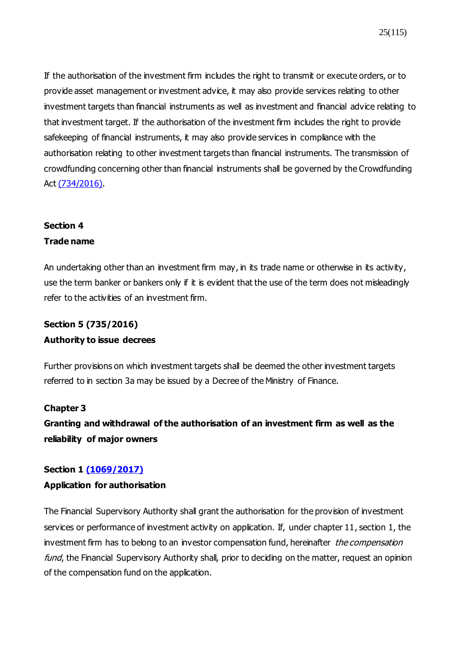If the authorisation of the investment firm includes the right to transmit or execute orders, or to provide asset management or investment advice, it may also provide services relating to other investment targets than financial instruments as well as investment and financial advice relating to that investment target. If the authorisation of the investment firm includes the right to provide safekeeping of financial instruments, it may also provide services in compliance with the authorisation relating to other investment targets than financial instruments. The transmission of crowdfunding concerning other than financial instruments shall be governed by the Crowdfunding Act [\(734/2016\)](https://www.finlex.fi/fi/laki/ajantasa/2016/20160734).

## **Section 4 Trade name**

An undertaking other than an investment firm may, in its trade name or otherwise in its activity, use the term banker or bankers only if it is evident that the use of the term does not misleadingly refer to the activities of an investment firm.

# **Section 5 (735/2016) Authority to issue decrees**

Further provisions on which investment targets shall be deemed the other investment targets referred to in section 3a may be issued by a Decree of the Ministry of Finance.

## **Chapter 3**

**Granting and withdrawal of the authorisation of an investment firm as well as the reliability of major owners**

## **Section 1 [\(1069/2017\)](https://www.finlex.fi/fi/laki/ajantasa/2012/20120747#a28.12.2017-1069)**

## **Application for authorisation**

The Financial Supervisory Authority shall grant the authorisation for the provision of investment services or performance of investment activity on application. If, under chapter 11, section 1, the investment firm has to belong to an investor compensation fund, hereinafter the compensation fund, the Financial Supervisory Authority shall, prior to deciding on the matter, request an opinion of the compensation fund on the application.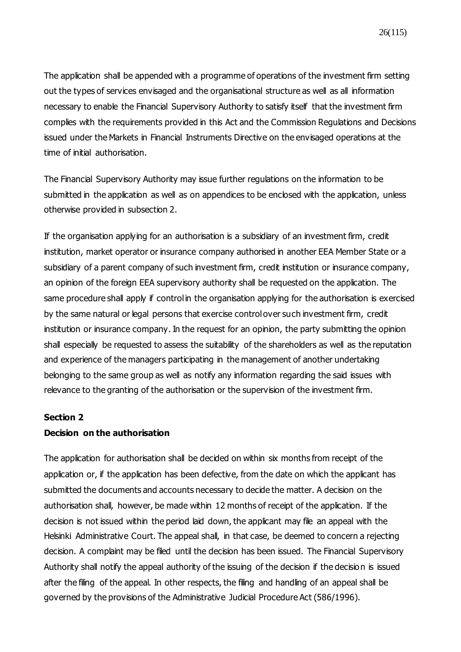The application shall be appended with a programme of operations of the investment firm setting out the types of services envisaged and the organisational structure as well as all information necessary to enable the Financial Supervisory Authority to satisfy itself that the investment firm complies with the requirements provided in this Act and the Commission Regulations and Decisions issued under the Markets in Financial Instruments Directive on the envisaged operations at the time of initial authorisation.

The Financial Supervisory Authority may issue further regulations on the information to be submitted in the application as well as on appendices to be enclosed with the application, unless otherwise provided in subsection 2.

If the organisation applying for an authorisation is a subsidiary of an investment firm, credit institution, market operator or insurance company authorised in another EEA Member State or a subsidiary of a parent company of such investment firm, credit institution or insurance company, an opinion of the foreign EEA supervisory authority shall be requested on the application. The same procedure shall apply if control in the organisation applying for the authorisation is exercised by the same natural or legal persons that exercise control over such investment firm, credit institution or insurance company. In the request for an opinion, the party submitting the opinion shall especially be requested to assess the suitability of the shareholders as well as the reputation and experience of the managers participating in the management of another undertaking belonging to the same group as well as notify any information regarding the said issues with relevance to the granting of the authorisation or the supervision of the investment firm.

#### **Section 2**

#### **Decision on the authorisation**

The application for authorisation shall be decided on within six months from receipt of the application or, if the application has been defective, from the date on which the applicant has submitted the documents and accounts necessary to decide the matter. A decision on the authorisation shall, however, be made within 12 months of receipt of the application. If the decision is not issued within the period laid down, the applicant may file an appeal with the Helsinki Administrative Court. The appeal shall, in that case, be deemed to concern a rejecting decision. A complaint may be filed until the decision has been issued. The Financial Supervisory Authority shall notify the appeal authority of the issuing of the decision if the decision is issued after the filing of the appeal. In other respects, the filing and handling of an appeal shall be governed by the provisions of the Administrative Judicial Procedure Act (586/1996).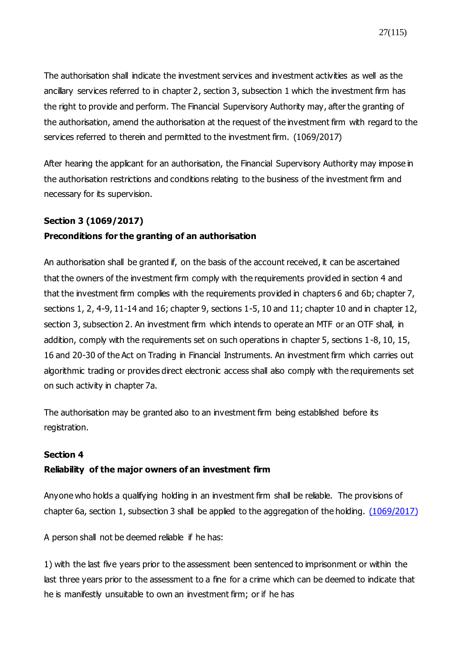The authorisation shall indicate the investment services and investment activities as well as the ancillary services referred to in chapter 2, section 3, subsection 1 which the investment firm has the right to provide and perform. The Financial Supervisory Authority may, after the granting of the authorisation, amend the authorisation at the request of the investment firm with regard to the services referred to therein and permitted to the investment firm. (1069/2017)

After hearing the applicant for an authorisation, the Financial Supervisory Authority may impose in the authorisation restrictions and conditions relating to the business of the investment firm and necessary for its supervision.

## **Section 3 [\(1069/2017\)](https://www.finlex.fi/fi/laki/ajantasa/2012/20120747#a28.12.2017-1069)**

## **Preconditions for the granting of an authorisation**

An authorisation shall be granted if, on the basis of the account received, it can be ascertained that the owners of the investment firm comply with the requirements provided in section 4 and that the investment firm complies with the requirements provided in chapters 6 and 6b; chapter 7, sections 1, 2, 4-9, 11-14 and 16; chapter 9, sections 1-5, 10 and 11; chapter 10 and in chapter 12, section 3, subsection 2. An investment firm which intends to operate an MTF or an OTF shall, in addition, comply with the requirements set on such operations in chapter 5, sections 1-8, 10, 15, 16 and 20-30 of the Act on Trading in Financial Instruments. An investment firm which carries out algorithmic trading or provides direct electronic access shall also comply with the requirements set on such activity in chapter 7a.

The authorisation may be granted also to an investment firm being established before its registration.

#### **Section 4**

## **Reliability of the major owners of an investment firm**

Anyone who holds a qualifying holding in an investment firm shall be reliable. The provisions of chapter 6a, section 1, subsection 3 shall be applied to the aggregation of the holding. [\(1069/2017\)](https://www.finlex.fi/fi/laki/ajantasa/2012/20120747#a28.12.2017-1069)

A person shall not be deemed reliable if he has:

1) with the last five years prior to the assessment been sentenced to imprisonment or within the last three years prior to the assessment to a fine for a crime which can be deemed to indicate that he is manifestly unsuitable to own an investment firm; or if he has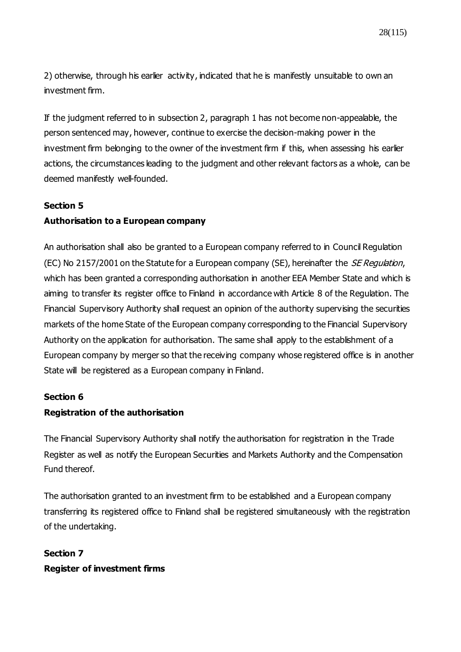28(115)

2) otherwise, through his earlier activity, indicated that he is manifestly unsuitable to own an investment firm.

If the judgment referred to in subsection 2, paragraph 1 has not become non-appealable, the person sentenced may, however, continue to exercise the decision-making power in the investment firm belonging to the owner of the investment firm if this, when assessing his earlier actions, the circumstances leading to the judgment and other relevant factors as a whole, can be deemed manifestly well-founded.

#### **Section 5**

### **Authorisation to a European company**

An authorisation shall also be granted to a European company referred to in Council Regulation (EC) No 2157/2001 on the Statute for a European company (SE), hereinafter the *SE Regulation*, which has been granted a corresponding authorisation in another EEA Member State and which is aiming to transfer its register office to Finland in accordance with Article 8 of the Regulation. The Financial Supervisory Authority shall request an opinion of the authority supervising the securities markets of the home State of the European company corresponding to the Financial Supervisory Authority on the application for authorisation. The same shall apply to the establishment of a European company by merger so that the receiving company whose registered office is in another State will be registered as a European company in Finland.

#### **Section 6**

#### **Registration of the authorisation**

The Financial Supervisory Authority shall notify the authorisation for registration in the Trade Register as well as notify the European Securities and Markets Authority and the Compensation Fund thereof.

The authorisation granted to an investment firm to be established and a European company transferring its registered office to Finland shall be registered simultaneously with the registration of the undertaking.

## **Section 7 Register of investment firms**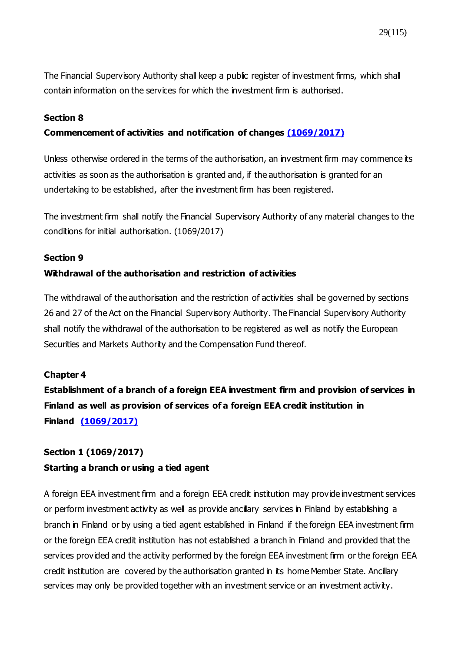The Financial Supervisory Authority shall keep a public register of investment firms, which shall contain information on the services for which the investment firm is authorised.

#### **Section 8**

#### **Commencement of activities and notification of changes [\(1069/2017\)](https://www.finlex.fi/fi/laki/ajantasa/2012/20120747#a28.12.2017-1069)**

Unless otherwise ordered in the terms of the authorisation, an investment firm may commence its activities as soon as the authorisation is granted and, if the authorisation is granted for an undertaking to be established, after the investment firm has been registered.

The investment firm shall notify the Financial Supervisory Authority of any material changes to the conditions for initial authorisation. [\(1069/2017\)](https://www.finlex.fi/fi/laki/ajantasa/2012/20120747#a28.12.2017-1069)

#### **Section 9**

#### **Withdrawal of the authorisation and restriction of activities**

The withdrawal of the authorisation and the restriction of activities shall be governed by sections 26 and 27 of the Act on the Financial Supervisory Authority. The Financial Supervisory Authority shall notify the withdrawal of the authorisation to be registered as well as notify the European Securities and Markets Authority and the Compensation Fund thereof.

#### **Chapter 4**

**Establishment of a branch of a foreign EEA investment firm and provision of services in Finland as well as provision of services of a foreign EEA credit institution in Finland [\(1069/2017\)](https://www.finlex.fi/fi/laki/ajantasa/2012/20120747#a28.12.2017-1069)**

## **Section 1 [\(1069/2017\)](https://www.finlex.fi/fi/laki/ajantasa/2012/20120747#a28.12.2017-1069) Starting a branch or using a tied agent**

A foreign EEA investment firm and a foreign EEA credit institution may provide investment services or perform investment activity as well as provide ancillary services in Finland by establishing a branch in Finland or by using a tied agent established in Finland if the foreign EEA investment firm or the foreign EEA credit institution has not established a branch in Finland and provided that the services provided and the activity performed by the foreign EEA investment firm or the foreign EEA credit institution are covered by the authorisation granted in its home Member State. Ancillary services may only be provided together with an investment service or an investment activity.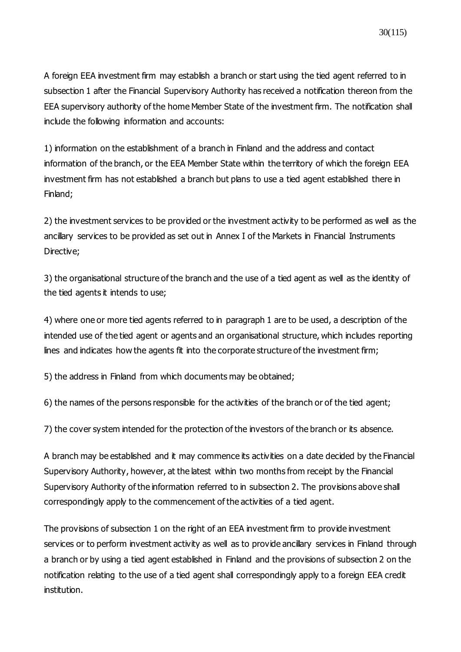30(115)

A foreign EEA investment firm may establish a branch or start using the tied agent referred to in subsection 1 after the Financial Supervisory Authority has received a notification thereon from the EEA supervisory authority of the home Member State of the investment firm. The notification shall include the following information and accounts:

1) information on the establishment of a branch in Finland and the address and contact information of the branch, or the EEA Member State within the territory of which the foreign EEA investment firm has not established a branch but plans to use a tied agent established there in Finland;

2) the investment services to be provided or the investment activity to be performed as well as the ancillary services to be provided as set out in Annex I of the Markets in Financial Instruments Directive;

3) the organisational structure of the branch and the use of a tied agent as well as the identity of the tied agents it intends to use;

4) where one or more tied agents referred to in paragraph 1 are to be used, a description of the intended use of the tied agent or agents and an organisational structure, which includes reporting lines and indicates how the agents fit into the corporate structure of the investment firm;

5) the address in Finland from which documents may be obtained;

6) the names of the persons responsible for the activities of the branch or of the tied agent;

7) the cover system intended for the protection of the investors of the branch or its absence.

A branch may be established and it may commence its activities on a date decided by the Financial Supervisory Authority, however, at the latest within two months from receipt by the Financial Supervisory Authority of the information referred to in subsection 2. The provisions above shall correspondingly apply to the commencement of the activities of a tied agent.

The provisions of subsection 1 on the right of an EEA investment firm to provide investment services or to perform investment activity as well as to provide ancillary services in Finland through a branch or by using a tied agent established in Finland and the provisions of subsection 2 on the notification relating to the use of a tied agent shall correspondingly apply to a foreign EEA credit institution.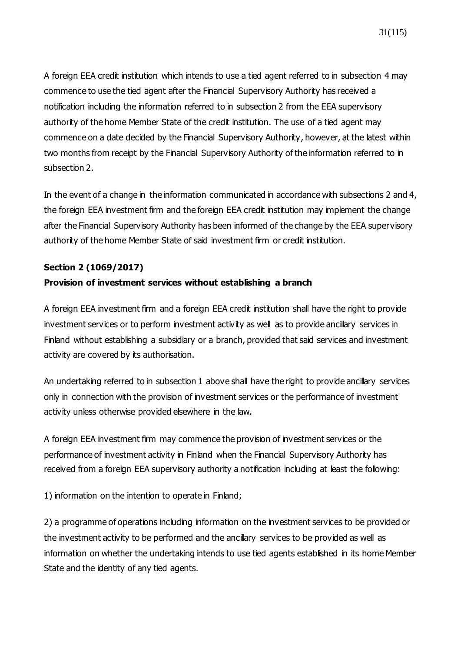A foreign EEA credit institution which intends to use a tied agent referred to in subsection 4 may commence to use the tied agent after the Financial Supervisory Authority has received a notification including the information referred to in subsection 2 from the EEA supervisory authority of the home Member State of the credit institution. The use of a tied agent may commence on a date decided by the Financial Supervisory Authority, however, at the latest within two months from receipt by the Financial Supervisory Authority of the information referred to in subsection 2.

In the event of a change in the information communicated in accordance with subsections 2 and 4, the foreign EEA investment firm and the foreign EEA credit institution may implement the change after the Financial Supervisory Authority has been informed of the change by the EEA supervisory authority of the home Member State of said investment firm or credit institution.

## **Section 2 [\(1069/2017\)](https://www.finlex.fi/fi/laki/ajantasa/2012/20120747#a28.12.2017-1069)**

## **Provision of investment services without establishing a branch**

A foreign EEA investment firm and a foreign EEA credit institution shall have the right to provide investment services or to perform investment activity as well as to provide ancillary services in Finland without establishing a subsidiary or a branch, provided that said services and investment activity are covered by its authorisation.

An undertaking referred to in subsection 1 above shall have the right to provide ancillary services only in connection with the provision of investment services or the performance of investment activity unless otherwise provided elsewhere in the law.

A foreign EEA investment firm may commence the provision of investment services or the performance of investment activity in Finland when the Financial Supervisory Authority has received from a foreign EEA supervisory authority a notification including at least the following:

1) information on the intention to operate in Finland;

2) a programme of operations including information on the investment services to be provided or the investment activity to be performed and the ancillary services to be provided as well as information on whether the undertaking intends to use tied agents established in its home Member State and the identity of any tied agents.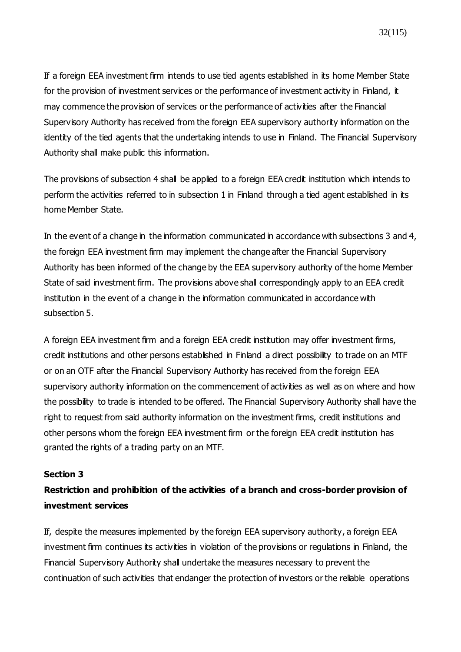If a foreign EEA investment firm intends to use tied agents established in its home Member State for the provision of investment services or the performance of investment activity in Finland, it may commence the provision of services or the performance of activities after the Financial Supervisory Authority has received from the foreign EEA supervisory authority information on the identity of the tied agents that the undertaking intends to use in Finland. The Financial Supervisory Authority shall make public this information.

The provisions of subsection 4 shall be applied to a foreign EEA credit institution which intends to perform the activities referred to in subsection 1 in Finland through a tied agent established in its home Member State.

In the event of a change in the information communicated in accordance with subsections 3 and 4, the foreign EEA investment firm may implement the change after the Financial Supervisory Authority has been informed of the change by the EEA supervisory authority of the home Member State of said investment firm. The provisions above shall correspondingly apply to an EEA credit institution in the event of a change in the information communicated in accordance with subsection 5.

A foreign EEA investment firm and a foreign EEA credit institution may offer investment firms, credit institutions and other persons established in Finland a direct possibility to trade on an MTF or on an OTF after the Financial Supervisory Authority has received from the foreign EEA supervisory authority information on the commencement of activities as well as on where and how the possibility to trade is intended to be offered. The Financial Supervisory Authority shall have the right to request from said authority information on the investment firms, credit institutions and other persons whom the foreign EEA investment firm or the foreign EEA credit institution has granted the rights of a trading party on an MTF.

#### **Section 3**

## **Restriction and prohibition of the activities of a branch and cross-border provision of investment services**

If, despite the measures implemented by the foreign EEA supervisory authority, a foreign EEA investment firm continues its activities in violation of the provisions or regulations in Finland, the Financial Supervisory Authority shall undertake the measures necessary to prevent the continuation of such activities that endanger the protection of investors or the reliable operations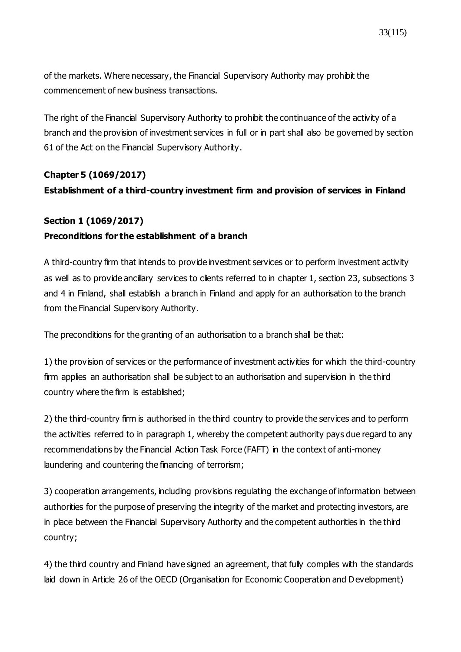of the markets. Where necessary, the Financial Supervisory Authority may prohibit the commencement of new business transactions.

The right of the Financial Supervisory Authority to prohibit the continuance of the activity of a branch and the provision of investment services in full or in part shall also be governed by section 61 of the Act on the Financial Supervisory Authority.

# **Chapter 5 [\(1069/2017\)](https://www.finlex.fi/fi/laki/ajantasa/2012/20120747#a28.12.2017-1069) Establishment of a third-country investment firm and provision of services in Finland**

### **Section 1 [\(1069/2017\)](https://www.finlex.fi/fi/laki/ajantasa/2012/20120747#a28.12.2017-1069)**

## **Preconditions for the establishment of a branch**

A third-country firm that intends to provide investment services or to perform investment activity as well as to provide ancillary services to clients referred to in chapter 1, section 23, subsections 3 and 4 in Finland, shall establish a branch in Finland and apply for an authorisation to the branch from the Financial Supervisory Authority.

The preconditions for the granting of an authorisation to a branch shall be that:

1) the provision of services or the performance of investment activities for which the third-country firm applies an authorisation shall be subject to an authorisation and supervision in the third country where the firm is established;

2) the third-country firm is authorised in the third country to provide the services and to perform the activities referred to in paragraph 1, whereby the competent authority pays due regard to any recommendations by the Financial Action Task Force (FAFT) in the context of anti-money laundering and countering the financing of terrorism;

3) cooperation arrangements, including provisions regulating the exchange of information between authorities for the purpose of preserving the integrity of the market and protecting investors, are in place between the Financial Supervisory Authority and the competent authorities in the third country;

4) the third country and Finland have signed an agreement, that fully complies with the standards laid down in Article 26 of the OECD (Organisation for Economic Cooperation and Development)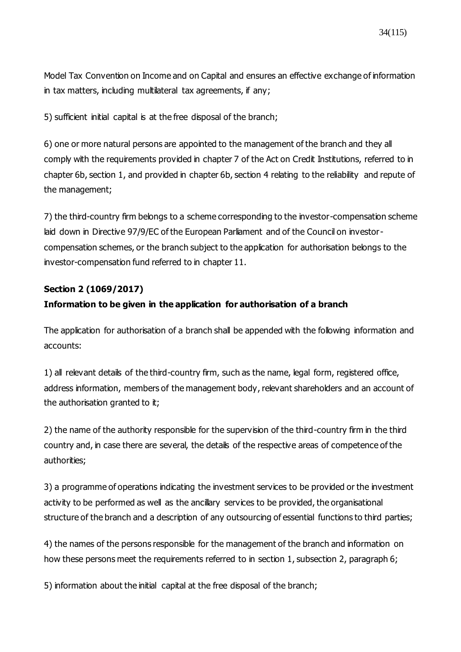Model Tax Convention on Income and on Capital and ensures an effective exchange of information in tax matters, including multilateral tax agreements, if any;

5) sufficient initial capital is at the free disposal of the branch;

6) one or more natural persons are appointed to the management of the branch and they all comply with the requirements provided in chapter 7 of the Act on Credit Institutions, referred to in chapter 6b, section 1, and provided in chapter 6b, section 4 relating to the reliability and repute of the management;

7) the third-country firm belongs to a scheme corresponding to the investor-compensation scheme laid down in Directive 97/9/EC of the European Parliament and of the Council on investorcompensation schemes, or the branch subject to the application for authorisation belongs to the investor-compensation fund referred to in chapter 11.

### **Section 2 [\(1069/2017\)](https://www.finlex.fi/fi/laki/ajantasa/2012/20120747#a28.12.2017-1069)**

### **Information to be given in the application for authorisation of a branch**

The application for authorisation of a branch shall be appended with the following information and accounts:

1) all relevant details of the third-country firm, such as the name, legal form, registered office, address information, members of the management body, relevant shareholders and an account of the authorisation granted to it;

2) the name of the authority responsible for the supervision of the third-country firm in the third country and, in case there are several, the details of the respective areas of competence of the authorities;

3) a programme of operations indicating the investment services to be provided or the investment activity to be performed as well as the ancillary services to be provided, the organisational structure of the branch and a description of any outsourcing of essential functions to third parties;

4) the names of the persons responsible for the management of the branch and information on how these persons meet the requirements referred to in section 1, subsection 2, paragraph 6;

5) information about the initial capital at the free disposal of the branch;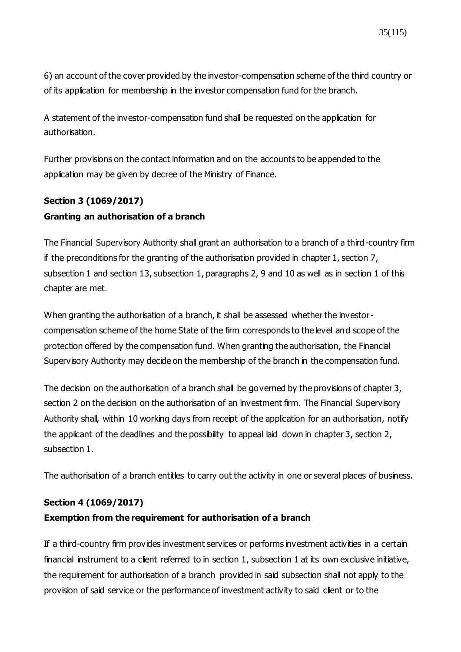6) an account of the cover provided by the investor-compensation scheme of the third country or of its application for membership in the investor compensation fund for the branch.

A statement of the investor-compensation fund shall be requested on the application for authorisation.

Further provisions on the contact information and on the accounts to be appended to the application may be given by decree of the Ministry of Finance.

# **Section 3 [\(1069/2017\)](https://www.finlex.fi/fi/laki/ajantasa/2012/20120747#a28.12.2017-1069) Granting an authorisation of a branch**

The Financial Supervisory Authority shall grant an authorisation to a branch of a third-country firm if the preconditions for the granting of the authorisation provided in chapter 1, section 7, subsection 1 and section 13, subsection 1, paragraphs 2, 9 and 10 as well as in section 1 of this chapter are met.

When granting the authorisation of a branch, it shall be assessed whether the investorcompensation scheme of the home State of the firm corresponds to the level and scope of the protection offered by the compensation fund. When granting the authorisation, the Financial Supervisory Authority may decide on the membership of the branch in the compensation fund.

The decision on the authorisation of a branch shall be governed by the provisions of chapter 3, section 2 on the decision on the authorisation of an investment firm. The Financial Supervisory Authority shall, within 10 working days from receipt of the application for an authorisation, notify the applicant of the deadlines and the possibility to appeal laid down in chapter 3, section 2, subsection 1.

The authorisation of a branch entitles to carry out the activity in one or several places of business.

## **Section 4 [\(1069/2017\)](https://www.finlex.fi/fi/laki/ajantasa/2012/20120747#a28.12.2017-1069)**

## **Exemption from the requirement for authorisation of a branch**

If a third-country firm provides investment services or performs investment activities in a certain financial instrument to a client referred to in section 1, subsection 1 at its own exclusive initiative, the requirement for authorisation of a branch provided in said subsection shall not apply to the provision of said service or the performance of investment activity to said client or to the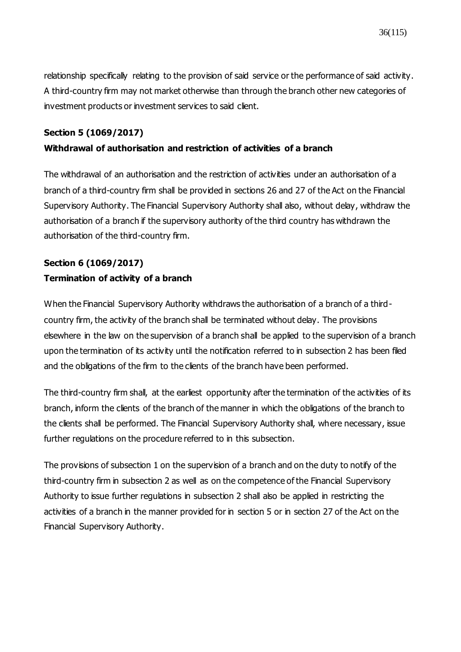relationship specifically relating to the provision of said service or the performance of said activity. A third-country firm may not market otherwise than through the branch other new categories of investment products or investment services to said client.

### **Section 5 [\(1069/2017\)](https://www.finlex.fi/fi/laki/ajantasa/2012/20120747#a28.12.2017-1069)**

## **Withdrawal of authorisation and restriction of activities of a branch**

The withdrawal of an authorisation and the restriction of activities under an authorisation of a branch of a third-country firm shall be provided in sections 26 and 27 of the Act on the Financial Supervisory Authority. The Financial Supervisory Authority shall also, without delay, withdraw the authorisation of a branch if the supervisory authority of the third country has withdrawn the authorisation of the third-country firm.

## **Section 6 (1069/2017) Termination of activity of a branch**

When the Financial Supervisory Authority withdraws the authorisation of a branch of a thirdcountry firm, the activity of the branch shall be terminated without delay. The provisions elsewhere in the law on the supervision of a branch shall be applied to the supervision of a branch upon the termination of its activity until the notification referred to in subsection 2 has been filed and the obligations of the firm to the clients of the branch have been performed.

The third-country firm shall, at the earliest opportunity after the termination of the activities of its branch, inform the clients of the branch of the manner in which the obligations of the branch to the clients shall be performed. The Financial Supervisory Authority shall, where necessary, issue further regulations on the procedure referred to in this subsection.

The provisions of subsection 1 on the supervision of a branch and on the duty to notify of the third-country firm in subsection 2 as well as on the competence of the Financial Supervisory Authority to issue further regulations in subsection 2 shall also be applied in restricting the activities of a branch in the manner provided for in section 5 or in section 27 of the Act on the Financial Supervisory Authority.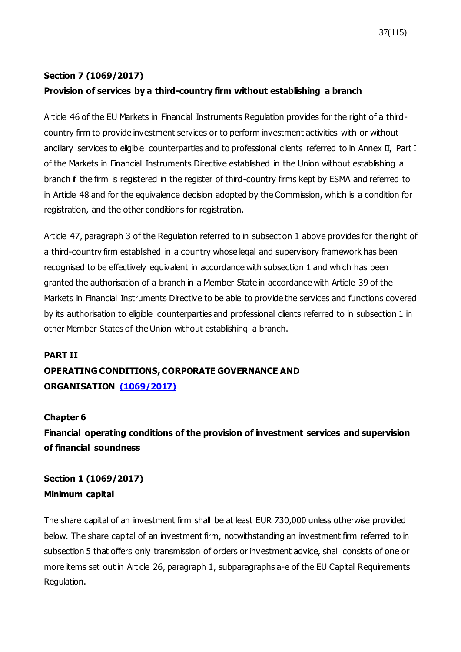### **Section 7 [\(1069/2017\)](https://www.finlex.fi/fi/laki/ajantasa/2012/20120747#a28.12.2017-1069)**

### **Provision of services by a third-country firm without establishing a branch**

Article 46 of the EU Markets in Financial Instruments Regulation provides for the right of a thirdcountry firm to provide investment services or to perform investment activities with or without ancillary services to eligible counterparties and to professional clients referred to in Annex II, Part I of the Markets in Financial Instruments Directive established in the Union without establishing a branch if the firm is registered in the register of third-country firms kept by ESMA and referred to in Article 48 and for the equivalence decision adopted by the Commission, which is a condition for registration, and the other conditions for registration.

Article 47, paragraph 3 of the Regulation referred to in subsection 1 above provides for the right of a third-country firm established in a country whose legal and supervisory framework has been recognised to be effectively equivalent in accordance with subsection 1 and which has been granted the authorisation of a branch in a Member State in accordance with Article 39 of the Markets in Financial Instruments Directive to be able to provide the services and functions covered by its authorisation to eligible counterparties and professional clients referred to in subsection 1 in other Member States of the Union without establishing a branch.

#### **PART II**

# **OPERATING CONDITIONS, CORPORATE GOVERNANCE AND ORGANISATION [\(1069/2017\)](https://www.finlex.fi/fi/laki/ajantasa/2012/20120747#a28.12.2017-1069)**

### **Chapter 6**

**Financial operating conditions of the provision of investment services and supervision of financial soundness**

**Section 1 [\(1069/2017\)](https://www.finlex.fi/fi/laki/ajantasa/2012/20120747#a28.12.2017-1069) Minimum capital**

The share capital of an investment firm shall be at least EUR 730,000 unless otherwise provided below. The share capital of an investment firm, notwithstanding an investment firm referred to in subsection 5 that offers only transmission of orders or investment advice, shall consists of one or more items set out in Article 26, paragraph 1, subparagraphs a-e of the EU Capital Requirements Regulation.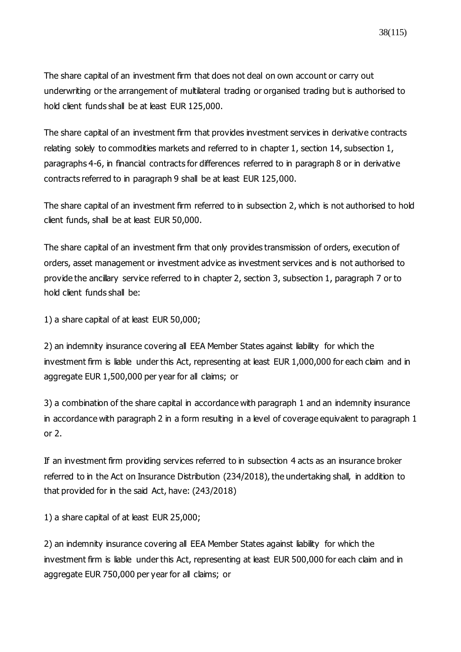The share capital of an investment firm that does not deal on own account or carry out underwriting or the arrangement of multilateral trading or organised trading but is authorised to hold client funds shall be at least EUR 125,000.

The share capital of an investment firm that provides investment services in derivative contracts relating solely to commodities markets and referred to in chapter 1, section 14, subsection 1, paragraphs 4-6, in financial contracts for differences referred to in paragraph 8 or in derivative contracts referred to in paragraph 9 shall be at least EUR 125,000.

The share capital of an investment firm referred to in subsection 2, which is not authorised to hold client funds, shall be at least EUR 50,000.

The share capital of an investment firm that only provides transmission of orders, execution of orders, asset management or investment advice as investment services and is not authorised to provide the ancillary service referred to in chapter 2, section 3, subsection 1, paragraph 7 or to hold client funds shall be:

1) a share capital of at least EUR 50,000;

2) an indemnity insurance covering all EEA Member States against liability for which the investment firm is liable under this Act, representing at least EUR 1,000,000 for each claim and in aggregate EUR 1,500,000 per year for all claims; or

3) a combination of the share capital in accordance with paragraph 1 and an indemnity insurance in accordance with paragraph 2 in a form resulting in a level of coverage equivalent to paragraph 1 or 2.

If an investment firm providing services referred to in subsection 4 acts as an insurance broker referred to in the Act on Insurance Distribution (234/2018), the undertaking shall, in addition to that provided for in the said Act, have: (243/2018)

1) a share capital of at least EUR 25,000;

2) an indemnity insurance covering all EEA Member States against liability for which the investment firm is liable under this Act, representing at least EUR 500,000 for each claim and in aggregate EUR 750,000 per year for all claims; or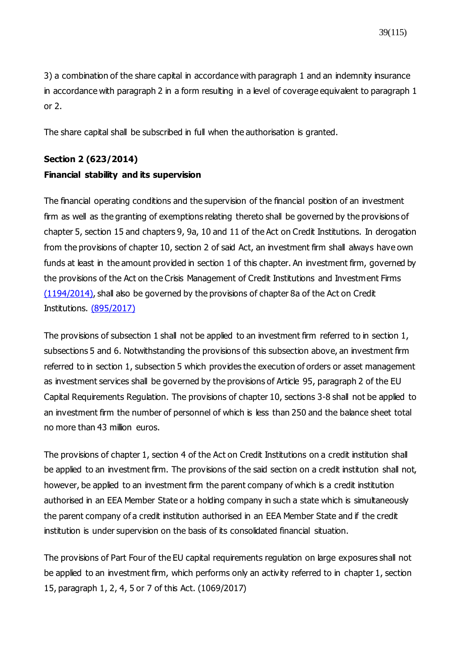39(115)

3) a combination of the share capital in accordance with paragraph 1 and an indemnity insurance in accordance with paragraph 2 in a form resulting in a level of coverage equivalent to paragraph 1 or 2.

The share capital shall be subscribed in full when the authorisation is granted.

# **Section 2 [\(623/2014\)](https://www.finlex.fi/fi/laki/ajantasa/2012/20120747#a8.8.2014-623) Financial stability and its supervision**

The financial operating conditions and the supervision of the financial position of an investment firm as well as the granting of exemptions relating thereto shall be governed by the provisions of chapter 5, section 15 and chapters 9, 9a, 10 and 11 of the Act on Credit Institutions. In derogation from the provisions of chapter 10, section 2 of said Act, an investment firm shall always have own funds at least in the amount provided in section 1 of this chapter. An investment firm, governed by the provisions of the Act on the Crisis Management of Credit Institutions and Investment Firms [\(1194/2014\)](https://www.finlex.fi/fi/laki/ajantasa/2014/20141194), shall also be governed by the provisions of chapter 8a of the Act on Credit Institutions. [\(895/2017\)](https://www.finlex.fi/fi/laki/ajantasa/2012/20120747#a14.12.2017-895)

The provisions of subsection 1 shall not be applied to an investment firm referred to in section 1, subsections 5 and 6. Notwithstanding the provisions of this subsection above, an investment firm referred to in section 1, subsection 5 which provides the execution of orders or asset management as investment services shall be governed by the provisions of Article 95, paragraph 2 of the EU Capital Requirements Regulation. The provisions of chapter 10, sections 3-8 shall not be applied to an investment firm the number of personnel of which is less than 250 and the balance sheet total no more than 43 million euros.

The provisions of chapter 1, section 4 of the Act on Credit Institutions on a credit institution shall be applied to an investment firm. The provisions of the said section on a credit institution shall not, however, be applied to an investment firm the parent company of which is a credit institution authorised in an EEA Member State or a holding company in such a state which is simultaneously the parent company of a credit institution authorised in an EEA Member State and if the credit institution is under supervision on the basis of its consolidated financial situation.

The provisions of Part Four of the EU capital requirements regulation on large exposures shall not be applied to an investment firm, which performs only an activity referred to in chapter 1, section 15, paragraph 1, 2, 4, 5 or 7 of this Act. (1069/2017)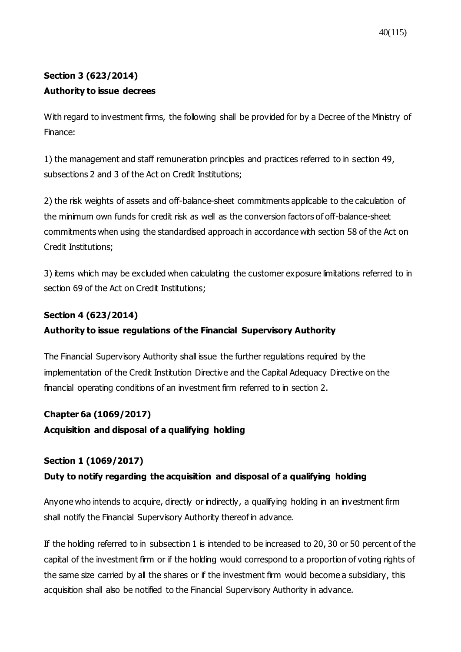# **Section 3 (623/2014) Authority to issue decrees**

With regard to investment firms, the following shall be provided for by a Decree of the Ministry of Finance:

1) the management and staff remuneration principles and practices referred to in section 49, subsections 2 and 3 of the Act on Credit Institutions;

2) the risk weights of assets and off-balance-sheet commitments applicable to the calculation of the minimum own funds for credit risk as well as the conversion factors of off-balance-sheet commitments when using the standardised approach in accordance with section 58 of the Act on Credit Institutions;

3) items which may be excluded when calculating the customer exposure limitations referred to in section 69 of the Act on Credit Institutions;

### **Section 4 (623/2014)**

### **Authority to issue regulations of the Financial Supervisory Authority**

The Financial Supervisory Authority shall issue the further regulations required by the implementation of the Credit Institution Directive and the Capital Adequacy Directive on the financial operating conditions of an investment firm referred to in section 2.

### **Chapter 6a [\(1069/2017\)](https://www.finlex.fi/fi/laki/ajantasa/2012/20120747#a28.12.2017-1069)**

**Acquisition and disposal of a qualifying holding**

### **Section 1 [\(1069/2017\)](https://www.finlex.fi/fi/laki/ajantasa/2012/20120747#a28.12.2017-1069)**

### **Duty to notify regarding the acquisition and disposal of a qualifying holding**

Anyone who intends to acquire, directly or indirectly, a qualifying holding in an investment firm shall notify the Financial Supervisory Authority thereof in advance.

If the holding referred to in subsection 1 is intended to be increased to 20, 30 or 50 percent of the capital of the investment firm or if the holding would correspond to a proportion of voting rights of the same size carried by all the shares or if the investment firm would become a subsidiary, this acquisition shall also be notified to the Financial Supervisory Authority in advance.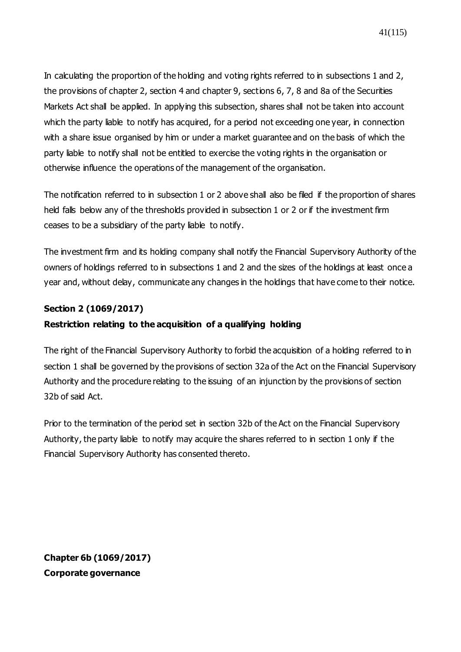In calculating the proportion of the holding and voting rights referred to in subsections 1 and 2, the provisions of chapter 2, section 4 and chapter 9, sections 6, 7, 8 and 8a of the Securities Markets Act shall be applied. In applying this subsection, shares shall not be taken into account which the party liable to notify has acquired, for a period not exceeding one year, in connection with a share issue organised by him or under a market guarantee and on the basis of which the party liable to notify shall not be entitled to exercise the voting rights in the organisation or otherwise influence the operations of the management of the organisation.

The notification referred to in subsection 1 or 2 above shall also be filed if the proportion of shares held falls below any of the thresholds provided in subsection 1 or 2 or if the investment firm ceases to be a subsidiary of the party liable to notify.

The investment firm and its holding company shall notify the Financial Supervisory Authority of the owners of holdings referred to in subsections 1 and 2 and the sizes of the holdings at least once a year and, without delay, communicate any changes in the holdings that have come to their notice.

### **Section 2 [\(1069/2017\)](https://www.finlex.fi/fi/laki/ajantasa/2012/20120747#a28.12.2017-1069)**

#### **Restriction relating to the acquisition of a qualifying holding**

The right of the Financial Supervisory Authority to forbid the acquisition of a holding referred to in section 1 shall be governed by the provisions of section 32a of the Act on the Financial Supervisory Authority and the procedure relating to the issuing of an injunction by the provisions of section 32b of said Act.

Prior to the termination of the period set in section 32b of the Act on the Financial Supervisory Authority, the party liable to notify may acquire the shares referred to in section 1 only if the Financial Supervisory Authority has consented thereto.

**Chapter 6b [\(1069/2017\)](https://www.finlex.fi/fi/laki/ajantasa/2012/20120747#a28.12.2017-1069) Corporate governance**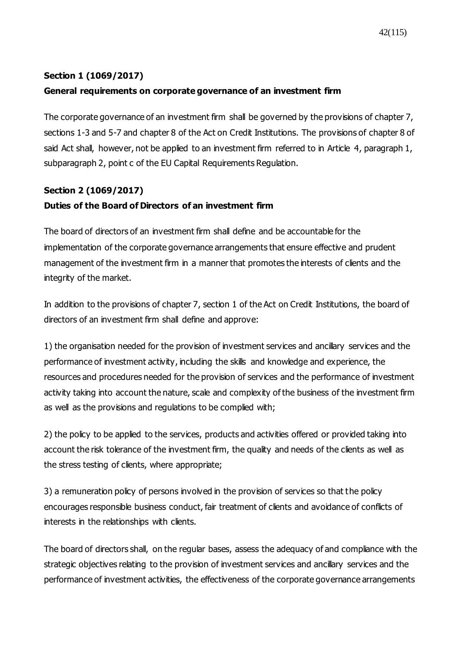### **Section 1 [\(1069/2017\)](https://www.finlex.fi/fi/laki/ajantasa/2012/20120747#a28.12.2017-1069)**

### **General requirements on corporate governance of an investment firm**

The corporate governance of an investment firm shall be governed by the provisions of chapter 7, sections 1-3 and 5-7 and chapter 8 of the Act on Credit Institutions. The provisions of chapter 8 of said Act shall, however, not be applied to an investment firm referred to in Article 4, paragraph 1, subparagraph 2, point c of the EU Capital Requirements Regulation.

# **Section 2 [\(1069/2017\)](https://www.finlex.fi/fi/laki/ajantasa/2012/20120747#a28.12.2017-1069) Duties of the Board of Directors of an investment firm**

The board of directors of an investment firm shall define and be accountable for the implementation of the corporate governance arrangements that ensure effective and prudent management of the investment firm in a manner that promotes the interests of clients and the integrity of the market.

In addition to the provisions of chapter 7, section 1 of the Act on Credit Institutions, the board of directors of an investment firm shall define and approve:

1) the organisation needed for the provision of investment services and ancillary services and the performance of investment activity, including the skills and knowledge and experience, the resources and procedures needed for the provision of services and the performance of investment activity taking into account the nature, scale and complexity of the business of the investment firm as well as the provisions and regulations to be complied with;

2) the policy to be applied to the services, products and activities offered or provided taking into account the risk tolerance of the investment firm, the quality and needs of the clients as well as the stress testing of clients, where appropriate;

3) a remuneration policy of persons involved in the provision of services so that the policy encourages responsible business conduct, fair treatment of clients and avoidance of conflicts of interests in the relationships with clients.

The board of directors shall, on the regular bases, assess the adequacy of and compliance with the strategic objectives relating to the provision of investment services and ancillary services and the performance of investment activities, the effectiveness of the corporate governance arrangements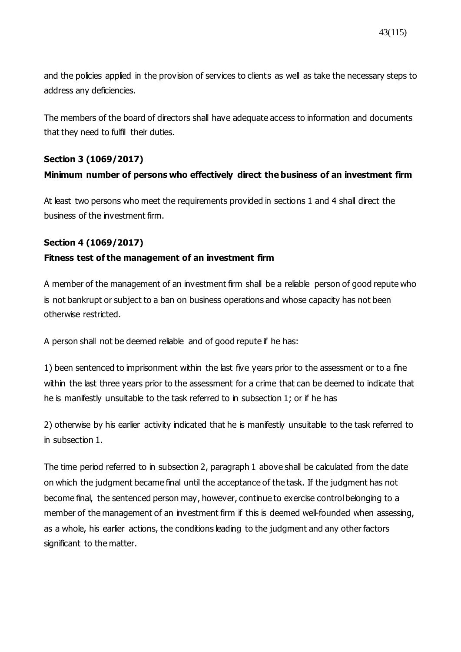and the policies applied in the provision of services to clients as well as take the necessary steps to address any deficiencies.

The members of the board of directors shall have adequate access to information and documents that they need to fulfil their duties.

### **Section 3 [\(1069/2017\)](https://www.finlex.fi/fi/laki/ajantasa/2012/20120747#a28.12.2017-1069)**

### **Minimum number of persons who effectively direct the business of an investment firm**

At least two persons who meet the requirements provided in sections 1 and 4 shall direct the business of the investment firm.

#### **Section 4 [\(1069/2017\)](https://www.finlex.fi/fi/laki/ajantasa/2012/20120747#a28.12.2017-1069)**

#### **Fitness test of the management of an investment firm**

A member of the management of an investment firm shall be a reliable person of good repute who is not bankrupt or subject to a ban on business operations and whose capacity has not been otherwise restricted.

A person shall not be deemed reliable and of good repute if he has:

1) been sentenced to imprisonment within the last five years prior to the assessment or to a fine within the last three years prior to the assessment for a crime that can be deemed to indicate that he is manifestly unsuitable to the task referred to in subsection 1; or if he has

2) otherwise by his earlier activity indicated that he is manifestly unsuitable to the task referred to in subsection 1.

The time period referred to in subsection 2, paragraph 1 above shall be calculated from the date on which the judgment became final until the acceptance of the task. If the judgment has not become final, the sentenced person may, however, continue to exercise control belonging to a member of the management of an investment firm if this is deemed well-founded when assessing, as a whole, his earlier actions, the conditions leading to the judgment and any other factors significant to the matter.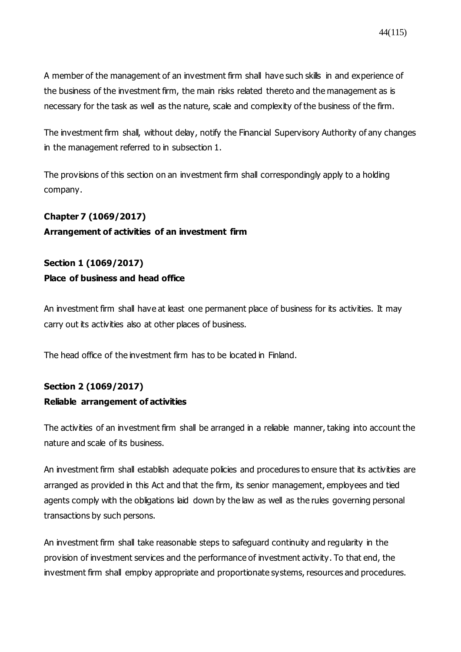A member of the management of an investment firm shall have such skills in and experience of the business of the investment firm, the main risks related thereto and the management as is necessary for the task as well as the nature, scale and complexity of the business of the firm.

The investment firm shall, without delay, notify the Financial Supervisory Authority of any changes in the management referred to in subsection 1.

The provisions of this section on an investment firm shall correspondingly apply to a holding company.

# **Chapter 7 (1069/2017)**

#### **Arrangement of activities of an investment firm**

# **Section 1 (1069/2017) Place of business and head office**

An investment firm shall have at least one permanent place of business for its activities. It may carry out its activities also at other places of business.

The head office of the investment firm has to be located in Finland.

# **Section 2 [\(1069/2017\)](https://www.finlex.fi/fi/laki/ajantasa/2012/20120747#a28.12.2017-1069)**

# **Reliable arrangement of activities**

The activities of an investment firm shall be arranged in a reliable manner, taking into account the nature and scale of its business.

An investment firm shall establish adequate policies and procedures to ensure that its activities are arranged as provided in this Act and that the firm, its senior management, employees and tied agents comply with the obligations laid down by the law as well as the rules governing personal transactions by such persons.

An investment firm shall take reasonable steps to safeguard continuity and regularity in the provision of investment services and the performance of investment activity. To that end, the investment firm shall employ appropriate and proportionate systems, resources and procedures.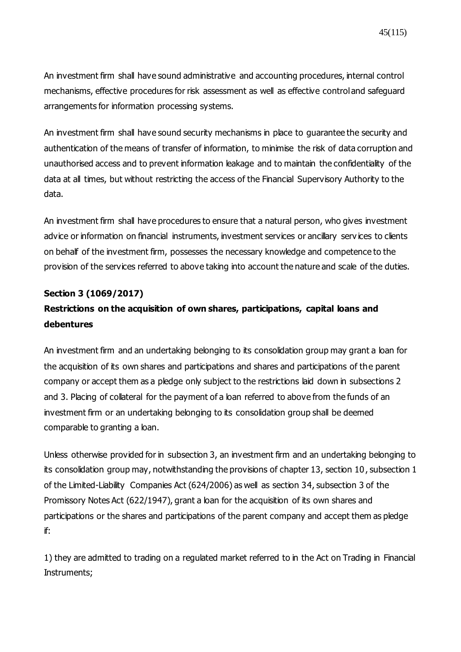An investment firm shall have sound administrative and accounting procedures, internal control mechanisms, effective procedures for risk assessment as well as effective control and safeguard arrangements for information processing systems.

An investment firm shall have sound security mechanisms in place to guarantee the security and authentication of the means of transfer of information, to minimise the risk of data corruption and unauthorised access and to prevent information leakage and to maintain the confidentiality of the data at all times, but without restricting the access of the Financial Supervisory Authority to the data.

An investment firm shall have procedures to ensure that a natural person, who gives investment advice or information on financial instruments, investment services or ancillary serv ices to clients on behalf of the investment firm, possesses the necessary knowledge and competence to the provision of the services referred to above taking into account the nature and scale of the duties.

#### **Section 3 (1069/2017)**

# **Restrictions on the acquisition of own shares, participations, capital loans and debentures**

An investment firm and an undertaking belonging to its consolidation group may grant a loan for the acquisition of its own shares and participations and shares and participations of the parent company or accept them as a pledge only subject to the restrictions laid down in subsections 2 and 3. Placing of collateral for the payment of a loan referred to above from the funds of an investment firm or an undertaking belonging to its consolidation group shall be deemed comparable to granting a loan.

Unless otherwise provided for in subsection 3, an investment firm and an undertaking belonging to its consolidation group may, notwithstanding the provisions of chapter 13, section 10, subsection 1 of the Limited-Liability Companies Act (624/2006) as well as section 34, subsection 3 of the Promissory Notes Act (622/1947), grant a loan for the acquisition of its own shares and participations or the shares and participations of the parent company and accept them as pledge if:

1) they are admitted to trading on a regulated market referred to in the Act on Trading in Financial Instruments;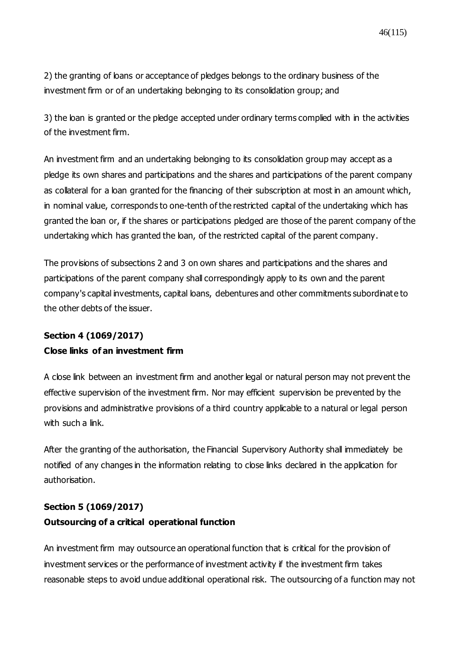2) the granting of loans or acceptance of pledges belongs to the ordinary business of the investment firm or of an undertaking belonging to its consolidation group; and

3) the loan is granted or the pledge accepted under ordinary terms complied with in the activities of the investment firm.

An investment firm and an undertaking belonging to its consolidation group may accept as a pledge its own shares and participations and the shares and participations of the parent company as collateral for a loan granted for the financing of their subscription at most in an amount which, in nominal value, corresponds to one-tenth of the restricted capital of the undertaking which has granted the loan or, if the shares or participations pledged are those of the parent company of the undertaking which has granted the loan, of the restricted capital of the parent company.

The provisions of subsections 2 and 3 on own shares and participations and the shares and participations of the parent company shall correspondingly apply to its own and the parent company's capital investments, capital loans, debentures and other commitments subordinate to the other debts of the issuer.

# **Section 4 [\(1069/2017\)](https://www.finlex.fi/fi/laki/ajantasa/2012/20120747#a28.12.2017-1069)**

### **Close links of an investment firm**

A close link between an investment firm and another legal or natural person may not prevent the effective supervision of the investment firm. Nor may efficient supervision be prevented by the provisions and administrative provisions of a third country applicable to a natural or legal person with such a link.

After the granting of the authorisation, the Financial Supervisory Authority shall immediately be notified of any changes in the information relating to close links declared in the application for authorisation.

### **Section 5 [\(1069/2017\)](https://www.finlex.fi/fi/laki/ajantasa/2012/20120747#a28.12.2017-1069)**

### **Outsourcing of a critical operational function**

An investment firm may outsource an operational function that is critical for the provision of investment services or the performance of investment activity if the investment firm takes reasonable steps to avoid undue additional operational risk. The outsourcing of a function may not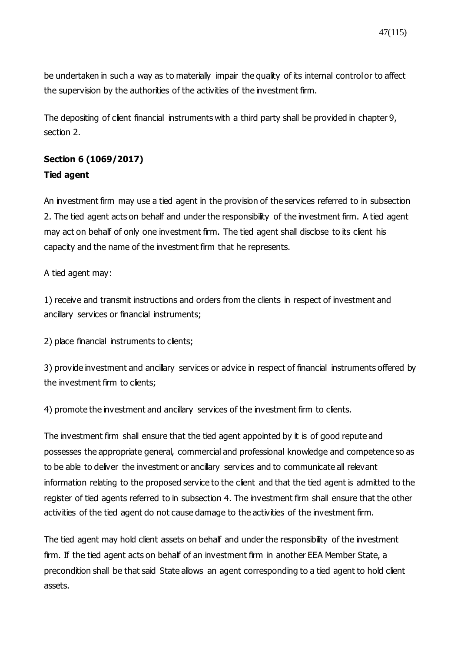be undertaken in such a way as to materially impair the quality of its internal control or to affect the supervision by the authorities of the activities of the investment firm.

The depositing of client financial instruments with a third party shall be provided in chapter 9, section 2.

# **Section 6 [\(1069/2017\)](https://www.finlex.fi/fi/laki/ajantasa/2012/20120747#a28.12.2017-1069) Tied agent**

An investment firm may use a tied agent in the provision of the services referred to in subsection 2. The tied agent acts on behalf and under the responsibility of the investment firm. A tied agent may act on behalf of only one investment firm. The tied agent shall disclose to its client his capacity and the name of the investment firm that he represents.

A tied agent may:

1) receive and transmit instructions and orders from the clients in respect of investment and ancillary services or financial instruments;

2) place financial instruments to clients;

3) provide investment and ancillary services or advice in respect of financial instruments offered by the investment firm to clients;

4) promote the investment and ancillary services of the investment firm to clients.

The investment firm shall ensure that the tied agent appointed by it is of good repute and possesses the appropriate general, commercial and professional knowledge and competence so as to be able to deliver the investment or ancillary services and to communicate all relevant information relating to the proposed service to the client and that the tied agent is admitted to the register of tied agents referred to in subsection 4. The investment firm shall ensure that the other activities of the tied agent do not cause damage to the activities of the investment firm.

The tied agent may hold client assets on behalf and under the responsibility of the investment firm. If the tied agent acts on behalf of an investment firm in another EEA Member State, a precondition shall be that said State allows an agent corresponding to a tied agent to hold client assets.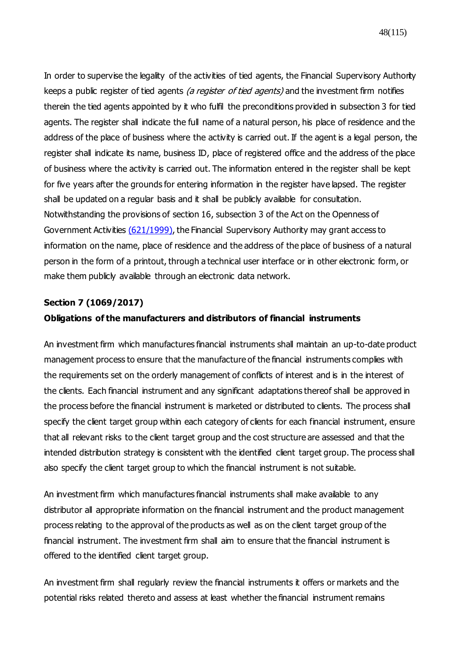In order to supervise the legality of the activities of tied agents, the Financial Supervisory Authority keeps a public register of tied agents (a register of tied agents) and the investment firm notifies therein the tied agents appointed by it who fulfil the preconditions provided in subsection 3 for tied agents. The register shall indicate the full name of a natural person, his place of residence and the address of the place of business where the activity is carried out. If the agent is a legal person, the register shall indicate its name, business ID, place of registered office and the address of the place of business where the activity is carried out. The information entered in the register shall be kept for five years after the grounds for entering information in the register have lapsed. The register shall be updated on a regular basis and it shall be publicly available for consultation. Notwithstanding the provisions of section 16, subsection 3 of the Act on the Openness of Government Activities [\(621/1999\),](https://www.finlex.fi/fi/laki/ajantasa/1999/19990621) the Financial Supervisory Authority may grant access to information on the name, place of residence and the address of the place of business of a natural person in the form of a printout, through a technical user interface or in other electronic form, or make them publicly available through an electronic data network.

#### **Section 7 [\(1069/2017\)](https://www.finlex.fi/fi/laki/ajantasa/2012/20120747#a28.12.2017-1069)**

#### **Obligations of the manufacturers and distributors of financial instruments**

An investment firm which manufactures financial instruments shall maintain an up-to-date product management process to ensure that the manufacture of the financial instruments complies with the requirements set on the orderly management of conflicts of interest and is in the interest of the clients. Each financial instrument and any significant adaptations thereof shall be approved in the process before the financial instrument is marketed or distributed to clients. The process shall specify the client target group within each category of clients for each financial instrument, ensure that all relevant risks to the client target group and the cost structure are assessed and that the intended distribution strategy is consistent with the identified client target group. The process shall also specify the client target group to which the financial instrument is not suitable.

An investment firm which manufactures financial instruments shall make available to any distributor all appropriate information on the financial instrument and the product management process relating to the approval of the products as well as on the client target group of the financial instrument. The investment firm shall aim to ensure that the financial instrument is offered to the identified client target group.

An investment firm shall regularly review the financial instruments it offers or markets and the potential risks related thereto and assess at least whether the financial instrument remains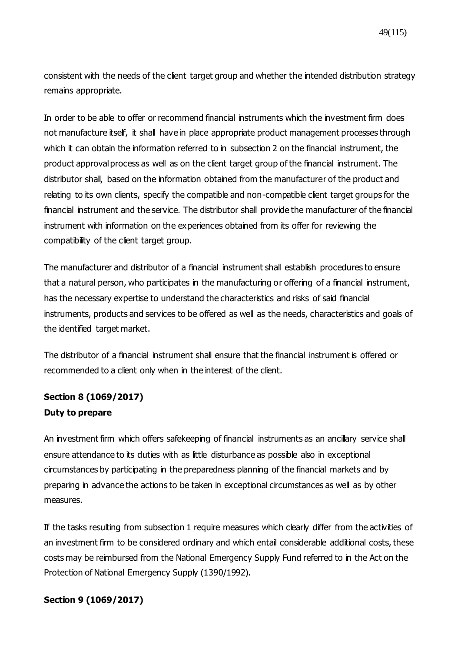49(115)

consistent with the needs of the client target group and whether the intended distribution strategy remains appropriate.

In order to be able to offer or recommend financial instruments which the investment firm does not manufacture itself, it shall have in place appropriate product management processes through which it can obtain the information referred to in subsection 2 on the financial instrument, the product approval process as well as on the client target group of the financial instrument. The distributor shall, based on the information obtained from the manufacturer of the product and relating to its own clients, specify the compatible and non-compatible client target groups for the financial instrument and the service. The distributor shall provide the manufacturer of the financial instrument with information on the experiences obtained from its offer for reviewing the compatibility of the client target group.

The manufacturer and distributor of a financial instrument shall establish procedures to ensure that a natural person, who participates in the manufacturing or offering of a financial instrument, has the necessary expertise to understand the characteristics and risks of said financial instruments, products and services to be offered as well as the needs, characteristics and goals of the identified target market.

The distributor of a financial instrument shall ensure that the financial instrument is offered or recommended to a client only when in the interest of the client.

# **Section 8 (1069/2017) Duty to prepare**

An investment firm which offers safekeeping of financial instruments as an ancillary service shall ensure attendance to its duties with as little disturbance as possible also in exceptional circumstances by participating in the preparedness planning of the financial markets and by preparing in advance the actions to be taken in exceptional circumstances as well as by other measures.

If the tasks resulting from subsection 1 require measures which clearly differ from the activities of an investment firm to be considered ordinary and which entail considerable additional costs, these costs may be reimbursed from the National Emergency Supply Fund referred to in the Act on the Protection of National Emergency Supply (1390/1992).

### **Section 9 [\(1069/2017\)](https://www.finlex.fi/fi/laki/ajantasa/2012/20120747#a28.12.2017-1069)**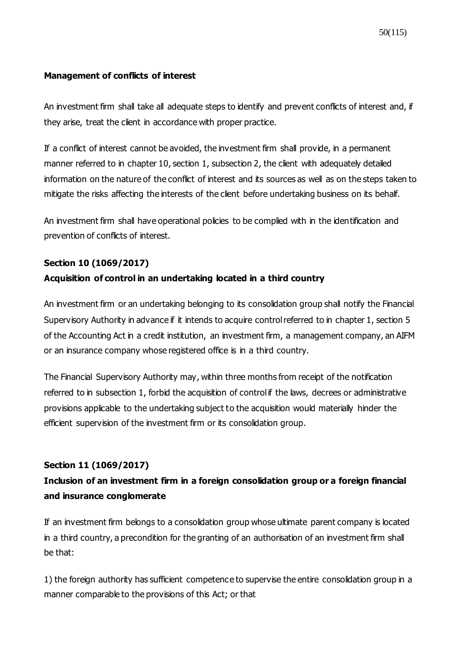#### **Management of conflicts of interest**

An investment firm shall take all adequate steps to identify and prevent conflicts of interest and, if they arise, treat the client in accordance with proper practice.

If a conflict of interest cannot be avoided, the investment firm shall provide, in a permanent manner referred to in chapter 10, section 1, subsection 2, the client with adequately detailed information on the nature of the conflict of interest and its sources as well as on the steps taken to mitigate the risks affecting the interests of the client before undertaking business on its behalf.

An investment firm shall have operational policies to be complied with in the identification and prevention of conflicts of interest.

### **Section 10 (1069/2017)**

### **Acquisition of control in an undertaking located in a third country**

An investment firm or an undertaking belonging to its consolidation group shall notify the Financial Supervisory Authority in advance if it intends to acquire control referred to in chapter 1, section 5 of the Accounting Act in a credit institution, an investment firm, a management company, an AIFM or an insurance company whose registered office is in a third country.

The Financial Supervisory Authority may, within three months from receipt of the notification referred to in subsection 1, forbid the acquisition of control if the laws, decrees or administrative provisions applicable to the undertaking subject to the acquisition would materially hinder the efficient supervision of the investment firm or its consolidation group.

### **Section 11 (1069/2017)**

# **Inclusion of an investment firm in a foreign consolidation group or a foreign financial and insurance conglomerate**

If an investment firm belongs to a consolidation group whose ultimate parent company is located in a third country, a precondition for the granting of an authorisation of an investment firm shall be that:

1) the foreign authority has sufficient competence to supervise the entire consolidation group in a manner comparable to the provisions of this Act; or that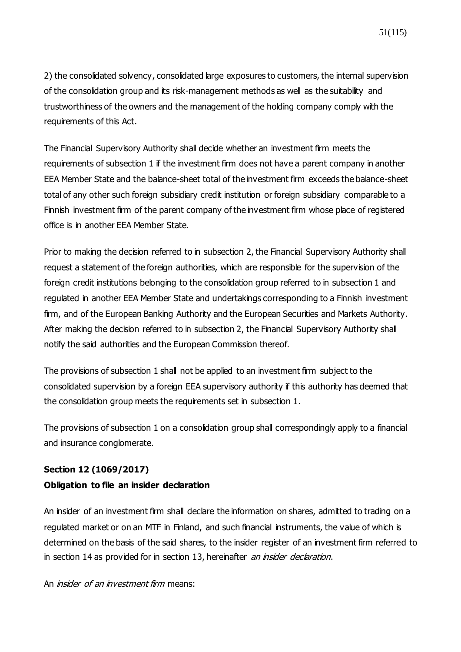2) the consolidated solvency, consolidated large exposures to customers, the internal supervision of the consolidation group and its risk-management methods as well as the suitability and trustworthiness of the owners and the management of the holding company comply with the requirements of this Act.

The Financial Supervisory Authority shall decide whether an investment firm meets the requirements of subsection 1 if the investment firm does not have a parent company in another EEA Member State and the balance-sheet total of the investment firm exceeds the balance-sheet total of any other such foreign subsidiary credit institution or foreign subsidiary comparable to a Finnish investment firm of the parent company of the investment firm whose place of registered office is in another EEA Member State.

Prior to making the decision referred to in subsection 2, the Financial Supervisory Authority shall request a statement of the foreign authorities, which are responsible for the supervision of the foreign credit institutions belonging to the consolidation group referred to in subsection 1 and regulated in another EEA Member State and undertakings corresponding to a Finnish investment firm, and of the European Banking Authority and the European Securities and Markets Authority. After making the decision referred to in subsection 2, the Financial Supervisory Authority shall notify the said authorities and the European Commission thereof.

The provisions of subsection 1 shall not be applied to an investment firm subject to the consolidated supervision by a foreign EEA supervisory authority if this authority has deemed that the consolidation group meets the requirements set in subsection 1.

The provisions of subsection 1 on a consolidation group shall correspondingly apply to a financial and insurance conglomerate.

### **Section 12 (1069/2017)**

### **Obligation to file an insider declaration**

An insider of an investment firm shall declare the information on shares, admitted to trading on a regulated market or on an MTF in Finland, and such financial instruments, the value of which is determined on the basis of the said shares, to the insider register of an investment firm referred to in section 14 as provided for in section 13, hereinafter an insider declaration.

An *insider of an investment firm* means: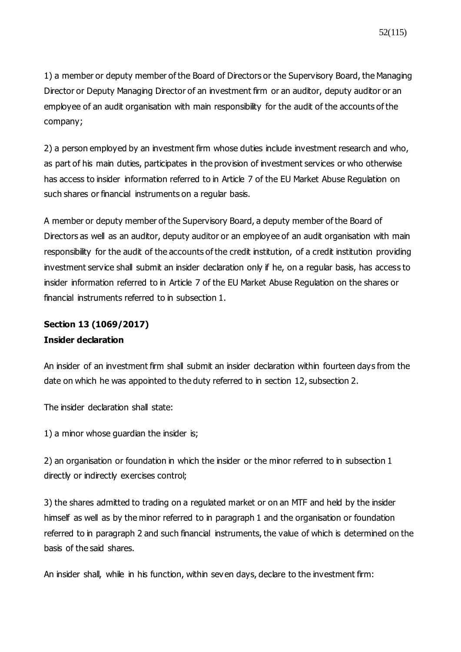1) a member or deputy member of the Board of Directors or the Supervisory Board, the Managing Director or Deputy Managing Director of an investment firm or an auditor, deputy auditor or an employee of an audit organisation with main responsibility for the audit of the accounts of the company;

2) a person employed by an investment firm whose duties include investment research and who, as part of his main duties, participates in the provision of investment services or who otherwise has access to insider information referred to in Article 7 of the EU Market Abuse Regulation on such shares or financial instruments on a regular basis.

A member or deputy member of the Supervisory Board, a deputy member of the Board of Directors as well as an auditor, deputy auditor or an employee of an audit organisation with main responsibility for the audit of the accounts of the credit institution, of a credit institution providing investment service shall submit an insider declaration only if he, on a regular basis, has access to insider information referred to in Article 7 of the EU Market Abuse Regulation on the shares or financial instruments referred to in subsection 1.

## **Section 13 (1069/2017) Insider declaration**

An insider of an investment firm shall submit an insider declaration within fourteen days from the date on which he was appointed to the duty referred to in section 12, subsection 2.

The insider declaration shall state:

1) a minor whose guardian the insider is;

2) an organisation or foundation in which the insider or the minor referred to in subsection 1 directly or indirectly exercises control;

3) the shares admitted to trading on a regulated market or on an MTF and held by the insider himself as well as by the minor referred to in paragraph 1 and the organisation or foundation referred to in paragraph 2 and such financial instruments, the value of which is determined on the basis of the said shares.

An insider shall, while in his function, within seven days, declare to the investment firm: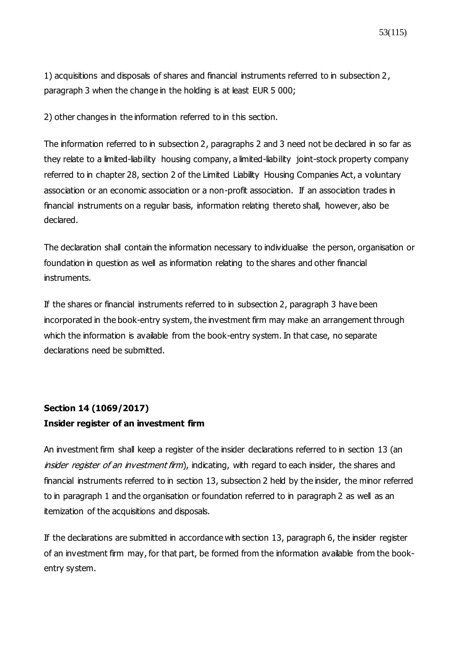1) acquisitions and disposals of shares and financial instruments referred to in subsection 2, paragraph 3 when the change in the holding is at least EUR 5 000;

2) other changes in the information referred to in this section.

The information referred to in subsection 2, paragraphs 2 and 3 need not be declared in so far as they relate to a limited-liability housing company, a limited-liability joint-stock property company referred to in chapter 28, section 2 of the Limited Liability Housing Companies Act, a voluntary association or an economic association or a non-profit association. If an association trades in financial instruments on a regular basis, information relating thereto shall, however, also be declared.

The declaration shall contain the information necessary to individualise the person, organisation or foundation in question as well as information relating to the shares and other financial instruments.

If the shares or financial instruments referred to in subsection 2, paragraph 3 have been incorporated in the book-entry system, the investment firm may make an arrangement through which the information is available from the book-entry system. In that case, no separate declarations need be submitted.

# **Section 14 (1069/2017) Insider register of an investment firm**

An investment firm shall keep a register of the insider declarations referred to in section 13 (an insider register of an investment firm), indicating, with regard to each insider, the shares and financial instruments referred to in section 13, subsection 2 held by the insider, the minor referred to in paragraph 1 and the organisation or foundation referred to in paragraph 2 as well as an itemization of the acquisitions and disposals.

If the declarations are submitted in accordance with section 13, paragraph 6, the insider register of an investment firm may, for that part, be formed from the information available from the bookentry system.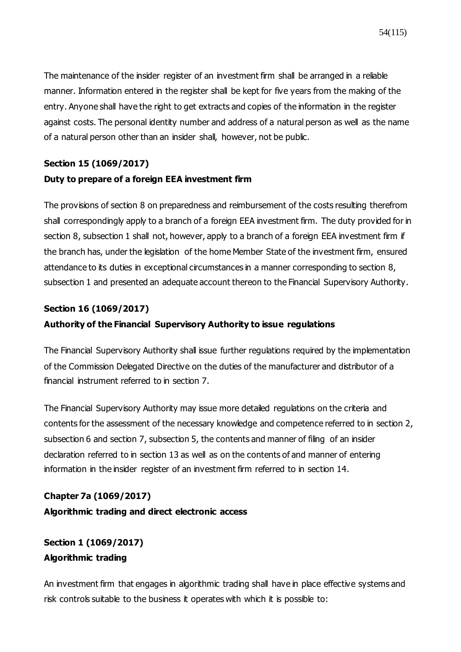The maintenance of the insider register of an investment firm shall be arranged in a reliable manner. Information entered in the register shall be kept for five years from the making of the entry. Anyone shall have the right to get extracts and copies of the information in the register against costs. The personal identity number and address of a natural person as well as the name of a natural person other than an insider shall, however, not be public.

# **Section 15 (1069/2017) Duty to prepare of a foreign EEA investment firm**

The provisions of section 8 on preparedness and reimbursement of the costs resulting therefrom shall correspondingly apply to a branch of a foreign EEA investment firm. The duty provided for in section 8, subsection 1 shall not, however, apply to a branch of a foreign EEA investment firm if the branch has, under the legislation of the home Member State of the investment firm, ensured attendance to its duties in exceptional circumstances in a manner corresponding to section 8, subsection 1 and presented an adequate account thereon to the Financial Supervisory Authority.

### **Section 16 [\(1069/2017\)](https://www.finlex.fi/fi/laki/ajantasa/2012/20120747#a28.12.2017-1069)**

### **Authority of the Financial Supervisory Authority to issue regulations**

The Financial Supervisory Authority shall issue further regulations required by the implementation of the Commission Delegated Directive on the duties of the manufacturer and distributor of a financial instrument referred to in section 7.

The Financial Supervisory Authority may issue more detailed regulations on the criteria and contents for the assessment of the necessary knowledge and competence referred to in section 2, subsection 6 and section 7, subsection 5, the contents and manner of filing of an insider declaration referred to in section 13 as well as on the contents of and manner of entering information in the insider register of an investment firm referred to in section 14.

# **Chapter 7a [\(1069/2017\)](https://www.finlex.fi/fi/laki/ajantasa/2012/20120747#a28.12.2017-1069) Algorithmic trading and direct electronic access**

# **Section 1 [\(1069/2017\)](https://www.finlex.fi/fi/laki/ajantasa/2012/20120747#a28.12.2017-1069) Algorithmic trading**

An investment firm that engages in algorithmic trading shall have in place effective systems and risk controls suitable to the business it operates with which it is possible to: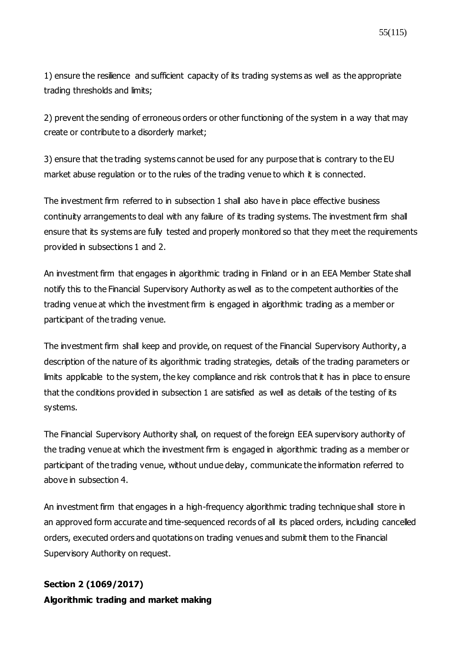1) ensure the resilience and sufficient capacity of its trading systems as well as the appropriate trading thresholds and limits;

2) prevent the sending of erroneous orders or other functioning of the system in a way that may create or contribute to a disorderly market;

3) ensure that the trading systems cannot be used for any purpose that is contrary to the EU market abuse regulation or to the rules of the trading venue to which it is connected.

The investment firm referred to in subsection 1 shall also have in place effective business continuity arrangements to deal with any failure of its trading systems. The investment firm shall ensure that its systems are fully tested and properly monitored so that they meet the requirements provided in subsections 1 and 2.

An investment firm that engages in algorithmic trading in Finland or in an EEA Member State shall notify this to the Financial Supervisory Authority as well as to the competent authorities of the trading venue at which the investment firm is engaged in algorithmic trading as a member or participant of the trading venue.

The investment firm shall keep and provide, on request of the Financial Supervisory Authority, a description of the nature of its algorithmic trading strategies, details of the trading parameters or limits applicable to the system, the key compliance and risk controls that it has in place to ensure that the conditions provided in subsection 1 are satisfied as well as details of the testing of its systems.

The Financial Supervisory Authority shall, on request of the foreign EEA supervisory authority of the trading venue at which the investment firm is engaged in algorithmic trading as a member or participant of the trading venue, without undue delay, communicate the information referred to above in subsection 4.

An investment firm that engages in a high-frequency algorithmic trading technique shall store in an approved form accurate and time-sequenced records of all its placed orders, including cancelled orders, executed orders and quotations on trading venues and submit them to the Financial Supervisory Authority on request.

# **Section 2 [\(1069/2017\)](https://www.finlex.fi/fi/laki/ajantasa/2012/20120747#a28.12.2017-1069) Algorithmic trading and market making**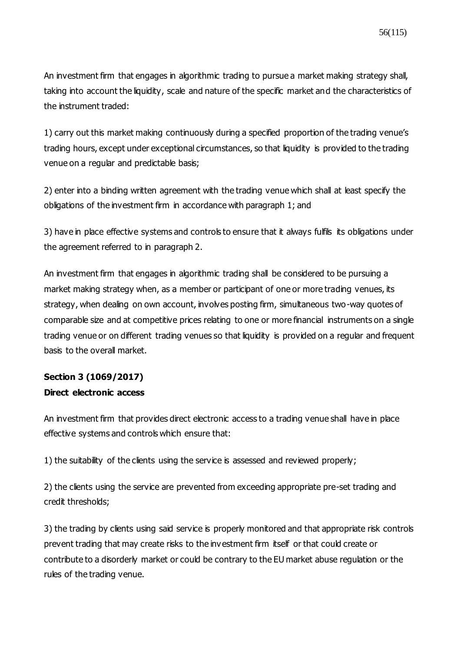An investment firm that engages in algorithmic trading to pursue a market making strategy shall, taking into account the liquidity, scale and nature of the specific market and the characteristics of the instrument traded:

1) carry out this market making continuously during a specified proportion of the trading venue's trading hours, except under exceptional circumstances, so that liquidity is provided to the trading venue on a regular and predictable basis;

2) enter into a binding written agreement with the trading venue which shall at least specify the obligations of the investment firm in accordance with paragraph 1; and

3) have in place effective systems and controls to ensure that it always fulfils its obligations under the agreement referred to in paragraph 2.

An investment firm that engages in algorithmic trading shall be considered to be pursuing a market making strategy when, as a member or participant of one or more trading venues, its strategy, when dealing on own account, involves posting firm, simultaneous two-way quotes of comparable size and at competitive prices relating to one or more financial instruments on a single trading venue or on different trading venues so that liquidity is provided on a regular and frequent basis to the overall market.

# **Section 3 [\(1069/2017\)](https://www.finlex.fi/fi/laki/ajantasa/2012/20120747#a28.12.2017-1069) Direct electronic access**

An investment firm that provides direct electronic access to a trading venue shall have in place effective systems and controls which ensure that:

1) the suitability of the clients using the service is assessed and reviewed properly;

2) the clients using the service are prevented from exceeding appropriate pre-set trading and credit thresholds;

3) the trading by clients using said service is properly monitored and that appropriate risk controls prevent trading that may create risks to the investment firm itself or that could create or contribute to a disorderly market or could be contrary to the EU market abuse regulation or the rules of the trading venue.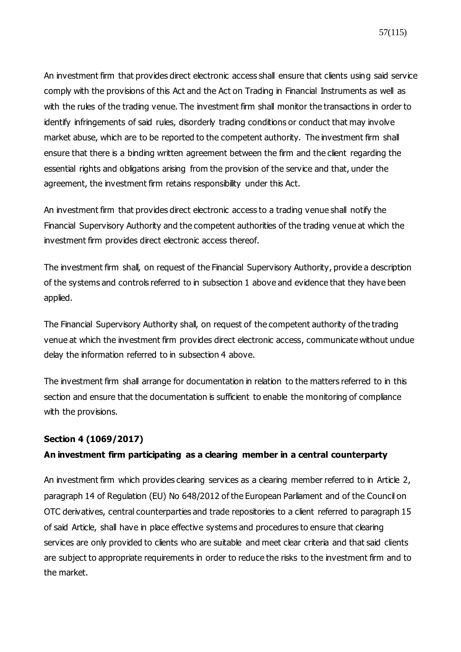An investment firm that provides direct electronic access shall ensure that clients using said service comply with the provisions of this Act and the Act on Trading in Financial Instruments as well as with the rules of the trading venue. The investment firm shall monitor the transactions in order to identify infringements of said rules, disorderly trading conditions or conduct that may involve market abuse, which are to be reported to the competent authority. The investment firm shall ensure that there is a binding written agreement between the firm and the client regarding the essential rights and obligations arising from the provision of the service and that, under the agreement, the investment firm retains responsibility under this Act.

An investment firm that provides direct electronic access to a trading venue shall notify the Financial Supervisory Authority and the competent authorities of the trading venue at which the investment firm provides direct electronic access thereof.

The investment firm shall, on request of the Financial Supervisory Authority, provide a description of the systems and controls referred to in subsection 1 above and evidence that they have been applied.

The Financial Supervisory Authority shall, on request of the competent authority of the trading venue at which the investment firm provides direct electronic access, communicate without undue delay the information referred to in subsection 4 above.

The investment firm shall arrange for documentation in relation to the matters referred to in this section and ensure that the documentation is sufficient to enable the monitoring of compliance with the provisions.

#### **Section 4 [\(1069/2017\)](https://www.finlex.fi/fi/laki/ajantasa/2012/20120747#a28.12.2017-1069)**

### **An investment firm participating as a clearing member in a central counterparty**

An investment firm which provides clearing services as a clearing member referred to in Article 2, paragraph 14 of Regulation (EU) No 648/2012 of the European Parliament and of the Council on OTC derivatives, central counterparties and trade repositories to a client referred to paragraph 15 of said Article, shall have in place effective systems and procedures to ensure that clearing services are only provided to clients who are suitable and meet clear criteria and that said clients are subject to appropriate requirements in order to reduce the risks to the investment firm and to the market.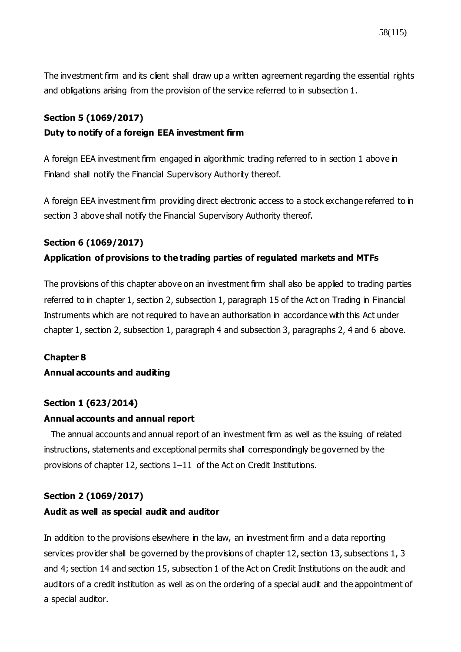The investment firm and its client shall draw up a written agreement regarding the essential rights and obligations arising from the provision of the service referred to in subsection 1.

#### **Section 5 [\(1069/2017\)](https://www.finlex.fi/fi/laki/ajantasa/2012/20120747#a28.12.2017-1069)**

#### **Duty to notify of a foreign EEA investment firm**

A foreign EEA investment firm engaged in algorithmic trading referred to in section 1 above in Finland shall notify the Financial Supervisory Authority thereof.

A foreign EEA investment firm providing direct electronic access to a stock exchange referred to in section 3 above shall notify the Financial Supervisory Authority thereof.

#### **Section 6 [\(1069/2017\)](https://www.finlex.fi/fi/laki/ajantasa/2012/20120747#a28.12.2017-1069)**

#### **Application of provisions to the trading parties of regulated markets and MTFs**

The provisions of this chapter above on an investment firm shall also be applied to trading parties referred to in chapter 1, section 2, subsection 1, paragraph 15 of the Act on Trading in Financial Instruments which are not required to have an authorisation in accordance with this Act under chapter 1, section 2, subsection 1, paragraph 4 and subsection 3, paragraphs 2, 4 and 6 above.

#### **Chapter 8**

#### **Annual accounts and auditing**

#### **Section 1 (623/2014)**

#### **Annual accounts and annual report**

The annual accounts and annual report of an investment firm as well as the issuing of related instructions, statements and exceptional permits shall correspondingly be governed by the provisions of chapter 12, sections 1–11 of the Act on Credit Institutions.

#### **Section 2 [\(1069/2017\)](https://www.finlex.fi/fi/laki/ajantasa/2012/20120747#a28.12.2017-1069)**

#### **Audit as well as special audit and auditor**

In addition to the provisions elsewhere in the law, an investment firm and a data reporting services provider shall be governed by the provisions of chapter 12, section 13, subsections 1, 3 and 4; section 14 and section 15, subsection 1 of the Act on Credit Institutions on the audit and auditors of a credit institution as well as on the ordering of a special audit and the appointment of a special auditor.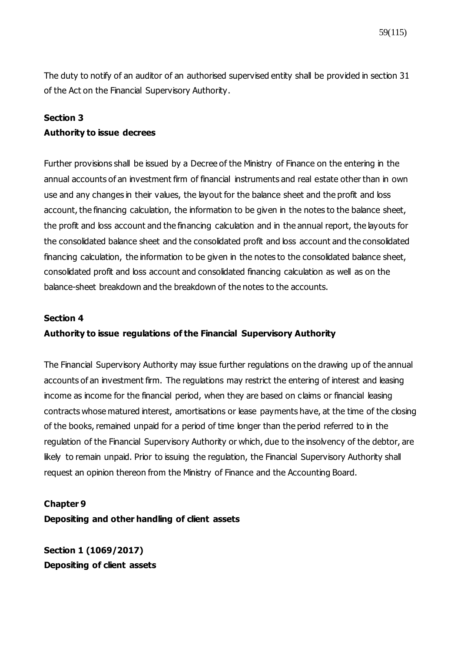The duty to notify of an auditor of an authorised supervised entity shall be provided in section 31 of the Act on the Financial Supervisory Authority.

### **Section 3**

#### **Authority to issue decrees**

Further provisions shall be issued by a Decree of the Ministry of Finance on the entering in the annual accounts of an investment firm of financial instruments and real estate other than in own use and any changes in their values, the layout for the balance sheet and the profit and loss account, the financing calculation, the information to be given in the notes to the balance sheet, the profit and loss account and the financing calculation and in the annual report, the layouts for the consolidated balance sheet and the consolidated profit and loss account and the consolidated financing calculation, the information to be given in the notes to the consolidated balance sheet, consolidated profit and loss account and consolidated financing calculation as well as on the balance-sheet breakdown and the breakdown of the notes to the accounts.

#### **Section 4**

### **Authority to issue regulations of the Financial Supervisory Authority**

The Financial Supervisory Authority may issue further regulations on the drawing up of the annual accounts of an investment firm. The regulations may restrict the entering of interest and leasing income as income for the financial period, when they are based on claims or financial leasing contracts whose matured interest, amortisations or lease payments have, at the time of the closing of the books, remained unpaid for a period of time longer than the period referred to in the regulation of the Financial Supervisory Authority or which, due to the insolvency of the debtor, are likely to remain unpaid. Prior to issuing the regulation, the Financial Supervisory Authority shall request an opinion thereon from the Ministry of Finance and the Accounting Board.

#### **Chapter 9**

**Depositing and other handling of client assets**

**Section 1 (1069/2017) Depositing of client assets**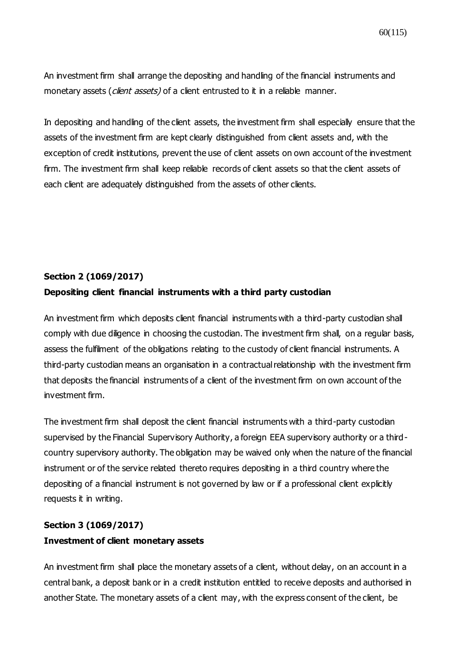An investment firm shall arrange the depositing and handling of the financial instruments and monetary assets (*client assets*) of a client entrusted to it in a reliable manner.

In depositing and handling of the client assets, the investment firm shall especially ensure that the assets of the investment firm are kept clearly distinguished from client assets and, with the exception of credit institutions, prevent the use of client assets on own account of the investment firm. The investment firm shall keep reliable records of client assets so that the client assets of each client are adequately distinguished from the assets of other clients.

### **Section 2 [\(1069/2017\)](https://www.finlex.fi/fi/laki/ajantasa/2012/20120747#a28.12.2017-1069)**

#### **Depositing client financial instruments with a third party custodian**

An investment firm which deposits client financial instruments with a third-party custodian shall comply with due diligence in choosing the custodian. The investment firm shall, on a regular basis, assess the fulfilment of the obligations relating to the custody of client financial instruments. A third-party custodian means an organisation in a contractual relationship with the investment firm that deposits the financial instruments of a client of the investment firm on own account of the investment firm.

The investment firm shall deposit the client financial instruments with a third-party custodian supervised by the Financial Supervisory Authority, a foreign EEA supervisory authority or a thirdcountry supervisory authority. The obligation may be waived only when the nature of the financial instrument or of the service related thereto requires depositing in a third country where the depositing of a financial instrument is not governed by law or if a professional client explicitly requests it in writing.

# **Section 3 [\(1069/2017\)](https://www.finlex.fi/fi/laki/ajantasa/2012/20120747#a28.12.2017-1069) Investment of client monetary assets**

An investment firm shall place the monetary assets of a client, without delay, on an account in a central bank, a deposit bank or in a credit institution entitled to receive deposits and authorised in another State. The monetary assets of a client may, with the express consent of the client, be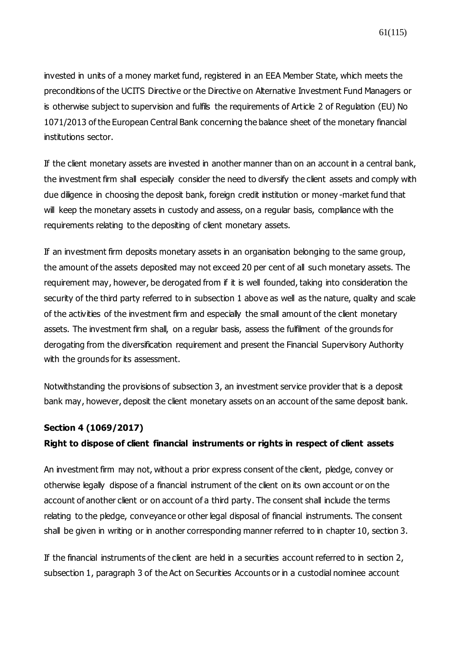invested in units of a money market fund, registered in an EEA Member State, which meets the preconditions of the UCITS Directive or the Directive on Alternative Investment Fund Managers or is otherwise subject to supervision and fulfils the requirements of Article 2 of Requlation (EU) No 1071/2013 of the European Central Bank concerning the balance sheet of the monetary financial institutions sector.

If the client monetary assets are invested in another manner than on an account in a central bank, the investment firm shall especially consider the need to diversify the client assets and comply with due diligence in choosing the deposit bank, foreign credit institution or money -market fund that will keep the monetary assets in custody and assess, on a regular basis, compliance with the requirements relating to the depositing of client monetary assets.

If an investment firm deposits monetary assets in an organisation belonging to the same group, the amount of the assets deposited may not exceed 20 per cent of all such monetary assets. The requirement may, however, be derogated from if it is well founded, taking into consideration the security of the third party referred to in subsection 1 above as well as the nature, quality and scale of the activities of the investment firm and especially the small amount of the client monetary assets. The investment firm shall, on a regular basis, assess the fulfilment of the grounds for derogating from the diversification requirement and present the Financial Supervisory Authority with the grounds for its assessment.

Notwithstanding the provisions of subsection 3, an investment service provider that is a deposit bank may, however, deposit the client monetary assets on an account of the same deposit bank.

#### **Section 4 [\(1069/2017\)](https://www.finlex.fi/fi/laki/ajantasa/2012/20120747#a28.12.2017-1069)**

### **Right to dispose of client financial instruments or rights in respect of client assets**

An investment firm may not, without a prior express consent of the client, pledge, convey or otherwise legally dispose of a financial instrument of the client on its own account or on the account of another client or on account of a third party. The consent shall include the terms relating to the pledge, conveyance or other legal disposal of financial instruments. The consent shall be given in writing or in another corresponding manner referred to in chapter 10, section 3.

If the financial instruments of the client are held in a securities account referred to in section 2, subsection 1, paragraph 3 of the Act on Securities Accounts or in a custodial nominee account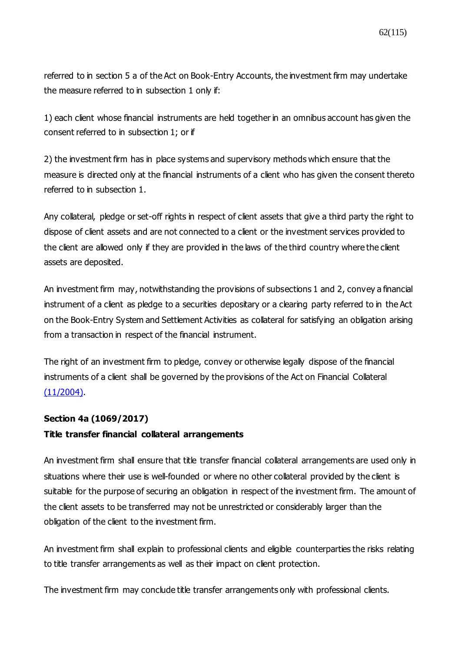referred to in section 5 a of the Act on Book-Entry Accounts, the investment firm may undertake the measure referred to in subsection 1 only if:

1) each client whose financial instruments are held together in an omnibus account has given the consent referred to in subsection 1; or if

2) the investment firm has in place systems and supervisory methods which ensure that the measure is directed only at the financial instruments of a client who has given the consent thereto referred to in subsection 1.

Any collateral, pledge or set-off rights in respect of client assets that give a third party the right to dispose of client assets and are not connected to a client or the investment services provided to the client are allowed only if they are provided in the laws of the third country where the client assets are deposited.

An investment firm may, notwithstanding the provisions of subsections 1 and 2, convey a financial instrument of a client as pledge to a securities depositary or a clearing party referred to in the Act on the Book-Entry System and Settlement Activities as collateral for satisfying an obligation arising from a transaction in respect of the financial instrument.

The right of an investment firm to pledge, convey or otherwise legally dispose of the financial instruments of a client shall be governed by the provisions of the Act on Financial Collateral  $(11/2004)$ .

### **Section 4a [\(1069/2017\)](https://www.finlex.fi/fi/laki/ajantasa/2012/20120747#a28.12.2017-1069)**

### **Title transfer financial collateral arrangements**

An investment firm shall ensure that title transfer financial collateral arrangements are used only in situations where their use is well-founded or where no other collateral provided by the client is suitable for the purpose of securing an obligation in respect of the investment firm. The amount of the client assets to be transferred may not be unrestricted or considerably larger than the obligation of the client to the investment firm.

An investment firm shall explain to professional clients and eligible counterparties the risks relating to title transfer arrangements as well as their impact on client protection.

The investment firm may conclude title transfer arrangements only with professional clients.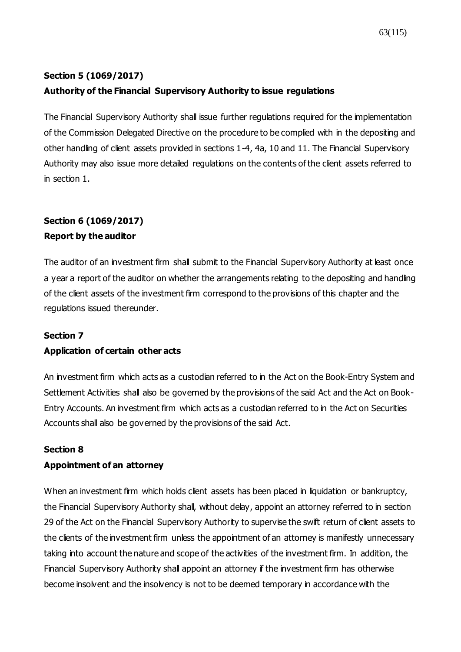# **Section 5 [\(1069/2017\)](https://www.finlex.fi/fi/laki/ajantasa/2012/20120747#a28.12.2017-1069) Authority of the Financial Supervisory Authority to issue regulations**

The Financial Supervisory Authority shall issue further regulations required for the implementation of the Commission Delegated Directive on the procedure to be complied with in the depositing and other handling of client assets provided in sections 1-4, 4a, 10 and 11. The Financial Supervisory Authority may also issue more detailed regulations on the contents of the client assets referred to in section 1.

# **Section 6 [\(1069/2017\)](https://www.finlex.fi/fi/laki/ajantasa/2012/20120747#a28.12.2017-1069) Report by the auditor**

The auditor of an investment firm shall submit to the Financial Supervisory Authority at least once a year a report of the auditor on whether the arrangements relating to the depositing and handling of the client assets of the investment firm correspond to the provisions of this chapter and the regulations issued thereunder.

### **Section 7**

### **Application of certain other acts**

An investment firm which acts as a custodian referred to in the Act on the Book-Entry System and Settlement Activities shall also be governed by the provisions of the said Act and the Act on Book-Entry Accounts. An investment firm which acts as a custodian referred to in the Act on Securities Accounts shall also be governed by the provisions of the said Act.

#### **Section 8**

### **Appointment of an attorney**

When an investment firm which holds client assets has been placed in liquidation or bankruptcy, the Financial Supervisory Authority shall, without delay, appoint an attorney referred to in section 29 of the Act on the Financial Supervisory Authority to supervise the swift return of client assets to the clients of the investment firm unless the appointment of an attorney is manifestly unnecessary taking into account the nature and scope of the activities of the investment firm. In addition, the Financial Supervisory Authority shall appoint an attorney if the investment firm has otherwise become insolvent and the insolvency is not to be deemed temporary in accordance with the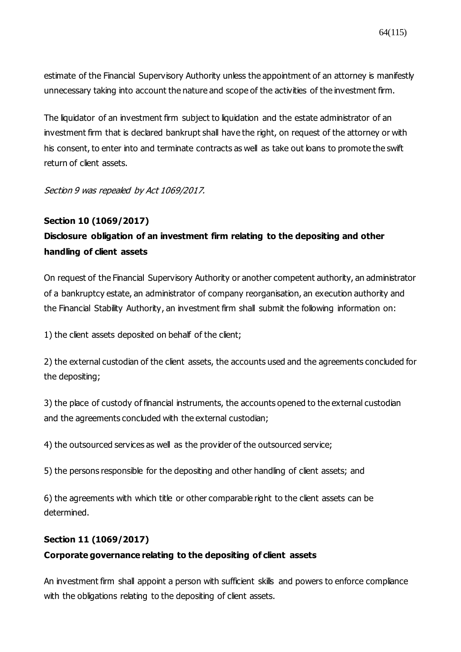estimate of the Financial Supervisory Authority unless the appointment of an attorney is manifestly unnecessary taking into account the nature and scope of the activities of the investment firm.

The liquidator of an investment firm subject to liquidation and the estate administrator of an investment firm that is declared bankrupt shall have the right, on request of the attorney or with his consent, to enter into and terminate contracts as well as take out loans to promote the swift return of client assets.

Section 9 was repealed by Act 1069/2017.

### **Section 10 [\(1069/2017\)](https://www.finlex.fi/fi/laki/ajantasa/2012/20120747#a28.12.2017-1069)**

# **Disclosure obligation of an investment firm relating to the depositing and other handling of client assets**

On request of the Financial Supervisory Authority or another competent authority, an administrator of a bankruptcy estate, an administrator of company reorganisation, an execution authority and the Financial Stability Authority, an investment firm shall submit the following information on:

1) the client assets deposited on behalf of the client;

2) the external custodian of the client assets, the accounts used and the agreements concluded for the depositing;

3) the place of custody of financial instruments, the accounts opened to the external custodian and the agreements concluded with the external custodian;

4) the outsourced services as well as the provider of the outsourced service;

5) the persons responsible for the depositing and other handling of client assets; and

6) the agreements with which title or other comparable right to the client assets can be determined.

### **Section 11 [\(1069/2017\)](https://www.finlex.fi/fi/laki/ajantasa/2012/20120747#a28.12.2017-1069)**

# **Corporate governance relating to the depositing of client assets**

An investment firm shall appoint a person with sufficient skills and powers to enforce compliance with the obligations relating to the depositing of client assets.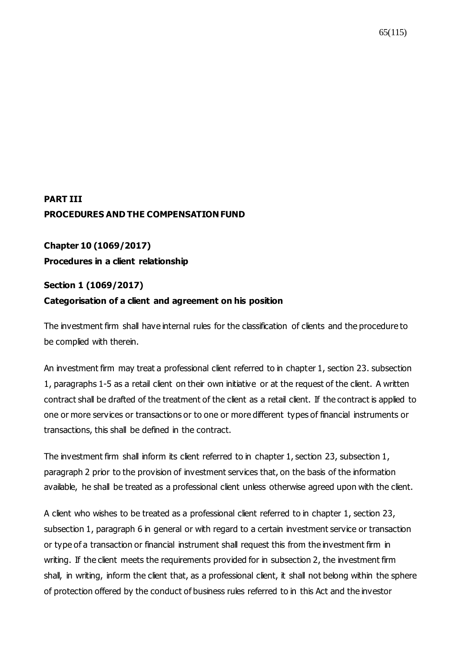# **PART III PROCEDURES AND THE COMPENSATION FUND**

**Chapter 10 [\(1069/2017\)](https://www.finlex.fi/fi/laki/ajantasa/2012/20120747#a28.12.2017-1069) Procedures in a client relationship**

# **Section 1 [\(1069/2017\)](https://www.finlex.fi/fi/laki/ajantasa/2012/20120747#a28.12.2017-1069) Categorisation of a client and agreement on his position**

The investment firm shall have internal rules for the classification of clients and the procedure to be complied with therein.

An investment firm may treat a professional client referred to in chapter 1, section 23. subsection 1, paragraphs 1-5 as a retail client on their own initiative or at the request of the client. A written contract shall be drafted of the treatment of the client as a retail client. If the contract is applied to one or more services or transactions or to one or more different types of financial instruments or transactions, this shall be defined in the contract.

The investment firm shall inform its client referred to in chapter 1, section 23, subsection 1, paragraph 2 prior to the provision of investment services that, on the basis of the information available, he shall be treated as a professional client unless otherwise agreed upon with the client.

A client who wishes to be treated as a professional client referred to in chapter 1, section 23, subsection 1, paragraph 6 in general or with regard to a certain investment service or transaction or type of a transaction or financial instrument shall request this from the investment firm in writing. If the client meets the requirements provided for in subsection 2, the investment firm shall, in writing, inform the client that, as a professional client, it shall not belong within the sphere of protection offered by the conduct of business rules referred to in this Act and the investor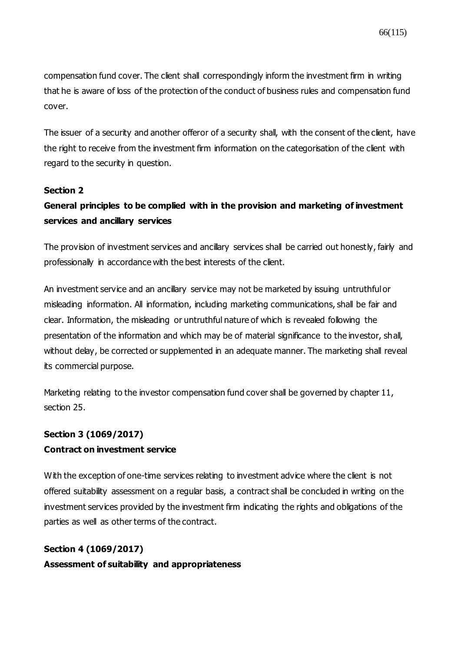compensation fund cover. The client shall correspondingly inform the investment firm in writing that he is aware of loss of the protection of the conduct of business rules and compensation fund cover.

The issuer of a security and another offeror of a security shall, with the consent of the client, have the right to receive from the investment firm information on the categorisation of the client with regard to the security in question.

#### **[Section 2](https://www.finlex.fi/fi/laki/ajantasa/2012/20120747#a747-2012)**

# **General principles to be complied with in the provision and marketing of investment services and ancillary services**

The provision of investment services and ancillary services shall be carried out honestly, fairly and professionally in accordance with the best interests of the client.

An investment service and an ancillary service may not be marketed by issuing untruthful or misleading information. All information, including marketing communications, shall be fair and clear. Information, the misleading or untruthful nature of which is revealed following the presentation of the information and which may be of material significance to the investor, shall, without delay, be corrected or supplemented in an adequate manner. The marketing shall reveal its commercial purpose.

Marketing relating to the investor compensation fund cover shall be governed by chapter 11, section 25.

#### **Section 3 [\(1069/2017\)](https://www.finlex.fi/fi/laki/ajantasa/2012/20120747#a28.12.2017-1069)**

#### **Contract on investment service**

With the exception of one-time services relating to investment advice where the client is not offered suitability assessment on a regular basis, a contract shall be concluded in writing on the investment services provided by the investment firm indicating the rights and obligations of the parties as well as other terms of the contract.

# **Section 4 [\(1069/2017\)](https://www.finlex.fi/fi/laki/ajantasa/2012/20120747#a28.12.2017-1069) Assessment of suitability and appropriateness**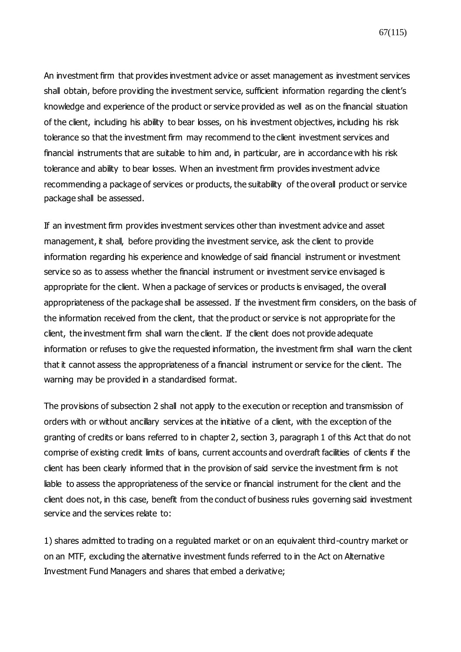67(115)

An investment firm that provides investment advice or asset management as investment services shall obtain, before providing the investment service, sufficient information regarding the client's knowledge and experience of the product or service provided as well as on the financial situation of the client, including his ability to bear losses, on his investment objectives, including his risk tolerance so that the investment firm may recommend to the client investment services and financial instruments that are suitable to him and, in particular, are in accordance with his risk tolerance and ability to bear losses. When an investment firm provides investment advice recommending a package of services or products, the suitability of the overall product or service package shall be assessed.

If an investment firm provides investment services other than investment advice and asset management, it shall, before providing the investment service, ask the client to provide information regarding his experience and knowledge of said financial instrument or investment service so as to assess whether the financial instrument or investment service envisaged is appropriate for the client. When a package of services or products is envisaged, the overall appropriateness of the package shall be assessed. If the investment firm considers, on the basis of the information received from the client, that the product or service is not appropriate for the client, the investment firm shall warn the client. If the client does not provide adequate information or refuses to give the requested information, the investment firm shall warn the client that it cannot assess the appropriateness of a financial instrument or service for the client. The warning may be provided in a standardised format.

The provisions of subsection 2 shall not apply to the execution or reception and transmission of orders with or without ancillary services at the initiative of a client, with the exception of the granting of credits or loans referred to in chapter 2, section 3, paragraph 1 of this Act that do not comprise of existing credit limits of loans, current accounts and overdraft facilities of clients if the client has been clearly informed that in the provision of said service the investment firm is not liable to assess the appropriateness of the service or financial instrument for the client and the client does not, in this case, benefit from the conduct of business rules governing said investment service and the services relate to:

1) shares admitted to trading on a regulated market or on an equivalent third-country market or on an MTF, excluding the alternative investment funds referred to in the Act on Alternative Investment Fund Managers and shares that embed a derivative;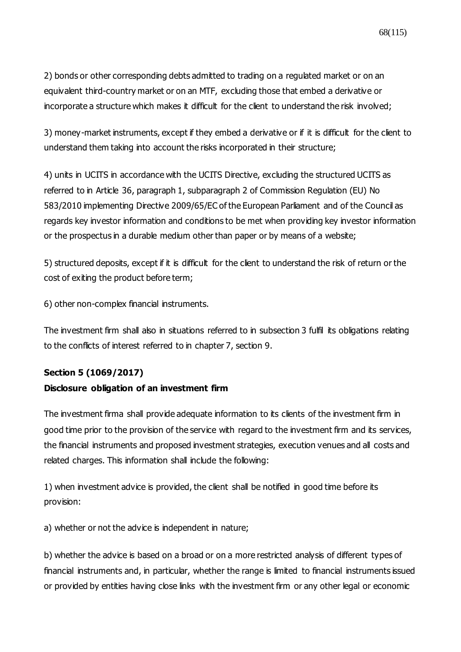2) bonds or other corresponding debts admitted to trading on a regulated market or on an equivalent third-country market or on an MTF, excluding those that embed a derivative or incorporate a structure which makes it difficult for the client to understand the risk involved;

3) money-market instruments, except if they embed a derivative or if it is difficult for the client to understand them taking into account the risks incorporated in their structure;

4) units in UCITS in accordance with the UCITS Directive, excluding the structured UCITS as referred to in Article 36, paragraph 1, subparagraph 2 of Commission Regulation (EU) No 583/2010 implementing Directive 2009/65/EC of the European Parliament and of the Council as regards key investor information and conditions to be met when providing key investor information or the prospectus in a durable medium other than paper or by means of a website;

5) structured deposits, except if it is difficult for the client to understand the risk of return or the cost of exiting the product before term;

6) other non-complex financial instruments.

The investment firm shall also in situations referred to in subsection 3 fulfil its obligations relating to the conflicts of interest referred to in chapter 7, section 9.

### **Section 5 [\(1069/2017\)](https://www.finlex.fi/fi/laki/ajantasa/2012/20120747#a28.12.2017-1069)**

#### **Disclosure obligation of an investment firm**

The investment firma shall provide adequate information to its clients of the investment firm in good time prior to the provision of the service with regard to the investment firm and its services, the financial instruments and proposed investment strategies, execution venues and all costs and related charges. This information shall include the following:

1) when investment advice is provided, the client shall be notified in good time before its provision:

a) whether or not the advice is independent in nature;

b) whether the advice is based on a broad or on a more restricted analysis of different types of financial instruments and, in particular, whether the range is limited to financial instruments issued or provided by entities having close links with the investment firm or any other legal or economic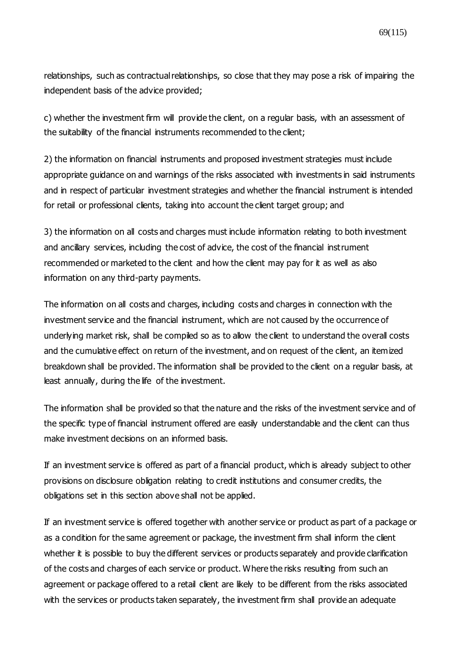relationships, such as contractual relationships, so close that they may pose a risk of impairing the independent basis of the advice provided;

c) whether the investment firm will provide the client, on a regular basis, with an assessment of the suitability of the financial instruments recommended to the client;

2) the information on financial instruments and proposed investment strategies must include appropriate guidance on and warnings of the risks associated with investments in said instruments and in respect of particular investment strategies and whether the financial instrument is intended for retail or professional clients, taking into account the client target group; and

3) the information on all costs and charges must include information relating to both investment and ancillary services, including the cost of advice, the cost of the financial instrument recommended or marketed to the client and how the client may pay for it as well as also information on any third-party payments.

The information on all costs and charges, including costs and charges in connection with the investment service and the financial instrument, which are not caused by the occurrence of underlying market risk, shall be compiled so as to allow the client to understand the overall costs and the cumulative effect on return of the investment, and on request of the client, an itemized breakdown shall be provided. The information shall be provided to the client on a regular basis, at least annually, during the life of the investment.

The information shall be provided so that the nature and the risks of the investment service and of the specific type of financial instrument offered are easily understandable and the client can thus make investment decisions on an informed basis.

If an investment service is offered as part of a financial product, which is already subject to other provisions on disclosure obligation relating to credit institutions and consumer credits, the obligations set in this section above shall not be applied.

If an investment service is offered together with another service or product as part of a package or as a condition for the same agreement or package, the investment firm shall inform the client whether it is possible to buy the different services or products separately and provide clarification of the costs and charges of each service or product. Where the risks resulting from such an agreement or package offered to a retail client are likely to be different from the risks associated with the services or products taken separately, the investment firm shall provide an adequate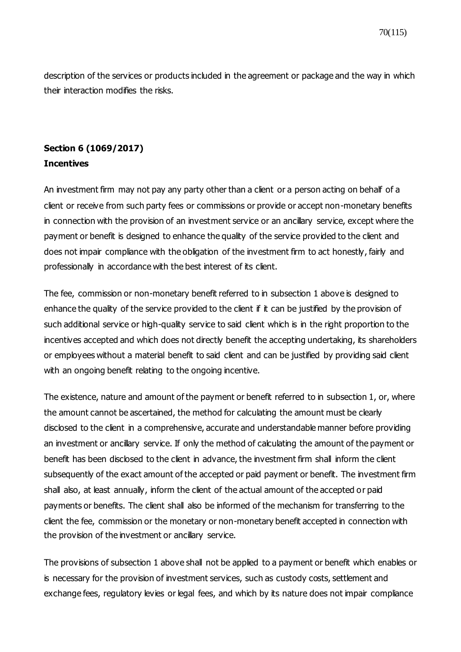description of the services or products included in the agreement or package and the way in which their interaction modifies the risks.

### **Section 6 [\(1069/2017\)](https://www.finlex.fi/fi/laki/ajantasa/2012/20120747#a28.12.2017-1069) Incentives**

An investment firm may not pay any party other than a client or a person acting on behalf of a client or receive from such party fees or commissions or provide or accept non-monetary benefits in connection with the provision of an investment service or an ancillary service, except where the payment or benefit is designed to enhance the quality of the service provided to the client and does not impair compliance with the obligation of the investment firm to act honestly, fairly and professionally in accordance with the best interest of its client.

The fee, commission or non-monetary benefit referred to in subsection 1 above is designed to enhance the quality of the service provided to the client if it can be justified by the provision of such additional service or high-quality service to said client which is in the right proportion to the incentives accepted and which does not directly benefit the accepting undertaking, its shareholders or employees without a material benefit to said client and can be justified by providing said client with an ongoing benefit relating to the ongoing incentive.

The existence, nature and amount of the payment or benefit referred to in subsection 1, or, where the amount cannot be ascertained, the method for calculating the amount must be clearly disclosed to the client in a comprehensive, accurate and understandable manner before providing an investment or ancillary service. If only the method of calculating the amount of the payment or benefit has been disclosed to the client in advance, the investment firm shall inform the client subsequently of the exact amount of the accepted or paid payment or benefit. The investment firm shall also, at least annually, inform the client of the actual amount of the accepted or paid payments or benefits. The client shall also be informed of the mechanism for transferring to the client the fee, commission or the monetary or non-monetary benefit accepted in connection with the provision of the investment or ancillary service.

The provisions of subsection 1 above shall not be applied to a payment or benefit which enables or is necessary for the provision of investment services, such as custody costs, settlement and exchange fees, regulatory levies or legal fees, and which by its nature does not impair compliance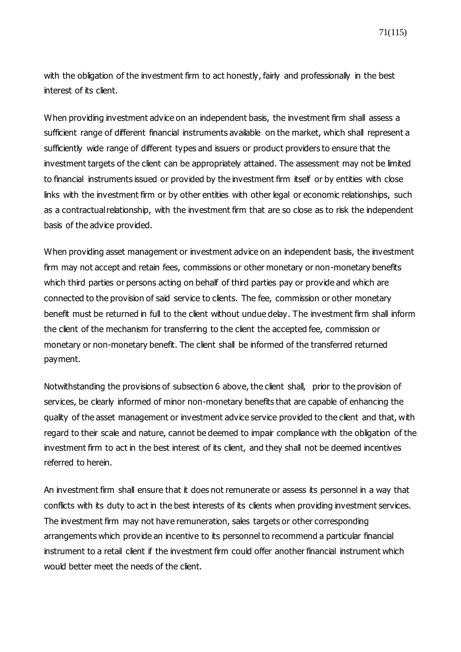71(115)

with the obligation of the investment firm to act honestly, fairly and professionally in the best interest of its client.

When providing investment advice on an independent basis, the investment firm shall assess a sufficient range of different financial instruments available on the market, which shall represent a sufficiently wide range of different types and issuers or product providers to ensure that the investment targets of the client can be appropriately attained. The assessment may not be limited to financial instruments issued or provided by the investment firm itself or by entities with close links with the investment firm or by other entities with other legal or economic relationships, such as a contractual relationship, with the investment firm that are so close as to risk the independent basis of the advice provided.

When providing asset management or investment advice on an independent basis, the investment firm may not accept and retain fees, commissions or other monetary or non-monetary benefits which third parties or persons acting on behalf of third parties pay or provide and which are connected to the provision of said service to clients. The fee, commission or other monetary benefit must be returned in full to the client without undue delay. The investment firm shall inform the client of the mechanism for transferring to the client the accepted fee, commission or monetary or non-monetary benefit. The client shall be informed of the transferred returned payment.

Notwithstanding the provisions of subsection 6 above, the client shall, prior to the provision of services, be clearly informed of minor non-monetary benefits that are capable of enhancing the quality of the asset management or investment advice service provided to the client and that, with regard to their scale and nature, cannot be deemed to impair compliance with the obligation of the investment firm to act in the best interest of its client, and they shall not be deemed incentives referred to herein.

An investment firm shall ensure that it does not remunerate or assess its personnel in a way that conflicts with its duty to act in the best interests of its clients when providing investment services. The investment firm may not have remuneration, sales targets or other corresponding arrangements which provide an incentive to its personnel to recommend a particular financial instrument to a retail client if the investment firm could offer another financial instrument which would better meet the needs of the client.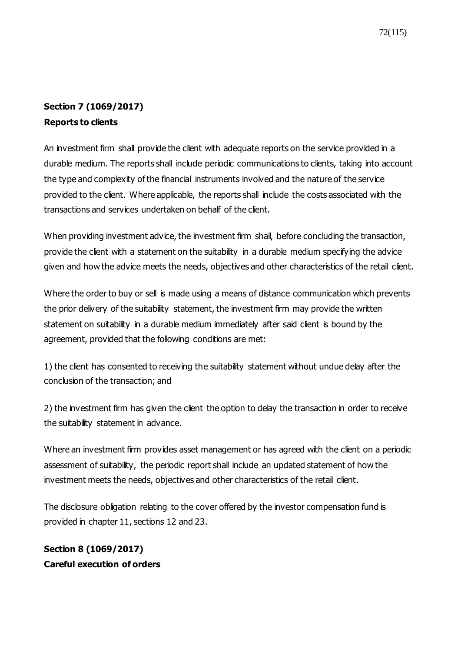# **Section 7 [\(1069/2017\)](https://www.finlex.fi/fi/laki/ajantasa/2012/20120747#a28.12.2017-1069) Reports to clients**

An investment firm shall provide the client with adequate reports on the service provided in a durable medium. The reports shall include periodic communications to clients, taking into account the type and complexity of the financial instruments involved and the nature of the service provided to the client. Where applicable, the reports shall include the costs associated with the transactions and services undertaken on behalf of the client.

When providing investment advice, the investment firm shall, before concluding the transaction, provide the client with a statement on the suitability in a durable medium specifying the advice given and how the advice meets the needs, objectives and other characteristics of the retail client.

Where the order to buy or sell is made using a means of distance communication which prevents the prior delivery of the suitability statement, the investment firm may provide the written statement on suitability in a durable medium immediately after said client is bound by the agreement, provided that the following conditions are met:

1) the client has consented to receiving the suitability statement without undue delay after the conclusion of the transaction; and

2) the investment firm has given the client the option to delay the transaction in order to receive the suitability statement in advance.

Where an investment firm provides asset management or has agreed with the client on a periodic assessment of suitability, the periodic report shall include an updated statement of how the investment meets the needs, objectives and other characteristics of the retail client.

The disclosure obligation relating to the cover offered by the investor compensation fund is provided in chapter 11, sections 12 and 23.

# **Section 8 [\(1069/2017\)](https://www.finlex.fi/fi/laki/ajantasa/2012/20120747#a28.12.2017-1069) Careful execution of orders**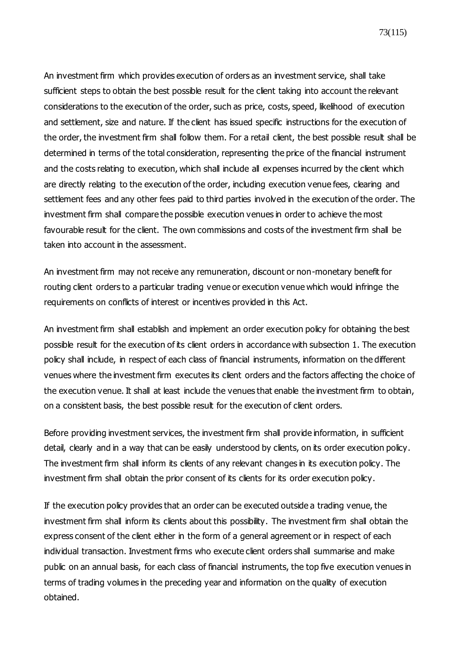73(115)

An investment firm which provides execution of orders as an investment service, shall take sufficient steps to obtain the best possible result for the client taking into account the relevant considerations to the execution of the order, such as price, costs, speed, likelihood of execution and settlement, size and nature. If the client has issued specific instructions for the execution of the order, the investment firm shall follow them. For a retail client, the best possible result shall be determined in terms of the total consideration, representing the price of the financial instrument and the costs relating to execution, which shall include all expenses incurred by the client which are directly relating to the execution of the order, including execution venue fees, clearing and settlement fees and any other fees paid to third parties involved in the execution of the order. The investment firm shall compare the possible execution venues in order to achieve the most favourable result for the client. The own commissions and costs of the investment firm shall be taken into account in the assessment.

An investment firm may not receive any remuneration, discount or non-monetary benefit for routing client orders to a particular trading venue or execution venue which would infringe the requirements on conflicts of interest or incentives provided in this Act.

An investment firm shall establish and implement an order execution policy for obtaining the best possible result for the execution of its client orders in accordance with subsection 1. The execution policy shall include, in respect of each class of financial instruments, information on the different venues where the investment firm executes its client orders and the factors affecting the choice of the execution venue. It shall at least include the venues that enable the investment firm to obtain, on a consistent basis, the best possible result for the execution of client orders.

Before providing investment services, the investment firm shall provide information, in sufficient detail, clearly and in a way that can be easily understood by clients, on its order execution policy. The investment firm shall inform its clients of any relevant changes in its execution policy. The investment firm shall obtain the prior consent of its clients for its order execution policy.

If the execution policy provides that an order can be executed outside a trading venue, the investment firm shall inform its clients about this possibility. The investment firm shall obtain the express consent of the client either in the form of a general agreement or in respect of each individual transaction. Investment firms who execute client orders shall summarise and make public on an annual basis, for each class of financial instruments, the top five execution venues in terms of trading volumes in the preceding year and information on the quality of execution obtained.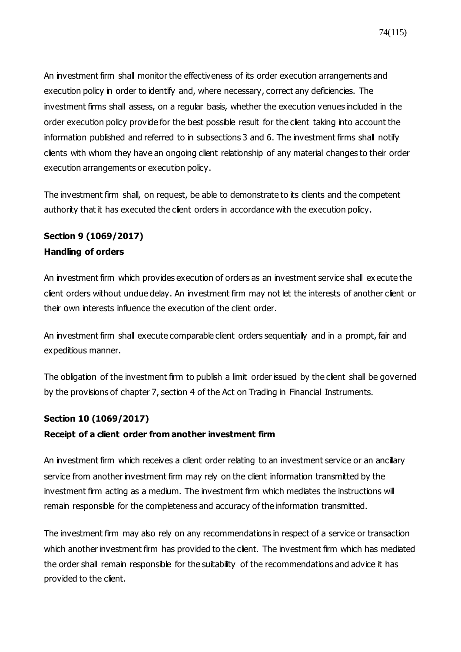An investment firm shall monitor the effectiveness of its order execution arrangements and execution policy in order to identify and, where necessary, correct any deficiencies. The investment firms shall assess, on a regular basis, whether the execution venues included in the order execution policy provide for the best possible result for the client taking into account the information published and referred to in subsections 3 and 6. The investment firms shall notify clients with whom they have an ongoing client relationship of any material changes to their order execution arrangements or execution policy.

The investment firm shall, on request, be able to demonstrate to its clients and the competent authority that it has executed the client orders in accordance with the execution policy.

## **Section 9 [\(1069/2017\)](https://www.finlex.fi/fi/laki/ajantasa/2012/20120747#a28.12.2017-1069) Handling of orders**

An investment firm which provides execution of orders as an investment service shall ex ecute the client orders without undue delay. An investment firm may not let the interests of another client or their own interests influence the execution of the client order.

An investment firm shall execute comparable client orders sequentially and in a prompt, fair and expeditious manner.

The obligation of the investment firm to publish a limit order issued by the client shall be governed by the provisions of chapter 7, section 4 of the Act on Trading in Financial Instruments.

## **Section 10 [\(1069/2017\)](https://www.finlex.fi/fi/laki/ajantasa/2012/20120747#a28.12.2017-1069)**

## **Receipt of a client order from another investment firm**

An investment firm which receives a client order relating to an investment service or an ancillary service from another investment firm may rely on the client information transmitted by the investment firm acting as a medium. The investment firm which mediates the instructions will remain responsible for the completeness and accuracy of the information transmitted.

The investment firm may also rely on any recommendations in respect of a service or transaction which another investment firm has provided to the client. The investment firm which has mediated the order shall remain responsible for the suitability of the recommendations and advice it has provided to the client.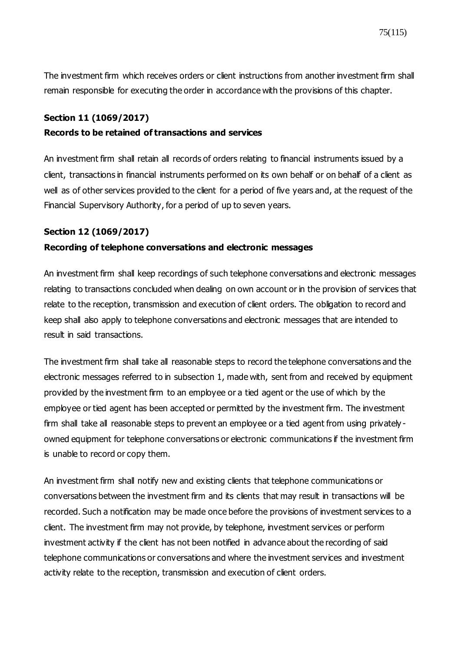The investment firm which receives orders or client instructions from another investment firm shall remain responsible for executing the order in accordance with the provisions of this chapter.

## **Section 11 [\(1069/2017\)](https://www.finlex.fi/fi/laki/ajantasa/2012/20120747#a28.12.2017-1069)**

#### **Records to be retained of transactions and services**

An investment firm shall retain all records of orders relating to financial instruments issued by a client, transactions in financial instruments performed on its own behalf or on behalf of a client as well as of other services provided to the client for a period of five years and, at the request of the Financial Supervisory Authority, for a period of up to seven years.

## **Section 12 [\(1069/2017\)](https://www.finlex.fi/fi/laki/ajantasa/2012/20120747#a28.12.2017-1069)**

#### **Recording of telephone conversations and electronic messages**

An investment firm shall keep recordings of such telephone conversations and electronic messages relating to transactions concluded when dealing on own account or in the provision of services that relate to the reception, transmission and execution of client orders. The obligation to record and keep shall also apply to telephone conversations and electronic messages that are intended to result in said transactions.

The investment firm shall take all reasonable steps to record the telephone conversations and the electronic messages referred to in subsection 1, made with, sent from and received by equipment provided by the investment firm to an employee or a tied agent or the use of which by the employee or tied agent has been accepted or permitted by the investment firm. The investment firm shall take all reasonable steps to prevent an employee or a tied agent from using privately owned equipment for telephone conversations or electronic communications if the investment firm is unable to record or copy them.

An investment firm shall notify new and existing clients that telephone communications or conversations between the investment firm and its clients that may result in transactions will be recorded. Such a notification may be made once before the provisions of investment services to a client. The investment firm may not provide, by telephone, investment services or perform investment activity if the client has not been notified in advance about the recording of said telephone communications or conversations and where the investment services and investment activity relate to the reception, transmission and execution of client orders.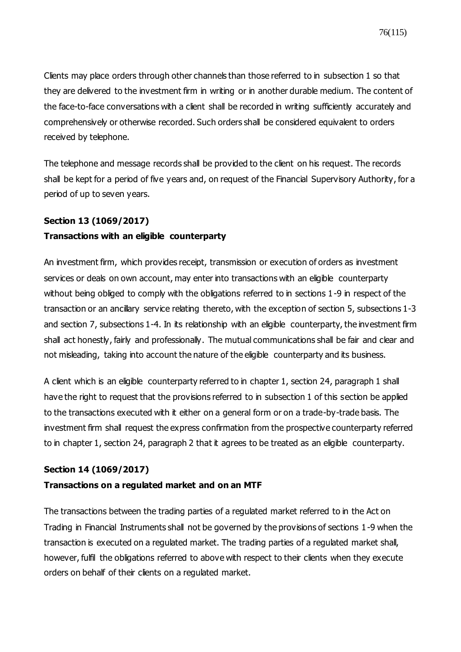Clients may place orders through other channels than those referred to in subsection 1 so that they are delivered to the investment firm in writing or in another durable medium. The content of the face-to-face conversations with a client shall be recorded in writing sufficiently accurately and comprehensively or otherwise recorded. Such orders shall be considered equivalent to orders received by telephone.

The telephone and message records shall be provided to the client on his request. The records shall be kept for a period of five years and, on request of the Financial Supervisory Authority, for a period of up to seven years.

## **Section 13 [\(1069/2017\)](https://www.finlex.fi/fi/laki/ajantasa/2012/20120747#a28.12.2017-1069)**

## **Transactions with an eligible counterparty**

An investment firm, which provides receipt, transmission or execution of orders as investment services or deals on own account, may enter into transactions with an eligible counterparty without being obliged to comply with the obligations referred to in sections 1-9 in respect of the transaction or an ancillary service relating thereto, with the exception of section 5, subsections 1-3 and section 7, subsections 1-4. In its relationship with an eligible counterparty, the investment firm shall act honestly, fairly and professionally. The mutual communications shall be fair and clear and not misleading, taking into account the nature of the eligible counterparty and its business.

A client which is an eligible counterparty referred to in chapter 1, section 24, paragraph 1 shall have the right to request that the provisions referred to in subsection 1 of this section be applied to the transactions executed with it either on a general form or on a trade-by-trade basis. The investment firm shall request the express confirmation from the prospective counterparty referred to in chapter 1, section 24, paragraph 2 that it agrees to be treated as an eligible counterparty.

## **Section 14 [\(1069/2017\)](https://www.finlex.fi/fi/laki/ajantasa/2012/20120747#a28.12.2017-1069)**

## **Transactions on a regulated market and on an MTF**

The transactions between the trading parties of a regulated market referred to in the Act on Trading in Financial Instruments shall not be governed by the provisions of sections 1-9 when the transaction is executed on a regulated market. The trading parties of a regulated market shall, however, fulfil the obligations referred to above with respect to their clients when they execute orders on behalf of their clients on a regulated market.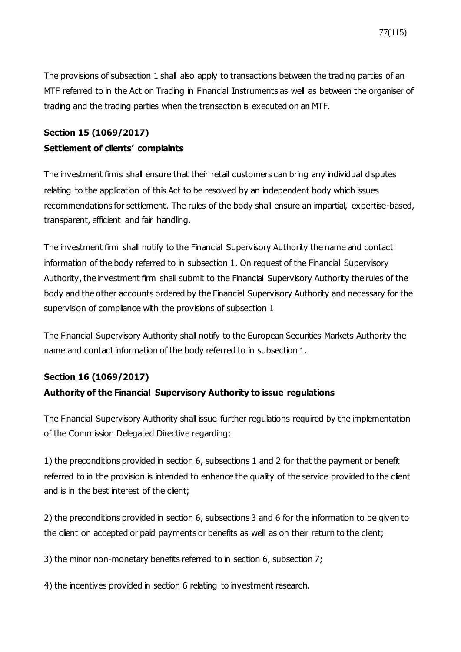The provisions of subsection 1 shall also apply to transactions between the trading parties of an MTF referred to in the Act on Trading in Financial Instruments as well as between the organiser of trading and the trading parties when the transaction is executed on an MTF.

## **Section 15 [\(1069/2017\)](https://www.finlex.fi/fi/laki/ajantasa/2012/20120747#a28.12.2017-1069) Settlement of clients' complaints**

The investment firms shall ensure that their retail customers can bring any individual disputes relating to the application of this Act to be resolved by an independent body which issues recommendations for settlement. The rules of the body shall ensure an impartial, expertise-based, transparent, efficient and fair handling.

The investment firm shall notify to the Financial Supervisory Authority the name and contact information of the body referred to in subsection 1. On request of the Financial Supervisory Authority, the investment firm shall submit to the Financial Supervisory Authority the rules of the body and the other accounts ordered by the Financial Supervisory Authority and necessary for the supervision of compliance with the provisions of subsection 1

The Financial Supervisory Authority shall notify to the European Securities Markets Authority the name and contact information of the body referred to in subsection 1.

## **Section 16 [\(1069/2017\)](https://www.finlex.fi/fi/laki/ajantasa/2012/20120747#a28.12.2017-1069)**

## **Authority of the Financial Supervisory Authority to issue regulations**

The Financial Supervisory Authority shall issue further regulations required by the implementation of the Commission Delegated Directive regarding:

1) the preconditions provided in section 6, subsections 1 and 2 for that the payment or benefit referred to in the provision is intended to enhance the quality of the service provided to the client and is in the best interest of the client;

2) the preconditions provided in section 6, subsections 3 and 6 for the information to be given to the client on accepted or paid payments or benefits as well as on their return to the client;

3) the minor non-monetary benefits referred to in section 6, subsection 7;

4) the incentives provided in section 6 relating to investment research.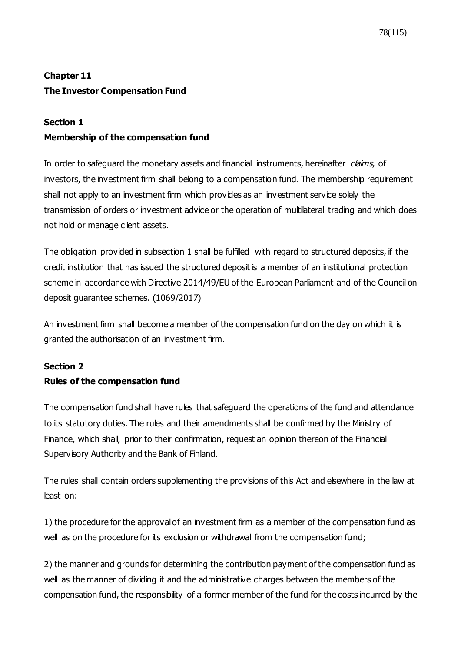## **Chapter 11 The Investor Compensation Fund**

## **Section 1**

## **Membership of the compensation fund**

In order to safeguard the monetary assets and financial instruments, hereinafter claims, of investors, the investment firm shall belong to a compensation fund. The membership requirement shall not apply to an investment firm which provides as an investment service solely the transmission of orders or investment advice or the operation of multilateral trading and which does not hold or manage client assets.

The obligation provided in subsection 1 shall be fulfilled with regard to structured deposits, if the credit institution that has issued the structured deposit is a member of an institutional protection scheme in accordance with Directive 2014/49/EU of the European Parliament and of the Council on deposit guarantee schemes. [\(1069/2017\)](https://www.finlex.fi/fi/laki/ajantasa/2012/20120747#a28.12.2017-1069)

An investment firm shall become a member of the compensation fund on the day on which it is granted the authorisation of an investment firm.

## **Section 2 Rules of the compensation fund**

The compensation fund shall have rules that safeguard the operations of the fund and attendance to its statutory duties. The rules and their amendments shall be confirmed by the Ministry of Finance, which shall, prior to their confirmation, request an opinion thereon of the Financial Supervisory Authority and the Bank of Finland.

The rules shall contain orders supplementing the provisions of this Act and elsewhere in the law at least on:

1) the procedure for the approval of an investment firm as a member of the compensation fund as well as on the procedure for its exclusion or withdrawal from the compensation fund;

2) the manner and grounds for determining the contribution payment of the compensation fund as well as the manner of dividing it and the administrative charges between the members of the compensation fund, the responsibility of a former member of the fund for the costs incurred by the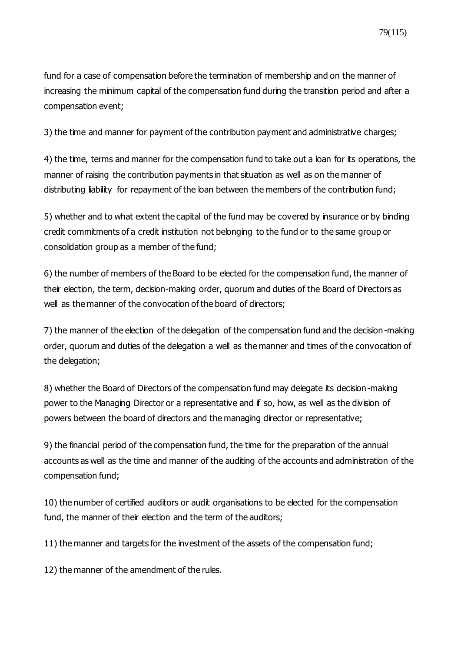fund for a case of compensation before the termination of membership and on the manner of increasing the minimum capital of the compensation fund during the transition period and after a compensation event;

3) the time and manner for payment of the contribution payment and administrative charges;

4) the time, terms and manner for the compensation fund to take out a loan for its operations, the manner of raising the contribution payments in that situation as well as on the manner of distributing liability for repayment of the loan between the members of the contribution fund;

5) whether and to what extent the capital of the fund may be covered by insurance or by binding credit commitments of a credit institution not belonging to the fund or to the same group or consolidation group as a member of the fund;

6) the number of members of the Board to be elected for the compensation fund, the manner of their election, the term, decision-making order, quorum and duties of the Board of Directors as well as the manner of the convocation of the board of directors;

7) the manner of the election of the delegation of the compensation fund and the decision-making order, quorum and duties of the delegation a well as the manner and times of the convocation of the delegation;

8) whether the Board of Directors of the compensation fund may delegate its decision-making power to the Managing Director or a representative and if so, how, as well as the division of powers between the board of directors and the managing director or representative;

9) the financial period of the compensation fund, the time for the preparation of the annual accounts as well as the time and manner of the auditing of the accounts and administration of the compensation fund;

10) the number of certified auditors or audit organisations to be elected for the compensation fund, the manner of their election and the term of the auditors;

11) the manner and targets for the investment of the assets of the compensation fund;

12) the manner of the amendment of the rules.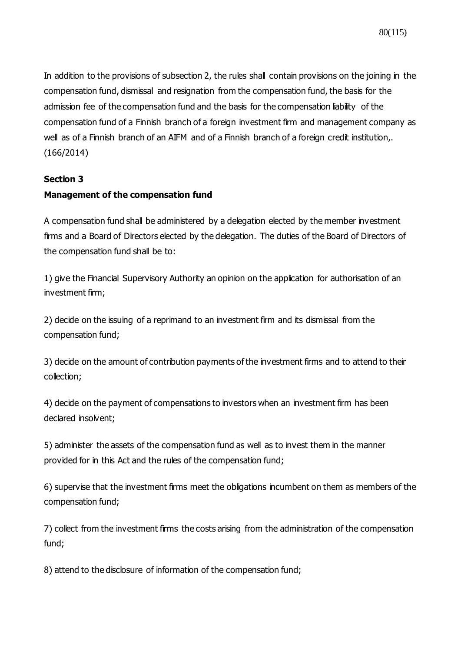In addition to the provisions of subsection 2, the rules shall contain provisions on the joining in the compensation fund, dismissal and resignation from the compensation fund, the basis for the admission fee of the compensation fund and the basis for the compensation liability of the compensation fund of a Finnish branch of a foreign investment firm and management company as well as of a Finnish branch of an AIFM and of a Finnish branch of a foreign credit institution,. (166/2014)

## **Section 3**

## **Management of the compensation fund**

A compensation fund shall be administered by a delegation elected by the member investment firms and a Board of Directors elected by the delegation. The duties of the Board of Directors of the compensation fund shall be to:

1) give the Financial Supervisory Authority an opinion on the application for authorisation of an investment firm;

2) decide on the issuing of a reprimand to an investment firm and its dismissal from the compensation fund;

3) decide on the amount of contribution payments of the investment firms and to attend to their collection;

4) decide on the payment of compensations to investors when an investment firm has been declared insolvent;

5) administer the assets of the compensation fund as well as to invest them in the manner provided for in this Act and the rules of the compensation fund;

6) supervise that the investment firms meet the obligations incumbent on them as members of the compensation fund;

7) collect from the investment firms the costs arising from the administration of the compensation fund;

8) attend to the disclosure of information of the compensation fund;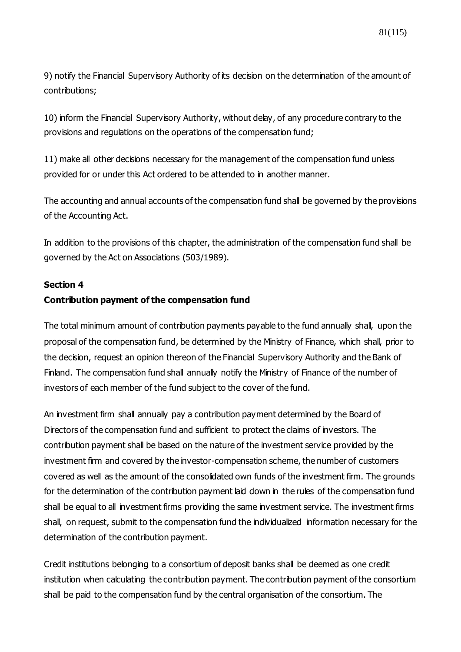9) notify the Financial Supervisory Authority of its decision on the determination of the amount of contributions;

10) inform the Financial Supervisory Authority, without delay, of any procedure contrary to the provisions and regulations on the operations of the compensation fund;

11) make all other decisions necessary for the management of the compensation fund unless provided for or under this Act ordered to be attended to in another manner.

The accounting and annual accounts of the compensation fund shall be governed by the provisions of the Accounting Act.

In addition to the provisions of this chapter, the administration of the compensation fund shall be governed by the Act on Associations (503/1989).

#### **Section 4**

## **Contribution payment of the compensation fund**

The total minimum amount of contribution payments payable to the fund annually shall, upon the proposal of the compensation fund, be determined by the Ministry of Finance, which shall, prior to the decision, request an opinion thereon of the Financial Supervisory Authority and the Bank of Finland. The compensation fund shall annually notify the Ministry of Finance of the number of investors of each member of the fund subject to the cover of the fund.

An investment firm shall annually pay a contribution payment determined by the Board of Directors of the compensation fund and sufficient to protect the claims of investors. The contribution payment shall be based on the nature of the investment service provided by the investment firm and covered by the investor-compensation scheme, the number of customers covered as well as the amount of the consolidated own funds of the investment firm. The grounds for the determination of the contribution payment laid down in the rules of the compensation fund shall be equal to all investment firms providing the same investment service. The investment firms shall, on request, submit to the compensation fund the individualized information necessary for the determination of the contribution payment.

Credit institutions belonging to a consortium of deposit banks shall be deemed as one credit institution when calculating the contribution payment. The contribution payment of the consortium shall be paid to the compensation fund by the central organisation of the consortium. The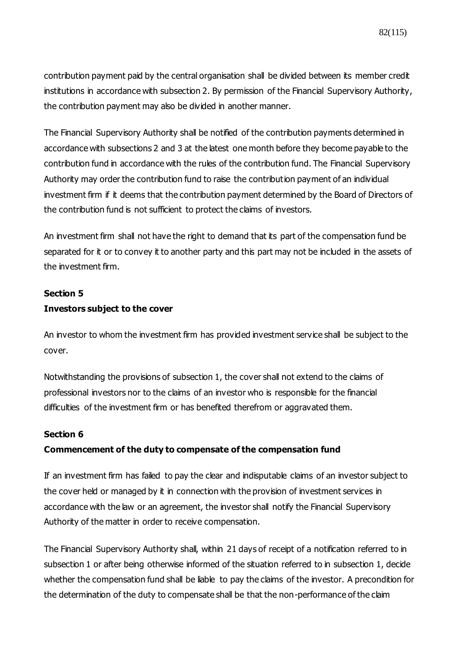contribution payment paid by the central organisation shall be divided between its member credit institutions in accordance with subsection 2. By permission of the Financial Supervisory Authority, the contribution payment may also be divided in another manner.

The Financial Supervisory Authority shall be notified of the contribution payments determined in accordance with subsections 2 and 3 at the latest one month before they become payable to the contribution fund in accordance with the rules of the contribution fund. The Financial Supervisory Authority may order the contribution fund to raise the contribution payment of an individual investment firm if it deems that the contribution payment determined by the Board of Directors of the contribution fund is not sufficient to protect the claims of investors.

An investment firm shall not have the right to demand that its part of the compensation fund be separated for it or to convey it to another party and this part may not be included in the assets of the investment firm.

#### **Section 5**

## **Investors subject to the cover**

An investor to whom the investment firm has provided investment service shall be subject to the cover.

Notwithstanding the provisions of subsection 1, the cover shall not extend to the claims of professional investors nor to the claims of an investor who is responsible for the financial difficulties of the investment firm or has benefited therefrom or aggravated them.

#### **Section 6**

## **Commencement of the duty to compensate of the compensation fund**

If an investment firm has failed to pay the clear and indisputable claims of an investor subject to the cover held or managed by it in connection with the provision of investment services in accordance with the law or an agreement, the investor shall notify the Financial Supervisory Authority of the matter in order to receive compensation.

The Financial Supervisory Authority shall, within 21 days of receipt of a notification referred to in subsection 1 or after being otherwise informed of the situation referred to in subsection 1, decide whether the compensation fund shall be liable to pay the claims of the investor. A precondition for the determination of the duty to compensate shall be that the non-performance of the claim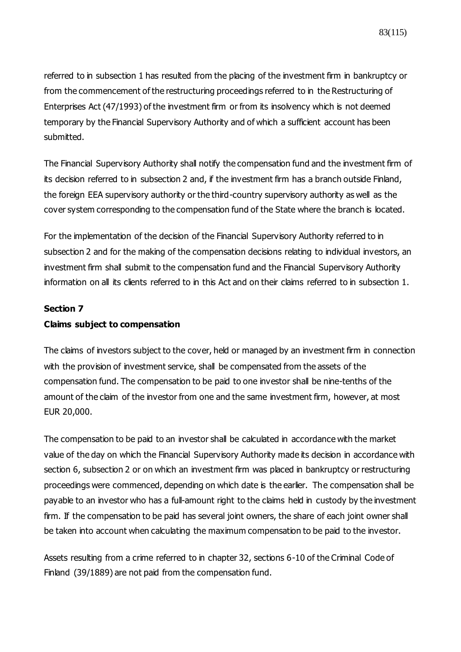referred to in subsection 1 has resulted from the placing of the investment firm in bankruptcy or from the commencement of the restructuring proceedings referred to in the Restructuring of Enterprises Act (47/1993) of the investment firm or from its insolvency which is not deemed temporary by the Financial Supervisory Authority and of which a sufficient account has been submitted.

The Financial Supervisory Authority shall notify the compensation fund and the investment firm of its decision referred to in subsection 2 and, if the investment firm has a branch outside Finland, the foreign EEA supervisory authority or the third-country supervisory authority as well as the cover system corresponding to the compensation fund of the State where the branch is located.

For the implementation of the decision of the Financial Supervisory Authority referred to in subsection 2 and for the making of the compensation decisions relating to individual investors, an investment firm shall submit to the compensation fund and the Financial Supervisory Authority information on all its clients referred to in this Act and on their claims referred to in subsection 1.

## **Section 7**

## **Claims subject to compensation**

The claims of investors subject to the cover, held or managed by an investment firm in connection with the provision of investment service, shall be compensated from the assets of the compensation fund. The compensation to be paid to one investor shall be nine-tenths of the amount of the claim of the investor from one and the same investment firm, however, at most EUR 20,000.

The compensation to be paid to an investor shall be calculated in accordance with the market value of the day on which the Financial Supervisory Authority made its decision in accordance with section 6, subsection 2 or on which an investment firm was placed in bankruptcy or restructuring proceedings were commenced, depending on which date is the earlier. The compensation shall be payable to an investor who has a full-amount right to the claims held in custody by the investment firm. If the compensation to be paid has several joint owners, the share of each joint owner shall be taken into account when calculating the maximum compensation to be paid to the investor.

Assets resulting from a crime referred to in chapter 32, sections 6-10 of the Criminal Code of Finland (39/1889) are not paid from the compensation fund.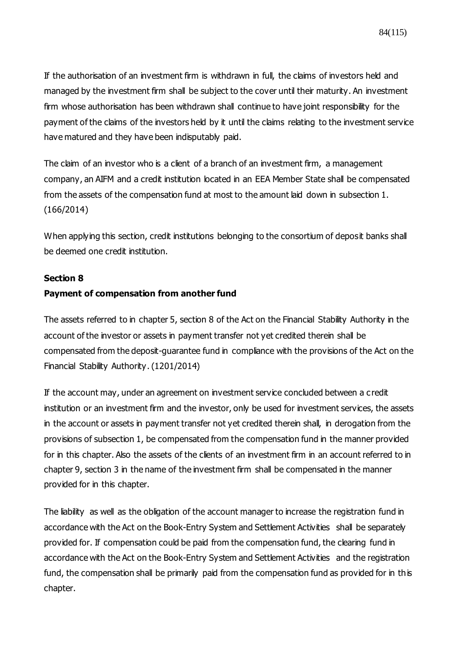If the authorisation of an investment firm is withdrawn in full, the claims of investors held and managed by the investment firm shall be subject to the cover until their maturity. An investment firm whose authorisation has been withdrawn shall continue to have joint responsibility for the payment of the claims of the investors held by it until the claims relating to the investment service have matured and they have been indisputably paid.

The claim of an investor who is a client of a branch of an investment firm, a management company, an AIFM and a credit institution located in an EEA Member State shall be compensated from the assets of the compensation fund at most to the amount laid down in subsection 1. (166/2014)

When applying this section, credit institutions belonging to the consortium of deposit banks shall be deemed one credit institution.

#### **Section 8**

## **Payment of compensation from another fund**

The assets referred to in chapter 5, section 8 of the Act on the Financial Stability Authority in the account of the investor or assets in payment transfer not yet credited therein shall be compensated from the deposit-guarantee fund in compliance with the provisions of the Act on the Financial Stability Authority. (1201/2014)

If the account may, under an agreement on investment service concluded between a c redit institution or an investment firm and the investor, only be used for investment services, the assets in the account or assets in payment transfer not yet credited therein shall, in derogation from the provisions of subsection 1, be compensated from the compensation fund in the manner provided for in this chapter. Also the assets of the clients of an investment firm in an account referred to in chapter 9, section 3 in the name of the investment firm shall be compensated in the manner provided for in this chapter.

The liability as well as the obligation of the account manager to increase the registration fund in accordance with the Act on the Book-Entry System and Settlement Activities shall be separately provided for. If compensation could be paid from the compensation fund, the clearing fund in accordance with the Act on the Book-Entry System and Settlement Activities and the registration fund, the compensation shall be primarily paid from the compensation fund as provided for in this chapter.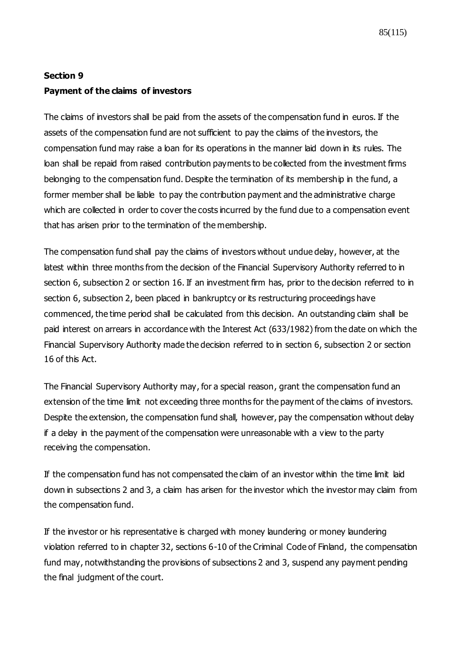## **Section 9 Payment of the claims of investors**

The claims of investors shall be paid from the assets of the compensation fund in euros. If the assets of the compensation fund are not sufficient to pay the claims of the investors, the compensation fund may raise a loan for its operations in the manner laid down in its rules. The loan shall be repaid from raised contribution payments to be collected from the investment firms belonging to the compensation fund. Despite the termination of its membership in the fund, a former member shall be liable to pay the contribution payment and the administrative charge which are collected in order to cover the costs incurred by the fund due to a compensation event that has arisen prior to the termination of the membership.

The compensation fund shall pay the claims of investors without undue delay, however, at the latest within three months from the decision of the Financial Supervisory Authority referred to in section 6, subsection 2 or section 16. If an investment firm has, prior to the decision referred to in section 6, subsection 2, been placed in bankruptcy or its restructuring proceedings have commenced, the time period shall be calculated from this decision. An outstanding claim shall be paid interest on arrears in accordance with the Interest Act (633/1982) from the date on which the Financial Supervisory Authority made the decision referred to in section 6, subsection 2 or section 16 of this Act.

The Financial Supervisory Authority may, for a special reason, grant the compensation fund an extension of the time limit not exceeding three months for the payment of the claims of investors. Despite the extension, the compensation fund shall, however, pay the compensation without delay if a delay in the payment of the compensation were unreasonable with a view to the party receiving the compensation.

If the compensation fund has not compensated the claim of an investor within the time limit laid down in subsections 2 and 3, a claim has arisen for the investor which the investor may claim from the compensation fund.

If the investor or his representative is charged with money laundering or money laundering violation referred to in chapter 32, sections 6-10 of the Criminal Code of Finland, the compensation fund may, notwithstanding the provisions of subsections 2 and 3, suspend any payment pending the final judgment of the court.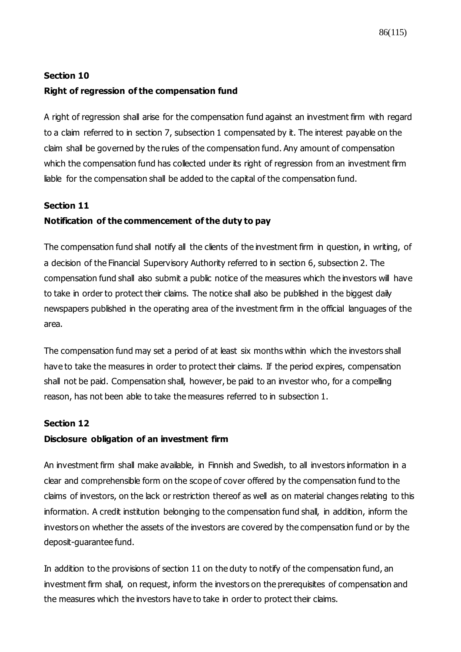## **Section 10 Right of regression of the compensation fund**

A right of regression shall arise for the compensation fund against an investment firm with regard to a claim referred to in section 7, subsection 1 compensated by it. The interest payable on the claim shall be governed by the rules of the compensation fund. Any amount of compensation which the compensation fund has collected under its right of regression from an investment firm liable for the compensation shall be added to the capital of the compensation fund.

## **Section 11**

## **Notification of the commencement of the duty to pay**

The compensation fund shall notify all the clients of the investment firm in question, in writing, of a decision of the Financial Supervisory Authority referred to in section 6, subsection 2. The compensation fund shall also submit a public notice of the measures which the investors will have to take in order to protect their claims. The notice shall also be published in the biggest daily newspapers published in the operating area of the investment firm in the official languages of the area.

The compensation fund may set a period of at least six months within which the investors shall have to take the measures in order to protect their claims. If the period expires, compensation shall not be paid. Compensation shall, however, be paid to an investor who, for a compelling reason, has not been able to take the measures referred to in subsection 1.

## **Section 12**

## **Disclosure obligation of an investment firm**

An investment firm shall make available, in Finnish and Swedish, to all investors information in a clear and comprehensible form on the scope of cover offered by the compensation fund to the claims of investors, on the lack or restriction thereof as well as on material changes relating to this information. A credit institution belonging to the compensation fund shall, in addition, inform the investors on whether the assets of the investors are covered by the compensation fund or by the deposit-guarantee fund.

In addition to the provisions of section 11 on the duty to notify of the compensation fund, an investment firm shall, on request, inform the investors on the prerequisites of compensation and the measures which the investors have to take in order to protect their claims.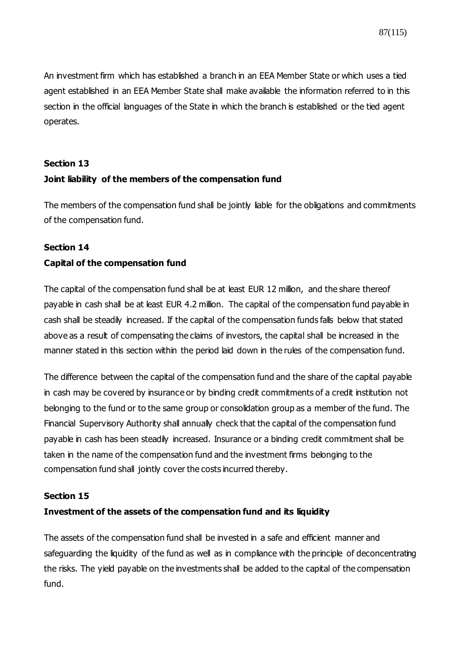An investment firm which has established a branch in an EEA Member State or which uses a tied agent established in an EEA Member State shall make available the information referred to in this section in the official languages of the State in which the branch is established or the tied agent operates.

#### **Section 13**

## **Joint liability of the members of the compensation fund**

The members of the compensation fund shall be jointly liable for the obligations and commitments of the compensation fund.

## **Section 14**

## **Capital of the compensation fund**

The capital of the compensation fund shall be at least EUR 12 million, and the share thereof payable in cash shall be at least EUR 4.2 million. The capital of the compensation fund payable in cash shall be steadily increased. If the capital of the compensation funds falls below that stated above as a result of compensating the claims of investors, the capital shall be increased in the manner stated in this section within the period laid down in the rules of the compensation fund.

The difference between the capital of the compensation fund and the share of the capital payable in cash may be covered by insurance or by binding credit commitments of a credit institution not belonging to the fund or to the same group or consolidation group as a member of the fund. The Financial Supervisory Authority shall annually check that the capital of the compensation fund payable in cash has been steadily increased. Insurance or a binding credit commitment shall be taken in the name of the compensation fund and the investment firms belonging to the compensation fund shall jointly cover the costs incurred thereby.

## **Section 15**

## **Investment of the assets of the compensation fund and its liquidity**

The assets of the compensation fund shall be invested in a safe and efficient manner and safeguarding the liquidity of the fund as well as in compliance with the principle of deconcentrating the risks. The yield payable on the investments shall be added to the capital of the compensation fund.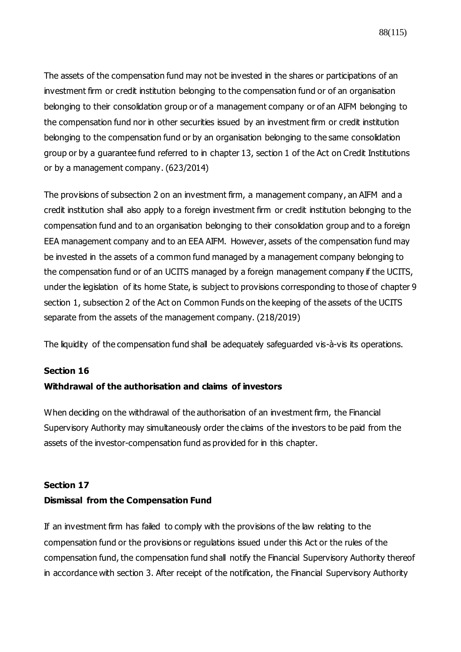88(115)

The assets of the compensation fund may not be invested in the shares or participations of an investment firm or credit institution belonging to the compensation fund or of an organisation belonging to their consolidation group or of a management company or of an AIFM belonging to the compensation fund nor in other securities issued by an investment firm or credit institution belonging to the compensation fund or by an organisation belonging to the same consolidation group or by a guarantee fund referred to in chapter 13, section 1 of the Act on Credit Institutions or by a management company. (623/2014)

The provisions of subsection 2 on an investment firm, a management company, an AIFM and a credit institution shall also apply to a foreign investment firm or credit institution belonging to the compensation fund and to an organisation belonging to their consolidation group and to a foreign EEA management company and to an EEA AIFM. However, assets of the compensation fund may be invested in the assets of a common fund managed by a management company belonging to the compensation fund or of an UCITS managed by a foreign management company if the UCITS, under the legislation of its home State, is subject to provisions corresponding to those of chapter 9 section 1, subsection 2 of the Act on Common Funds on the keeping of the assets of the UCITS separate from the assets of the management company. (218/2019)

The liquidity of the compensation fund shall be adequately safequarded vis-à-vis its operations.

## **Section 16 Withdrawal of the authorisation and claims of investors**

When deciding on the withdrawal of the authorisation of an investment firm, the Financial Supervisory Authority may simultaneously order the claims of the investors to be paid from the assets of the investor-compensation fund as provided for in this chapter.

## **Section 17 Dismissal from the Compensation Fund**

If an investment firm has failed to comply with the provisions of the law relating to the compensation fund or the provisions or regulations issued under this Act or the rules of the compensation fund, the compensation fund shall notify the Financial Supervisory Authority thereof in accordance with section 3. After receipt of the notification, the Financial Supervisory Authority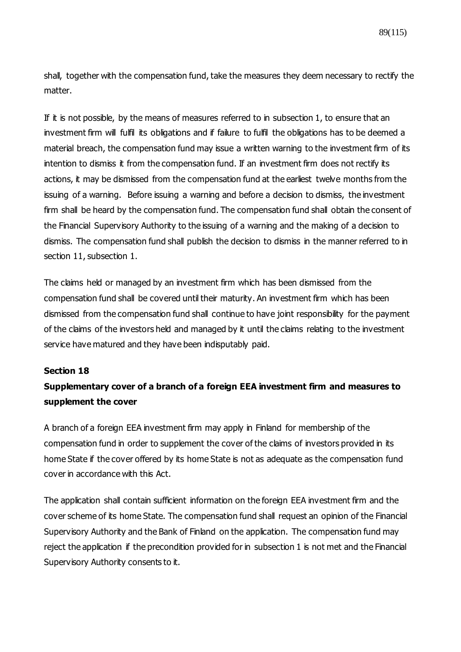shall, together with the compensation fund, take the measures they deem necessary to rectify the matter.

If it is not possible, by the means of measures referred to in subsection 1, to ensure that an investment firm will fulfil its obligations and if failure to fulfil the obligations has to be deemed a material breach, the compensation fund may issue a written warning to the investment firm of its intention to dismiss it from the compensation fund. If an investment firm does not rectify its actions, it may be dismissed from the compensation fund at the earliest twelve months from the issuing of a warning. Before issuing a warning and before a decision to dismiss, the investment firm shall be heard by the compensation fund. The compensation fund shall obtain the consent of the Financial Supervisory Authority to the issuing of a warning and the making of a decision to dismiss. The compensation fund shall publish the decision to dismiss in the manner referred to in section 11, subsection 1.

The claims held or managed by an investment firm which has been dismissed from the compensation fund shall be covered until their maturity. An investment firm which has been dismissed from the compensation fund shall continue to have joint responsibility for the payment of the claims of the investors held and managed by it until the claims relating to the investment service have matured and they have been indisputably paid.

## **Section 18**

## **Supplementary cover of a branch of a foreign EEA investment firm and measures to supplement the cover**

A branch of a foreign EEA investment firm may apply in Finland for membership of the compensation fund in order to supplement the cover of the claims of investors provided in its home State if the cover offered by its home State is not as adequate as the compensation fund cover in accordance with this Act.

The application shall contain sufficient information on the foreign EEA investment firm and the cover scheme of its home State. The compensation fund shall request an opinion of the Financial Supervisory Authority and the Bank of Finland on the application. The compensation fund may reject the application if the precondition provided for in subsection 1 is not met and the Financial Supervisory Authority consents to it.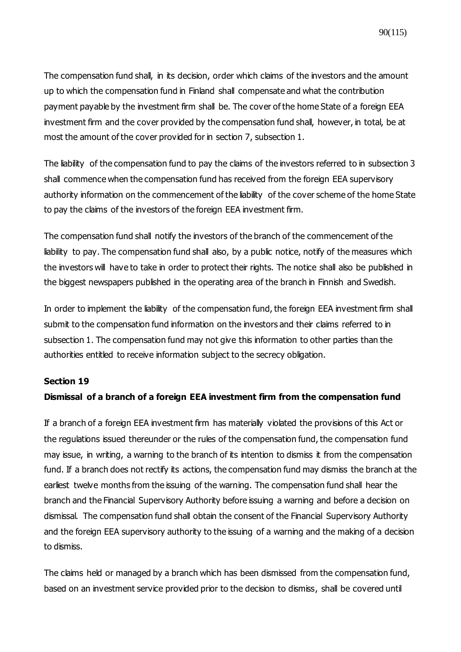The compensation fund shall, in its decision, order which claims of the investors and the amount up to which the compensation fund in Finland shall compensate and what the contribution payment payable by the investment firm shall be. The cover of the home State of a foreign EEA investment firm and the cover provided by the compensation fund shall, however, in total, be at most the amount of the cover provided for in section 7, subsection 1.

The liability of the compensation fund to pay the claims of the investors referred to in subsection 3 shall commence when the compensation fund has received from the foreign EEA supervisory authority information on the commencement of the liability of the cover scheme of the home State to pay the claims of the investors of the foreign EEA investment firm.

The compensation fund shall notify the investors of the branch of the commencement of the liability to pay. The compensation fund shall also, by a public notice, notify of the measures which the investors will have to take in order to protect their rights. The notice shall also be published in the biggest newspapers published in the operating area of the branch in Finnish and Swedish.

In order to implement the liability of the compensation fund, the foreign EEA investment firm shall submit to the compensation fund information on the investors and their claims referred to in subsection 1. The compensation fund may not give this information to other parties than the authorities entitled to receive information subject to the secrecy obligation.

#### **Section 19**

## **Dismissal of a branch of a foreign EEA investment firm from the compensation fund**

If a branch of a foreign EEA investment firm has materially violated the provisions of this Act or the regulations issued thereunder or the rules of the compensation fund, the compensation fund may issue, in writing, a warning to the branch of its intention to dismiss it from the compensation fund. If a branch does not rectify its actions, the compensation fund may dismiss the branch at the earliest twelve months from the issuing of the warning. The compensation fund shall hear the branch and the Financial Supervisory Authority before issuing a warning and before a decision on dismissal. The compensation fund shall obtain the consent of the Financial Supervisory Authority and the foreign EEA supervisory authority to the issuing of a warning and the making of a decision to dismiss.

The claims held or managed by a branch which has been dismissed from the compensation fund, based on an investment service provided prior to the decision to dismiss, shall be covered until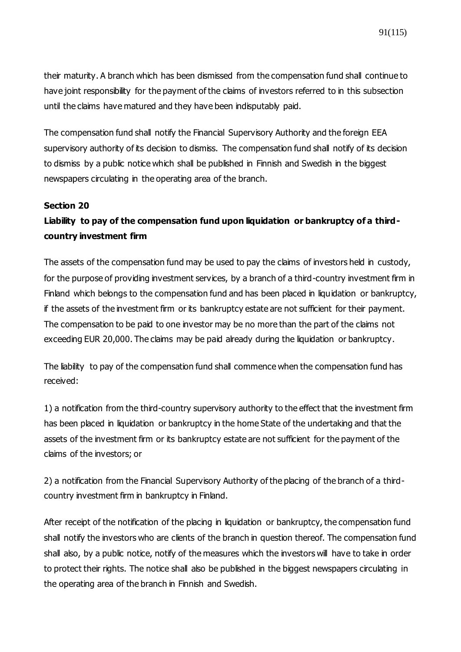their maturity. A branch which has been dismissed from the compensation fund shall continue to have joint responsibility for the payment of the claims of investors referred to in this subsection until the claims have matured and they have been indisputably paid.

The compensation fund shall notify the Financial Supervisory Authority and the foreign EEA supervisory authority of its decision to dismiss. The compensation fund shall notify of its decision to dismiss by a public notice which shall be published in Finnish and Swedish in the biggest newspapers circulating in the operating area of the branch.

#### **Section 20**

## **Liability to pay of the compensation fund upon liquidation or bankruptcy of a thirdcountry investment firm**

The assets of the compensation fund may be used to pay the claims of investors held in custody, for the purpose of providing investment services, by a branch of a third-country investment firm in Finland which belongs to the compensation fund and has been placed in liquidation or bankruptcy, if the assets of the investment firm or its bankruptcy estate are not sufficient for their payment. The compensation to be paid to one investor may be no more than the part of the claims not exceeding EUR 20,000. The claims may be paid already during the liquidation or bankruptcy.

The liability to pay of the compensation fund shall commence when the compensation fund has received:

1) a notification from the third-country supervisory authority to the effect that the investment firm has been placed in liquidation or bankruptcy in the home State of the undertaking and that the assets of the investment firm or its bankruptcy estate are not sufficient for the payment of the claims of the investors; or

2) a notification from the Financial Supervisory Authority of the placing of the branch of a thirdcountry investment firm in bankruptcy in Finland.

After receipt of the notification of the placing in liquidation or bankruptcy, the compensation fund shall notify the investors who are clients of the branch in question thereof. The compensation fund shall also, by a public notice, notify of the measures which the investors will have to take in order to protect their rights. The notice shall also be published in the biggest newspapers circulating in the operating area of the branch in Finnish and Swedish.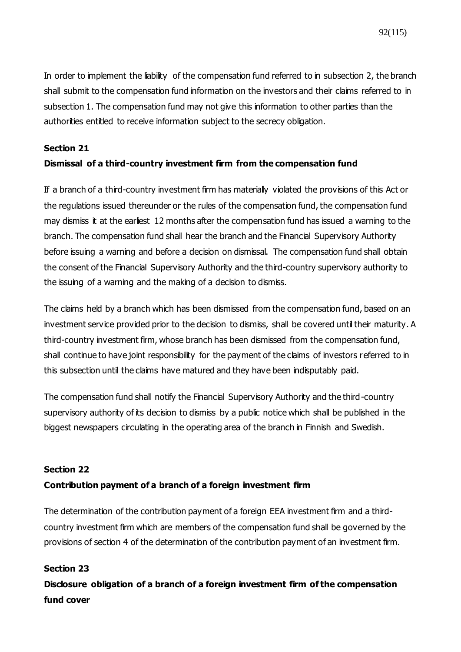In order to implement the liability of the compensation fund referred to in subsection 2, the branch shall submit to the compensation fund information on the investors and their claims referred to in subsection 1. The compensation fund may not give this information to other parties than the authorities entitled to receive information subject to the secrecy obligation.

## **Section 21**

## **Dismissal of a third-country investment firm from the compensation fund**

If a branch of a third-country investment firm has materially violated the provisions of this Act or the regulations issued thereunder or the rules of the compensation fund, the compensation fund may dismiss it at the earliest 12 months after the compensation fund has issued a warning to the branch. The compensation fund shall hear the branch and the Financial Supervisory Authority before issuing a warning and before a decision on dismissal. The compensation fund shall obtain the consent of the Financial Supervisory Authority and the third-country supervisory authority to the issuing of a warning and the making of a decision to dismiss.

The claims held by a branch which has been dismissed from the compensation fund, based on an investment service provided prior to the decision to dismiss, shall be covered until their maturity. A third-country investment firm, whose branch has been dismissed from the compensation fund, shall continue to have joint responsibility for the payment of the claims of investors referred to in this subsection until the claims have matured and they have been indisputably paid.

The compensation fund shall notify the Financial Supervisory Authority and the third-country supervisory authority of its decision to dismiss by a public notice which shall be published in the biggest newspapers circulating in the operating area of the branch in Finnish and Swedish.

## **Section 22**

## **Contribution payment of a branch of a foreign investment firm**

The determination of the contribution payment of a foreign EEA investment firm and a thirdcountry investment firm which are members of the compensation fund shall be governed by the provisions of section 4 of the determination of the contribution payment of an investment firm.

## **Section 23**

**Disclosure obligation of a branch of a foreign investment firm of the compensation fund cover**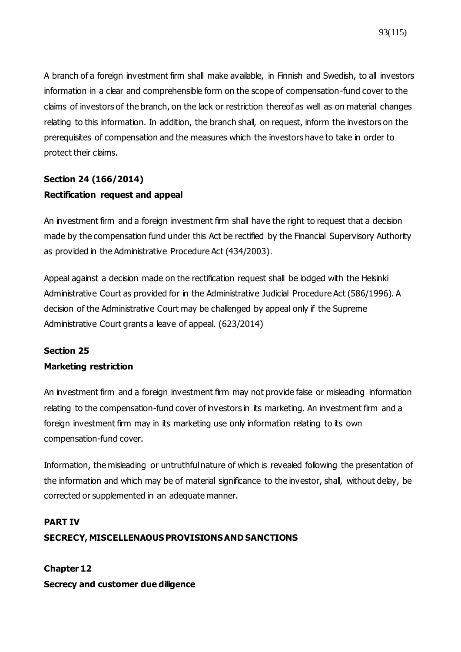A branch of a foreign investment firm shall make available, in Finnish and Swedish, to all investors information in a clear and comprehensible form on the scope of compensation-fund cover to the claims of investors of the branch, on the lack or restriction thereof as well as on material changes relating to this information. In addition, the branch shall, on request, inform the investors on the prerequisites of compensation and the measures which the investors have to take in order to protect their claims.

## **Section 24 (166/2014) Rectification request and appeal**

An investment firm and a foreign investment firm shall have the right to request that a decision made by the compensation fund under this Act be rectified by the Financial Supervisory Authority as provided in the Administrative Procedure Act (434/2003).

Appeal against a decision made on the rectification request shall be lodged with the Helsinki Administrative Court as provided for in the Administrative Judicial Procedure Act (586/1996). A decision of the Administrative Court may be challenged by appeal only if the Supreme Administrative Court grants a leave of appeal. (623/2014)

## **Section 25**

## **Marketing restriction**

An investment firm and a foreign investment firm may not provide false or misleading information relating to the compensation-fund cover of investors in its marketing. An investment firm and a foreign investment firm may in its marketing use only information relating to its own compensation-fund cover.

Information, the misleading or untruthful nature of which is revealed following the presentation of the information and which may be of material significance to the investor, shall, without delay, be corrected or supplemented in an adequate manner.

## **PART IV SECRECY, MISCELLENAOUS PROVISIONS AND SANCTIONS**

**Chapter 12 Secrecy and customer due diligence**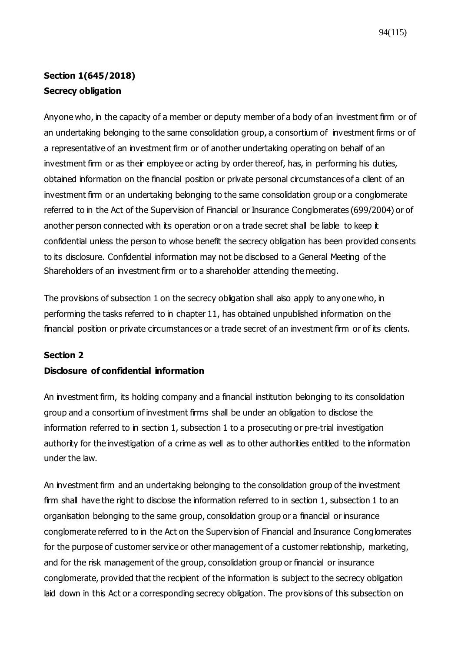## **Section 1(645/2018) Secrecy obligation**

Anyone who, in the capacity of a member or deputy member of a body of an investment firm or of an undertaking belonging to the same consolidation group, a consortium of investment firms or of a representative of an investment firm or of another undertaking operating on behalf of an investment firm or as their employee or acting by order thereof, has, in performing his duties, obtained information on the financial position or private personal circumstances of a client of an investment firm or an undertaking belonging to the same consolidation group or a conglomerate referred to in the Act of the Supervision of Financial or Insurance Conglomerates (699/2004) or of another person connected with its operation or on a trade secret shall be liable to keep it confidential unless the person to whose benefit the secrecy obligation has been provided consents to its disclosure. Confidential information may not be disclosed to a General Meeting of the Shareholders of an investment firm or to a shareholder attending the meeting.

The provisions of subsection 1 on the secrecy obligation shall also apply to any one who, in performing the tasks referred to in chapter 11, has obtained unpublished information on the financial position or private circumstances or a trade secret of an investment firm or of its clients.

## **Section 2**

## **Disclosure of confidential information**

An investment firm, its holding company and a financial institution belonging to its consolidation group and a consortium of investment firms shall be under an obligation to disclose the information referred to in section 1, subsection 1 to a prosecuting or pre-trial investigation authority for the investigation of a crime as well as to other authorities entitled to the information under the law.

An investment firm and an undertaking belonging to the consolidation group of the investment firm shall have the right to disclose the information referred to in section 1, subsection 1 to an organisation belonging to the same group, consolidation group or a financial or insurance conglomerate referred to in the Act on the Supervision of Financial and Insurance Conglomerates for the purpose of customer service or other management of a customer relationship, marketing, and for the risk management of the group, consolidation group or financial or insurance conglomerate, provided that the recipient of the information is subject to the secrecy obligation laid down in this Act or a corresponding secrecy obligation. The provisions of this subsection on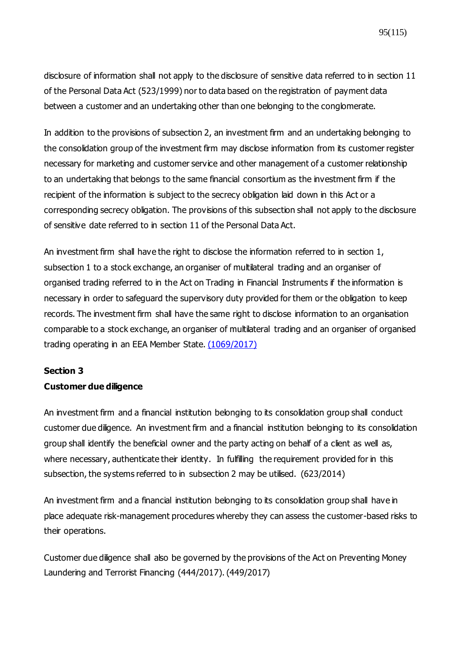disclosure of information shall not apply to the disclosure of sensitive data referred to in section 11 of the Personal Data Act (523/1999) nor to data based on the registration of payment data between a customer and an undertaking other than one belonging to the conglomerate.

In addition to the provisions of subsection 2, an investment firm and an undertaking belonging to the consolidation group of the investment firm may disclose information from its customer register necessary for marketing and customer service and other management of a customer relationship to an undertaking that belongs to the same financial consortium as the investment firm if the recipient of the information is subject to the secrecy obligation laid down in this Act or a corresponding secrecy obligation. The provisions of this subsection shall not apply to the disclosure of sensitive date referred to in section 11 of the Personal Data Act.

An investment firm shall have the right to disclose the information referred to in section 1, subsection 1 to a stock exchange, an organiser of multilateral trading and an organiser of organised trading referred to in the Act on Trading in Financial Instruments if the information is necessary in order to safeguard the supervisory duty provided for them or the obligation to keep records. The investment firm shall have the same right to disclose information to an organisation comparable to a stock exchange, an organiser of multilateral trading and an organiser of organised trading operating in an EEA Member State. [\(1069/2017\)](https://www.finlex.fi/fi/laki/ajantasa/2012/20120747#a28.12.2017-1069)

#### **Section 3**

## **Customer due diligence**

An investment firm and a financial institution belonging to its consolidation group shall conduct customer due diligence. An investment firm and a financial institution belonging to its consolidation group shall identify the beneficial owner and the party acting on behalf of a client as well as, where necessary, authenticate their identity. In fulfilling the requirement provided for in this subsection, the systems referred to in subsection 2 may be utilised. (623/2014)

An investment firm and a financial institution belonging to its consolidation group shall have in place adequate risk-management procedures whereby they can assess the customer-based risks to their operations.

Customer due diligence shall also be governed by the provisions of the Act on Preventing Money Laundering and Terrorist Financing (444/2017). (449/2017)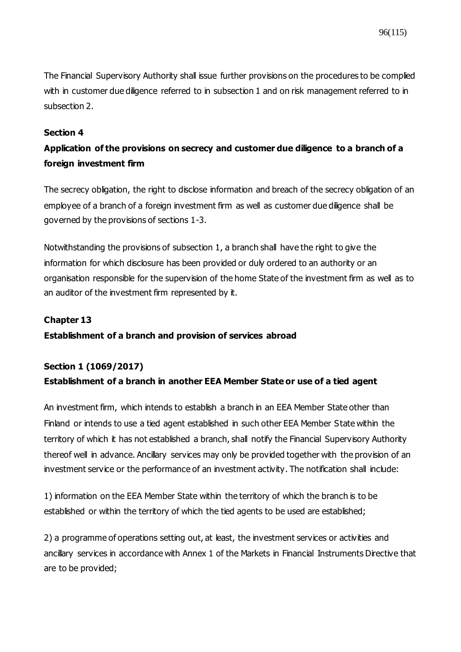The Financial Supervisory Authority shall issue further provisions on the procedures to be complied with in customer due diligence referred to in subsection 1 and on risk management referred to in subsection 2.

## **Section 4**

## **Application of the provisions on secrecy and customer due diligence to a branch of a foreign investment firm**

The secrecy obligation, the right to disclose information and breach of the secrecy obligation of an employee of a branch of a foreign investment firm as well as customer due diligence shall be governed by the provisions of sections 1-3.

Notwithstanding the provisions of subsection 1, a branch shall have the right to give the information for which disclosure has been provided or duly ordered to an authority or an organisation responsible for the supervision of the home State of the investment firm as well as to an auditor of the investment firm represented by it.

## **Chapter 13**

## **Establishment of a branch and provision of services abroad**

## **Section 1 [\(1069/2017\)](https://www.finlex.fi/fi/laki/ajantasa/2012/20120747#a28.12.2017-1069) Establishment of a branch in another EEA Member State or use of a tied agent**

An investment firm, which intends to establish a branch in an EEA Member State other than Finland or intends to use a tied agent established in such other EEA Member State within the territory of which it has not established a branch, shall notify the Financial Supervisory Authority thereof well in advance. Ancillary services may only be provided together with the provision of an investment service or the performance of an investment activity. The notification shall include:

1) information on the EEA Member State within the territory of which the branch is to be established or within the territory of which the tied agents to be used are established;

2) a programme of operations setting out, at least, the investment services or activities and ancillary services in accordance with Annex 1 of the Markets in Financial Instruments Directive that are to be provided;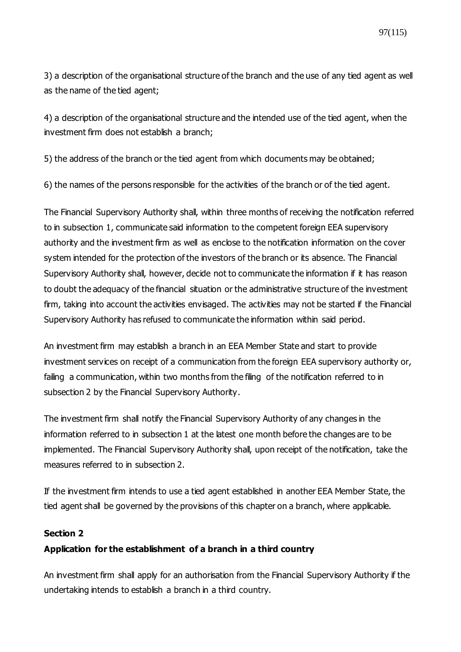3) a description of the organisational structure of the branch and the use of any tied agent as well as the name of the tied agent;

4) a description of the organisational structure and the intended use of the tied agent, when the investment firm does not establish a branch;

5) the address of the branch or the tied agent from which documents may be obtained;

6) the names of the persons responsible for the activities of the branch or of the tied agent.

The Financial Supervisory Authority shall, within three months of receiving the notification referred to in subsection 1, communicate said information to the competent foreign EEA supervisory authority and the investment firm as well as enclose to the notification information on the cover system intended for the protection of the investors of the branch or its absence. The Financial Supervisory Authority shall, however, decide not to communicate the information if it has reason to doubt the adequacy of the financial situation or the administrative structure of the investment firm, taking into account the activities envisaged. The activities may not be started if the Financial Supervisory Authority has refused to communicate the information within said period.

An investment firm may establish a branch in an EEA Member State and start to provide investment services on receipt of a communication from the foreign EEA supervisory authority or, failing a communication, within two months from the filing of the notification referred to in subsection 2 by the Financial Supervisory Authority.

The investment firm shall notify the Financial Supervisory Authority of any changes in the information referred to in subsection 1 at the latest one month before the changes are to be implemented. The Financial Supervisory Authority shall, upon receipt of the notification, take the measures referred to in subsection 2.

If the investment firm intends to use a tied agent established in another EEA Member State, the tied agent shall be governed by the provisions of this chapter on a branch, where applicable.

## **Section 2**

## **Application for the establishment of a branch in a third country**

An investment firm shall apply for an authorisation from the Financial Supervisory Authority if the undertaking intends to establish a branch in a third country.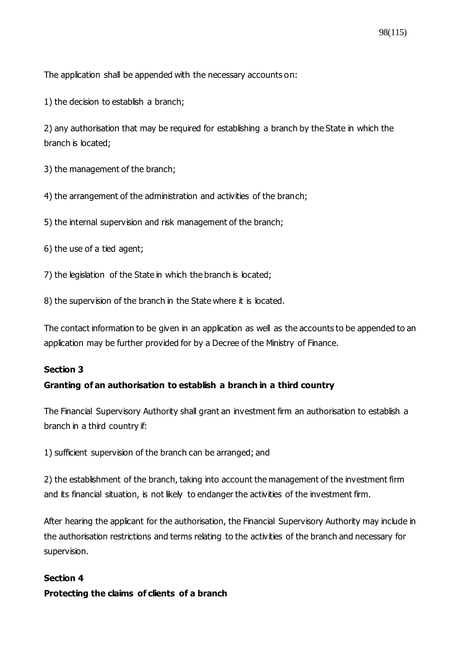The application shall be appended with the necessary accounts on:

1) the decision to establish a branch;

2) any authorisation that may be required for establishing a branch by the State in which the branch is located;

3) the management of the branch;

4) the arrangement of the administration and activities of the branch;

5) the internal supervision and risk management of the branch;

6) the use of a tied agent;

7) the legislation of the State in which the branch is located;

8) the supervision of the branch in the State where it is located.

The contact information to be given in an application as well as the accounts to be appended to an application may be further provided for by a Decree of the Ministry of Finance.

#### **Section 3**

## **Granting of an authorisation to establish a branch in a third country**

The Financial Supervisory Authority shall grant an investment firm an authorisation to establish a branch in a third country if:

1) sufficient supervision of the branch can be arranged; and

2) the establishment of the branch, taking into account the management of the investment firm and its financial situation, is not likely to endanger the activities of the investment firm.

After hearing the applicant for the authorisation, the Financial Supervisory Authority may include in the authorisation restrictions and terms relating to the activities of the branch and necessary for supervision.

#### **Section 4**

#### **Protecting the claims of clients of a branch**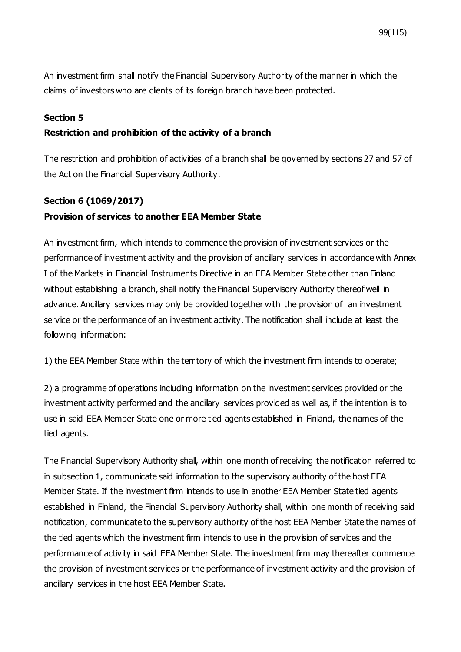An investment firm shall notify the Financial Supervisory Authority of the manner in which the claims of investors who are clients of its foreign branch have been protected.

## **Section 5**

## **Restriction and prohibition of the activity of a branch**

The restriction and prohibition of activities of a branch shall be governed by sections 27 and 57 of the Act on the Financial Supervisory Authority.

## **Section 6 [\(1069/2017\)](https://www.finlex.fi/fi/laki/ajantasa/2012/20120747#a28.12.2017-1069) Provision of services to another EEA Member State**

An investment firm, which intends to commence the provision of investment services or the performance of investment activity and the provision of ancillary services in accordance with Annex I of the Markets in Financial Instruments Directive in an EEA Member State other than Finland without establishing a branch, shall notify the Financial Supervisory Authority thereof well in advance. Ancillary services may only be provided together with the provision of an investment service or the performance of an investment activity. The notification shall include at least the following information:

1) the EEA Member State within the territory of which the investment firm intends to operate;

2) a programme of operations including information on the investment services provided or the investment activity performed and the ancillary services provided as well as, if the intention is to use in said EEA Member State one or more tied agents established in Finland, the names of the tied agents.

The Financial Supervisory Authority shall, within one month of receiving the notification referred to in subsection 1, communicate said information to the supervisory authority of the host EEA Member State. If the investment firm intends to use in another EEA Member State tied agents established in Finland, the Financial Supervisory Authority shall, within one month of receiving said notification, communicate to the supervisory authority of the host EEA Member State the names of the tied agents which the investment firm intends to use in the provision of services and the performance of activity in said EEA Member State. The investment firm may thereafter commence the provision of investment services or the performance of investment activity and the provision of ancillary services in the host EEA Member State.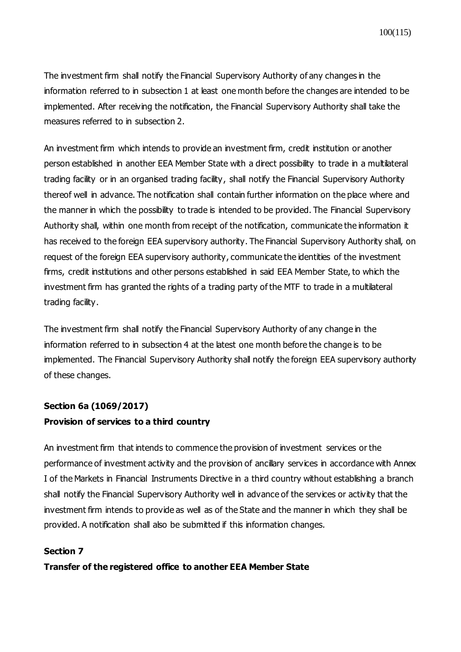The investment firm shall notify the Financial Supervisory Authority of any changes in the information referred to in subsection 1 at least one month before the changes are intended to be implemented. After receiving the notification, the Financial Supervisory Authority shall take the measures referred to in subsection 2.

An investment firm which intends to provide an investment firm, credit institution or another person established in another EEA Member State with a direct possibility to trade in a multilateral trading facility or in an organised trading facility, shall notify the Financial Supervisory Authority thereof well in advance. The notification shall contain further information on the place where and the manner in which the possibility to trade is intended to be provided. The Financial Supervisory Authority shall, within one month from receipt of the notification, communicate the information it has received to the foreign EEA supervisory authority. The Financial Supervisory Authority shall, on request of the foreign EEA supervisory authority, communicate the identities of the investment firms, credit institutions and other persons established in said EEA Member State, to which the investment firm has granted the rights of a trading party of the MTF to trade in a multilateral trading facility.

The investment firm shall notify the Financial Supervisory Authority of any change in the information referred to in subsection 4 at the latest one month before the change is to be implemented. The Financial Supervisory Authority shall notify the foreign EEA supervisory authority of these changes.

## **Section 6a [\(1069/2017\)](https://www.finlex.fi/fi/laki/ajantasa/2012/20120747#a28.12.2017-1069) Provision of services to a third country**

An investment firm that intends to commence the provision of investment services or the performance of investment activity and the provision of ancillary services in accordance with Annex I of the Markets in Financial Instruments Directive in a third country without establishing a branch shall notify the Financial Supervisory Authority well in advance of the services or activity that the investment firm intends to provide as well as of the State and the manner in which they shall be provided. A notification shall also be submitted if this information changes.

## **Section 7**

**Transfer of the registered office to another EEA Member State**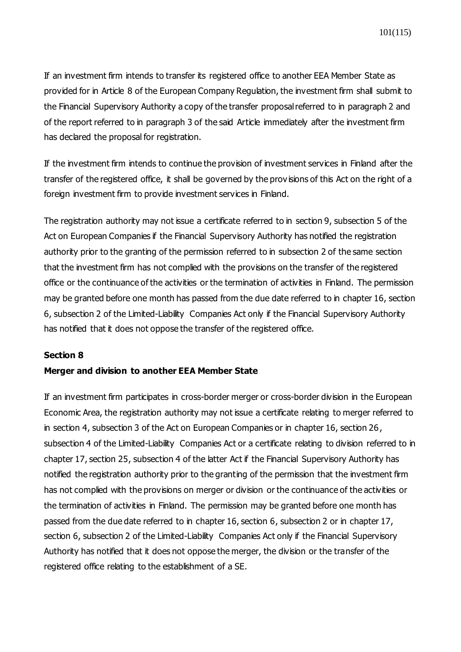If an investment firm intends to transfer its registered office to another EEA Member State as provided for in Article 8 of the European Company Regulation, the investment firm shall submit to the Financial Supervisory Authority a copy of the transfer proposal referred to in paragraph 2 and of the report referred to in paragraph 3 of the said Article immediately after the investment firm has declared the proposal for registration.

If the investment firm intends to continue the provision of investment services in Finland after the transfer of the registered office, it shall be governed by the prov isions of this Act on the right of a foreign investment firm to provide investment services in Finland.

The registration authority may not issue a certificate referred to in section 9, subsection 5 of the Act on European Companies if the Financial Supervisory Authority has notified the registration authority prior to the granting of the permission referred to in subsection 2 of the same section that the investment firm has not complied with the provisions on the transfer of the registered office or the continuance of the activities or the termination of activities in Finland. The permission may be granted before one month has passed from the due date referred to in chapter 16, section 6, subsection 2 of the Limited-Liability Companies Act only if the Financial Supervisory Authority has notified that it does not oppose the transfer of the registered office.

#### **Section 8**

#### **Merger and division to another EEA Member State**

If an investment firm participates in cross-border merger or cross-border division in the European Economic Area, the registration authority may not issue a certificate relating to merger referred to in section 4, subsection 3 of the Act on European Companies or in chapter 16, section 26, subsection 4 of the Limited-Liability Companies Act or a certificate relating to division referred to in chapter 17, section 25, subsection 4 of the latter Act if the Financial Supervisory Authority has notified the registration authority prior to the granting of the permission that the investment firm has not complied with the provisions on merger or division or the continuance of the activities or the termination of activities in Finland. The permission may be granted before one month has passed from the due date referred to in chapter 16, section 6, subsection 2 or in chapter 17, section 6, subsection 2 of the Limited-Liability Companies Act only if the Financial Supervisory Authority has notified that it does not oppose the merger, the division or the transfer of the registered office relating to the establishment of a SE.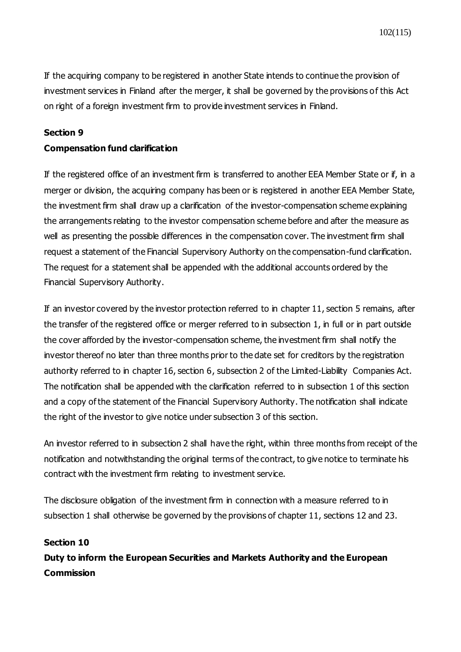If the acquiring company to be registered in another State intends to continue the provision of investment services in Finland after the merger, it shall be governed by the provisions of this Act on right of a foreign investment firm to provide investment services in Finland.

#### **Section 9**

#### **Compensation fund clarification**

If the registered office of an investment firm is transferred to another EEA Member State or if, in a merger or division, the acquiring company has been or is registered in another EEA Member State, the investment firm shall draw up a clarification of the investor-compensation scheme explaining the arrangements relating to the investor compensation scheme before and after the measure as well as presenting the possible differences in the compensation cover. The investment firm shall request a statement of the Financial Supervisory Authority on the compensation-fund clarification. The request for a statement shall be appended with the additional accounts ordered by the Financial Supervisory Authority.

If an investor covered by the investor protection referred to in chapter 11, section 5 remains, after the transfer of the registered office or merger referred to in subsection 1, in full or in part outside the cover afforded by the investor-compensation scheme, the investment firm shall notify the investor thereof no later than three months prior to the date set for creditors by the registration authority referred to in chapter 16, section 6, subsection 2 of the Limited-Liability Companies Act. The notification shall be appended with the clarification referred to in subsection 1 of this section and a copy of the statement of the Financial Supervisory Authority. The notification shall indicate the right of the investor to give notice under subsection 3 of this section.

An investor referred to in subsection 2 shall have the right, within three months from receipt of the notification and notwithstanding the original terms of the contract, to give notice to terminate his contract with the investment firm relating to investment service.

The disclosure obligation of the investment firm in connection with a measure referred to in subsection 1 shall otherwise be governed by the provisions of chapter 11, sections 12 and 23.

#### **Section 10**

**Duty to inform the European Securities and Markets Authority and the European Commission**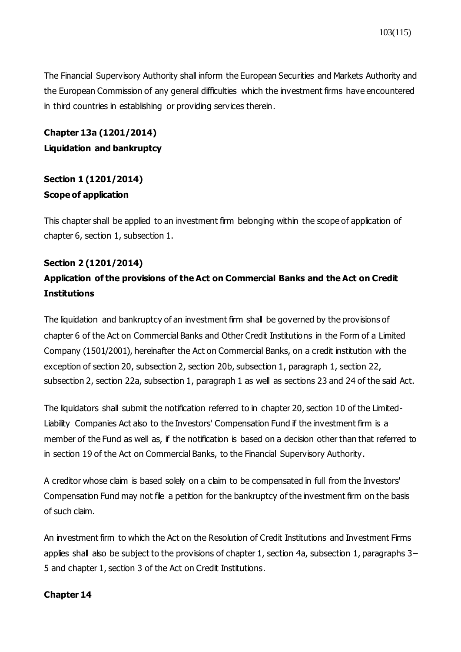The Financial Supervisory Authority shall inform the European Securities and Markets Authority and the European Commission of any general difficulties which the investment firms have encountered in third countries in establishing or providing services therein.

## **Chapter 13a (1201/2014) Liquidation and bankruptcy**

## **Section 1 (1201/2014) Scope of application**

This chapter shall be applied to an investment firm belonging within the scope of application of chapter 6, section 1, subsection 1.

## **Section 2 (1201/2014)**

## **Application of the provisions of the Act on Commercial Banks and the Act on Credit Institutions**

The liquidation and bankruptcy of an investment firm shall be governed by the provisions of chapter 6 of the Act on Commercial Banks and Other Credit Institutions in the Form of a Limited Company (1501/2001), hereinafter the Act on Commercial Banks, on a credit institution with the exception of section 20, subsection 2, section 20b, subsection 1, paragraph 1, section 22, subsection 2, section 22a, subsection 1, paragraph 1 as well as sections 23 and 24 of the said Act.

The liquidators shall submit the notification referred to in chapter 20, section 10 of the Limited-Liability Companies Act also to the Investors' Compensation Fund if the investment firm is a member of the Fund as well as, if the notification is based on a decision other than that referred to in section 19 of the Act on Commercial Banks, to the Financial Supervisory Authority.

A creditor whose claim is based solely on a claim to be compensated in full from the Investors' Compensation Fund may not file a petition for the bankruptcy of the investment firm on the basis of such claim.

An investment firm to which the Act on the Resolution of Credit Institutions and Investment Firms applies shall also be subject to the provisions of chapter 1, section 4a, subsection 1, paragraphs 3– 5 and chapter 1, section 3 of the Act on Credit Institutions.

## **Chapter 14**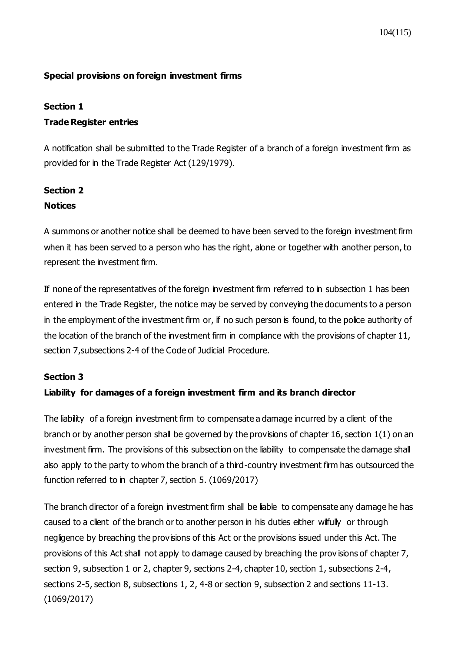## **Special provisions on foreign investment firms**

#### **Section 1**

## **Trade Register entries**

A notification shall be submitted to the Trade Register of a branch of a foreign investment firm as provided for in the Trade Register Act (129/1979).

# **Section 2**

## **Notices**

A summons or another notice shall be deemed to have been served to the foreign investment firm when it has been served to a person who has the right, alone or together with another person, to represent the investment firm.

If none of the representatives of the foreign investment firm referred to in subsection 1 has been entered in the Trade Register, the notice may be served by conveying the documents to a person in the employment of the investment firm or, if no such person is found, to the police authority of the location of the branch of the investment firm in compliance with the provisions of chapter 11, section 7,subsections 2-4 of the Code of Judicial Procedure.

## **Section 3**

## **Liability for damages of a foreign investment firm and its branch director**

The liability of a foreign investment firm to compensate a damage incurred by a client of the branch or by another person shall be governed by the provisions of chapter 16, section 1(1) on an investment firm. The provisions of this subsection on the liability to compensate the damage shall also apply to the party to whom the branch of a third-country investment firm has outsourced the function referred to in chapter 7, section 5. (1069/2017)

The branch director of a foreign investment firm shall be liable to compensate any damage he has caused to a client of the branch or to another person in his duties either wilfully or through negligence by breaching the provisions of this Act or the provisions issued under this Act. The provisions of this Act shall not apply to damage caused by breaching the prov isions of chapter 7, section 9, subsection 1 or 2, chapter 9, sections 2-4, chapter 10, section 1, subsections 2-4, sections 2-5, section 8, subsections 1, 2, 4-8 or section 9, subsection 2 and sections 11-13. (1069/2017)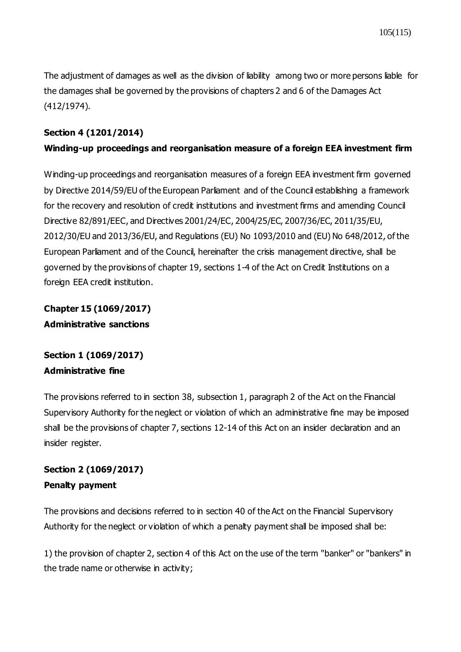The adjustment of damages as well as the division of liability among two or more persons liable for the damages shall be governed by the provisions of chapters 2 and 6 of the Damages Act (412/1974).

## **Section 4 (1201/2014)**

## **Winding-up proceedings and reorganisation measure of a foreign EEA investment firm**

Winding-up proceedings and reorganisation measures of a foreign EEA investment firm governed by Directive 2014/59/EU of the European Parliament and of the Council establishing a framework for the recovery and resolution of credit institutions and investment firms and amending Council Directive 82/891/EEC, and Directives 2001/24/EC, 2004/25/EC, 2007/36/EC, 2011/35/EU, 2012/30/EU and 2013/36/EU, and Regulations (EU) No 1093/2010 and (EU) No 648/2012, of the European Parliament and of the Council, hereinafter the crisis management directive, shall be governed by the provisions of chapter 19, sections 1-4 of the Act on Credit Institutions on a foreign EEA credit institution.

**Chapter 15 (1069/2017) Administrative sanctions**

## **Section 1 (1069/2017) Administrative fine**

The provisions referred to in section 38, subsection 1, paragraph 2 of the Act on the Financial Supervisory Authority for the neglect or violation of which an administrative fine may be imposed shall be the provisions of chapter 7, sections 12-14 of this Act on an insider declaration and an insider register.

## **Section 2 (1069/2017) Penalty payment**

The provisions and decisions referred to in section 40 of the Act on the Financial Supervisory Authority for the neglect or violation of which a penalty payment shall be imposed shall be:

1) the provision of chapter 2, section 4 of this Act on the use of the term "banker" or "bankers" in the trade name or otherwise in activity;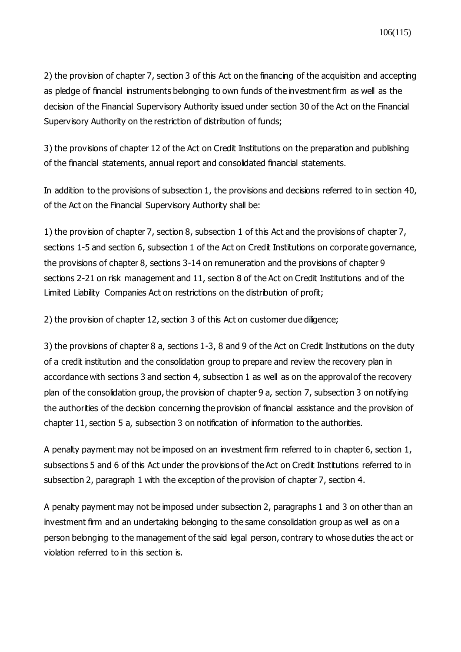2) the provision of chapter 7, section 3 of this Act on the financing of the acquisition and accepting as pledge of financial instruments belonging to own funds of the investment firm as well as the decision of the Financial Supervisory Authority issued under section 30 of the Act on the Financial Supervisory Authority on the restriction of distribution of funds;

3) the provisions of chapter 12 of the Act on Credit Institutions on the preparation and publishing of the financial statements, annual report and consolidated financial statements.

In addition to the provisions of subsection 1, the provisions and decisions referred to in section 40, of the Act on the Financial Supervisory Authority shall be:

1) the provision of chapter 7, section 8, subsection 1 of this Act and the provisions of chapter 7, sections 1-5 and section 6, subsection 1 of the Act on Credit Institutions on corporate governance, the provisions of chapter 8, sections 3-14 on remuneration and the provisions of chapter 9 sections 2-21 on risk management and 11, section 8 of the Act on Credit Institutions and of the Limited Liability Companies Act on restrictions on the distribution of profit;

2) the provision of chapter 12, section 3 of this Act on customer due diligence;

3) the provisions of chapter 8 a, sections 1-3, 8 and 9 of the Act on Credit Institutions on the duty of a credit institution and the consolidation group to prepare and review the recovery plan in accordance with sections 3 and section 4, subsection 1 as well as on the approval of the recovery plan of the consolidation group, the provision of chapter 9 a, section 7, subsection 3 on notifying the authorities of the decision concerning the provision of financial assistance and the provision of chapter 11, section 5 a, subsection 3 on notification of information to the authorities.

A penalty payment may not be imposed on an investment firm referred to in chapter 6, section 1, subsections 5 and 6 of this Act under the provisions of the Act on Credit Institutions referred to in subsection 2, paragraph 1 with the exception of the provision of chapter 7, section 4.

A penalty payment may not be imposed under subsection 2, paragraphs 1 and 3 on other than an investment firm and an undertaking belonging to the same consolidation group as well as on a person belonging to the management of the said legal person, contrary to whose duties the act or violation referred to in this section is.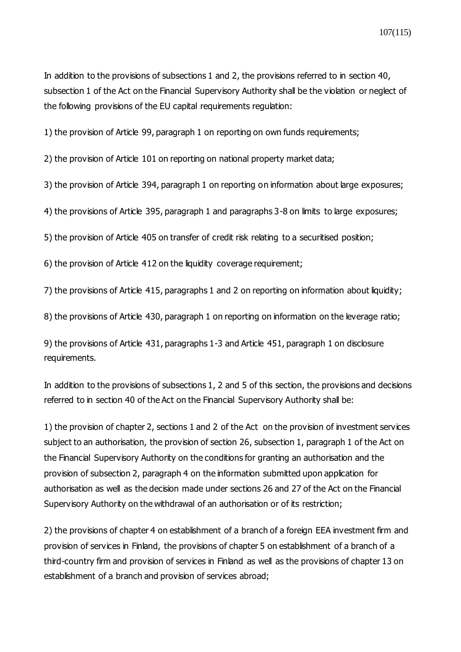107(115)

In addition to the provisions of subsections 1 and 2, the provisions referred to in section 40, subsection 1 of the Act on the Financial Supervisory Authority shall be the violation or neglect of the following provisions of the EU capital requirements regulation:

1) the provision of Article 99, paragraph 1 on reporting on own funds requirements;

2) the provision of Article 101 on reporting on national property market data;

3) the provision of Article 394, paragraph 1 on reporting on information about large exposures;

4) the provisions of Article 395, paragraph 1 and paragraphs 3-8 on limits to large exposures;

5) the provision of Article 405 on transfer of credit risk relating to a securitised position;

6) the provision of Article 412 on the liquidity coverage requirement;

7) the provisions of Article 415, paragraphs 1 and 2 on reporting on information about liquidity;

8) the provisions of Article 430, paragraph 1 on reporting on information on the leverage ratio;

9) the provisions of Article 431, paragraphs 1-3 and Article 451, paragraph 1 on disclosure requirements.

In addition to the provisions of subsections 1, 2 and 5 of this section, the provisions and decisions referred to in section 40 of the Act on the Financial Supervisory Authority shall be:

1) the provision of chapter 2, sections 1 and 2 of the Act on the provision of investment services subject to an authorisation, the provision of section 26, subsection 1, paragraph 1 of the Act on the Financial Supervisory Authority on the conditions for granting an authorisation and the provision of subsection 2, paragraph 4 on the information submitted upon application for authorisation as well as the decision made under sections 26 and 27 of the Act on the Financial Supervisory Authority on the withdrawal of an authorisation or of its restriction;

2) the provisions of chapter 4 on establishment of a branch of a foreign EEA investment firm and provision of services in Finland, the provisions of chapter 5 on establishment of a branch of a third-country firm and provision of services in Finland as well as the provisions of chapter 13 on establishment of a branch and provision of services abroad;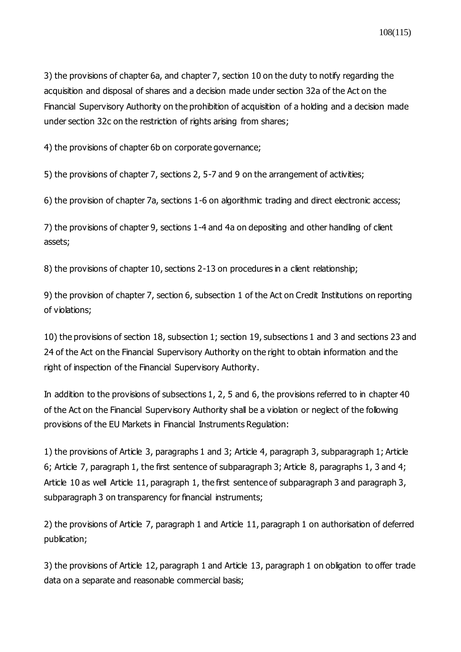3) the provisions of chapter 6a, and chapter 7, section 10 on the duty to notify regarding the acquisition and disposal of shares and a decision made under section 32a of the Act on the Financial Supervisory Authority on the prohibition of acquisition of a holding and a decision made under section 32c on the restriction of rights arising from shares;

4) the provisions of chapter 6b on corporate governance;

5) the provisions of chapter 7, sections 2, 5-7 and 9 on the arrangement of activities;

6) the provision of chapter 7a, sections 1-6 on algorithmic trading and direct electronic access;

7) the provisions of chapter 9, sections 1-4 and 4a on depositing and other handling of client assets;

8) the provisions of chapter 10, sections 2-13 on procedures in a client relationship;

9) the provision of chapter 7, section 6, subsection 1 of the Act on Credit Institutions on reporting of violations;

10) the provisions of section 18, subsection 1; section 19, subsections 1 and 3 and sections 23 and 24 of the Act on the Financial Supervisory Authority on the right to obtain information and the right of inspection of the Financial Supervisory Authority.

In addition to the provisions of subsections 1, 2, 5 and 6, the provisions referred to in chapter 40 of the Act on the Financial Supervisory Authority shall be a violation or neglect of the following provisions of the EU Markets in Financial Instruments Regulation:

1) the provisions of Article 3, paragraphs 1 and 3; Article 4, paragraph 3, subparagraph 1; Article 6; Article 7, paragraph 1, the first sentence of subparagraph 3; Article 8, paragraphs 1, 3 and 4; Article 10 as well Article 11, paragraph 1, the first sentence of subparagraph 3 and paragraph 3, subparagraph 3 on transparency for financial instruments;

2) the provisions of Article 7, paragraph 1 and Article 11, paragraph 1 on authorisation of deferred publication;

3) the provisions of Article 12, paragraph 1 and Article 13, paragraph 1 on obligation to offer trade data on a separate and reasonable commercial basis;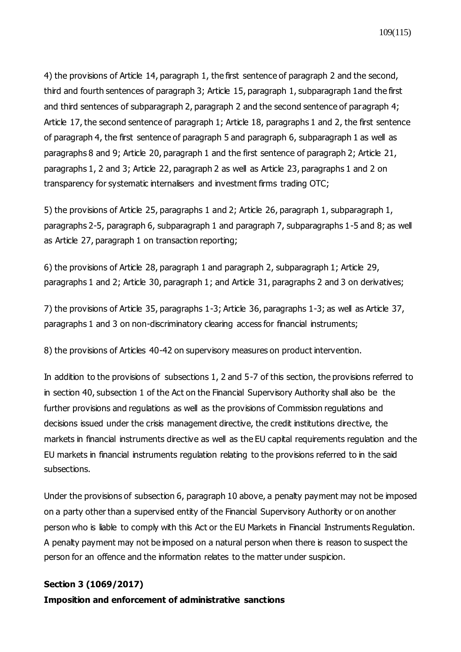4) the provisions of Article 14, paragraph 1, the first sentence of paragraph 2 and the second, third and fourth sentences of paragraph 3; Article 15, paragraph 1, subparagraph 1and the first and third sentences of subparagraph 2, paragraph 2 and the second sentence of paragraph 4; Article 17, the second sentence of paragraph 1; Article 18, paragraphs 1 and 2, the first sentence of paragraph 4, the first sentence of paragraph 5 and paragraph 6, subparagraph 1 as well as paragraphs 8 and 9; Article 20, paragraph 1 and the first sentence of paragraph 2; Article 21, paragraphs 1, 2 and 3; Article 22, paragraph 2 as well as Article 23, paragraphs 1 and 2 on transparency for systematic internalisers and investment firms trading OTC;

5) the provisions of Article 25, paragraphs 1 and 2; Article 26, paragraph 1, subparagraph 1, paragraphs 2-5, paragraph 6, subparagraph 1 and paragraph 7, subparagraphs 1-5 and 8; as well as Article 27, paragraph 1 on transaction reporting;

6) the provisions of Article 28, paragraph 1 and paragraph 2, subparagraph 1; Article 29, paragraphs 1 and 2; Article 30, paragraph 1; and Article 31, paragraphs 2 and 3 on derivatives;

7) the provisions of Article 35, paragraphs 1-3; Article 36, paragraphs 1-3; as well as Article 37, paragraphs 1 and 3 on non-discriminatory clearing access for financial instruments;

8) the provisions of Articles 40-42 on supervisory measures on product intervention.

In addition to the provisions of subsections 1, 2 and 5-7 of this section, the provisions referred to in section 40, subsection 1 of the Act on the Financial Supervisory Authority shall also be the further provisions and regulations as well as the provisions of Commission regulations and decisions issued under the crisis management directive, the credit institutions directive, the markets in financial instruments directive as well as the EU capital requirements regulation and the EU markets in financial instruments regulation relating to the provisions referred to in the said subsections.

Under the provisions of subsection 6, paragraph 10 above, a penalty payment may not be imposed on a party other than a supervised entity of the Financial Supervisory Authority or on another person who is liable to comply with this Act or the EU Markets in Financial Instruments Regulation. A penalty payment may not be imposed on a natural person when there is reason to suspect the person for an offence and the information relates to the matter under suspicion.

### **Section 3 (1069/2017)**

**Imposition and enforcement of administrative sanctions**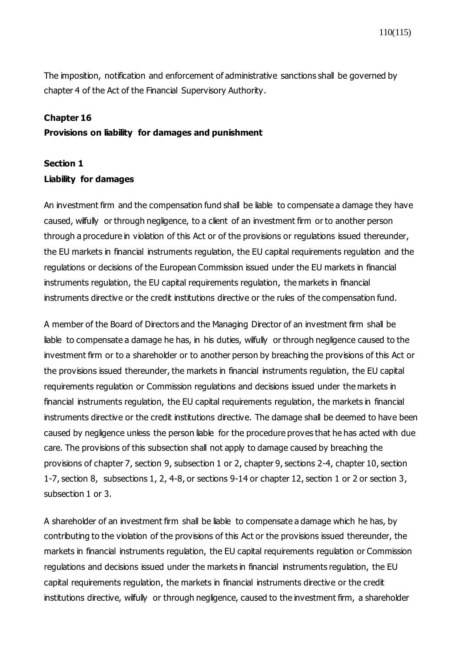The imposition, notification and enforcement of administrative sanctions shall be governed by chapter 4 of the Act of the Financial Supervisory Authority.

#### **Chapter 16**

#### **Provisions on liability for damages and punishment**

### **Section 1**

#### **Liability for damages**

An investment firm and the compensation fund shall be liable to compensate a damage they have caused, wilfully or through negligence, to a client of an investment firm or to another person through a procedure in violation of this Act or of the provisions or regulations issued thereunder, the EU markets in financial instruments regulation, the EU capital requirements regulation and the regulations or decisions of the European Commission issued under the EU markets in financial instruments regulation, the EU capital requirements regulation, the markets in financial instruments directive or the credit institutions directive or the rules of the compensation fund.

A member of the Board of Directors and the Managing Director of an investment firm shall be liable to compensate a damage he has, in his duties, wilfully or through negligence caused to the investment firm or to a shareholder or to another person by breaching the provisions of this Act or the provisions issued thereunder, the markets in financial instruments regulation, the EU capital requirements regulation or Commission regulations and decisions issued under the markets in financial instruments regulation, the EU capital requirements regulation, the markets in financial instruments directive or the credit institutions directive. The damage shall be deemed to have been caused by negligence unless the person liable for the procedure proves that he has acted with due care. The provisions of this subsection shall not apply to damage caused by breaching the provisions of chapter 7, section 9, subsection 1 or 2, chapter 9, sections 2-4, chapter 10, section 1-7, section 8, subsections 1, 2, 4-8, or sections 9-14 or chapter 12, section 1 or 2 or section 3, subsection 1 or 3.

A shareholder of an investment firm shall be liable to compensate a damage which he has, by contributing to the violation of the provisions of this Act or the provisions issued thereunder, the markets in financial instruments regulation, the EU capital requirements regulation or Commission regulations and decisions issued under the markets in financial instruments regulation, the EU capital requirements regulation, the markets in financial instruments directive or the credit institutions directive, wilfully or through negligence, caused to the investment firm, a shareholder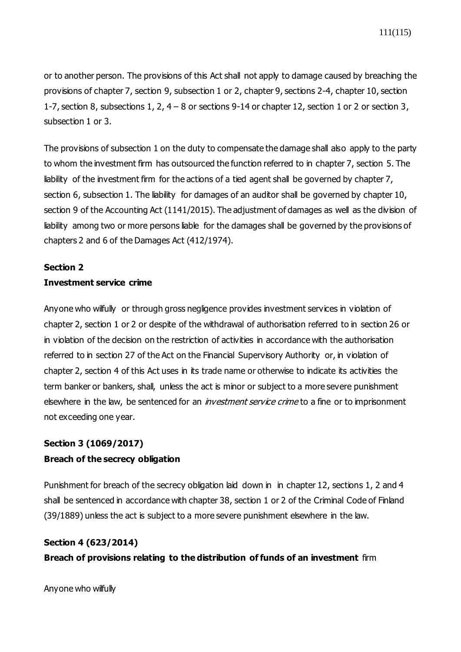or to another person. The provisions of this Act shall not apply to damage caused by breaching the provisions of chapter 7, section 9, subsection 1 or 2, chapter 9, sections 2-4, chapter 10, section 1-7, section 8, subsections 1, 2, 4 – 8 or sections 9-14 or chapter 12, section 1 or 2 or section 3, subsection 1 or 3.

The provisions of subsection 1 on the duty to compensate the damage shall also apply to the party to whom the investment firm has outsourced the function referred to in chapter 7, section 5. The liability of the investment firm for the actions of a tied agent shall be governed by chapter 7, section 6, subsection 1. The liability for damages of an auditor shall be governed by chapter 10, section 9 of the Accounting Act (1141/2015). The adjustment of damages as well as the division of liability among two or more persons liable for the damages shall be governed by the provisions of chapters 2 and 6 of the Damages Act (412/1974).

### **Section 2**

### **Investment service crime**

Anyone who wilfully or through gross negligence provides investment services in violation of chapter 2, section 1 or 2 or despite of the withdrawal of authorisation referred to in section 26 or in violation of the decision on the restriction of activities in accordance with the authorisation referred to in section 27 of the Act on the Financial Supervisory Authority or, in violation of chapter 2, section 4 of this Act uses in its trade name or otherwise to indicate its activities the term banker or bankers, shall, unless the act is minor or subject to a more severe punishment elsewhere in the law, be sentenced for an *investment service crime* to a fine or to imprisonment not exceeding one year.

# **Section 3 (1069/2017) Breach of the secrecy obligation**

Punishment for breach of the secrecy obligation laid down in in chapter 12, sections 1, 2 and 4 shall be sentenced in accordance with chapter 38, section 1 or 2 of the Criminal Code of Finland (39/1889) unless the act is subject to a more severe punishment elsewhere in the law.

## **Section 4 (623/2014)**

**Breach of provisions relating to the distribution of funds of an investment** firm

Anyone who wilfully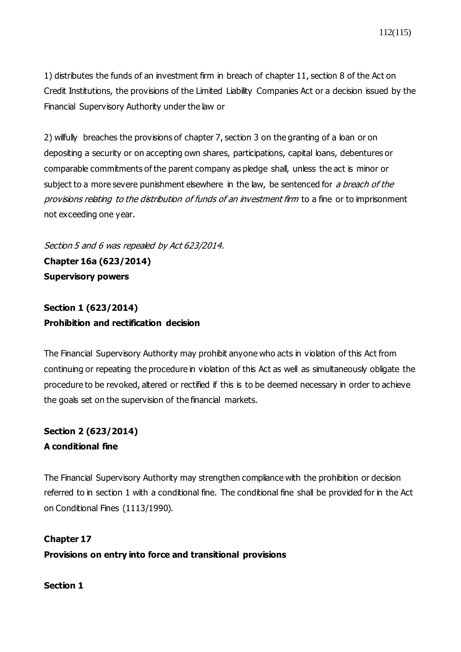1) distributes the funds of an investment firm in breach of chapter 11, section 8 of the Act on Credit Institutions, the provisions of the Limited Liability Companies Act or a decision issued by the Financial Supervisory Authority under the law or

2) wilfully breaches the provisions of chapter 7, section 3 on the granting of a loan or on depositing a security or on accepting own shares, participations, capital loans, debentures or comparable commitments of the parent company as pledge shall, unless the act is minor or subject to a more severe punishment elsewhere in the law, be sentenced for a breach of the provisions relating to the distribution of funds of an investment firm to a fine or to imprisonment not exceeding one year.

Section 5 and 6 was repealed by Act 623/2014. **Chapter 16a (623/2014) Supervisory powers**

**Section 1 (623/2014) Prohibition and rectification decision**

The Financial Supervisory Authority may prohibit anyone who acts in violation of this Act from continuing or repeating the procedure in violation of this Act as well as simultaneously obligate the procedure to be revoked, altered or rectified if this is to be deemed necessary in order to achieve the goals set on the supervision of the financial markets.

# **Section 2 (623/2014) A conditional fine**

The Financial Supervisory Authority may strengthen compliance with the prohibition or decision referred to in section 1 with a conditional fine. The conditional fine shall be provided for in the Act on Conditional Fines (1113/1990).

**Chapter 17 Provisions on entry into force and transitional provisions**

**Section 1**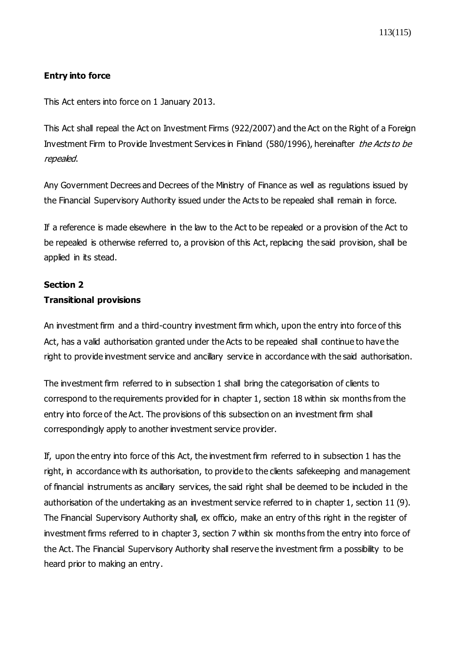## **Entry into force**

This Act enters into force on 1 January 2013.

This Act shall repeal the Act on Investment Firms (922/2007) and the Act on the Right of a Foreign Investment Firm to Provide Investment Services in Finland (580/1996), hereinafter the Acts to be repealed.

Any Government Decrees and Decrees of the Ministry of Finance as well as regulations issued by the Financial Supervisory Authority issued under the Acts to be repealed shall remain in force.

If a reference is made elsewhere in the law to the Act to be repealed or a provision of the Act to be repealed is otherwise referred to, a provision of this Act, replacing the said provision, shall be applied in its stead.

### **Section 2**

### **Transitional provisions**

An investment firm and a third-country investment firm which, upon the entry into force of this Act, has a valid authorisation granted under the Acts to be repealed shall continue to have the right to provide investment service and ancillary service in accordance with the said authorisation.

The investment firm referred to in subsection 1 shall bring the categorisation of clients to correspond to the requirements provided for in chapter 1, section 18 within six months from the entry into force of the Act. The provisions of this subsection on an investment firm shall correspondingly apply to another investment service provider.

If, upon the entry into force of this Act, the investment firm referred to in subsection 1 has the right, in accordance with its authorisation, to provide to the clients safekeeping and management of financial instruments as ancillary services, the said right shall be deemed to be included in the authorisation of the undertaking as an investment service referred to in chapter 1, section 11 (9). The Financial Supervisory Authority shall, ex officio, make an entry of this right in the register of investment firms referred to in chapter 3, section 7 within six months from the entry into force of the Act. The Financial Supervisory Authority shall reserve the investment firm a possibility to be heard prior to making an entry.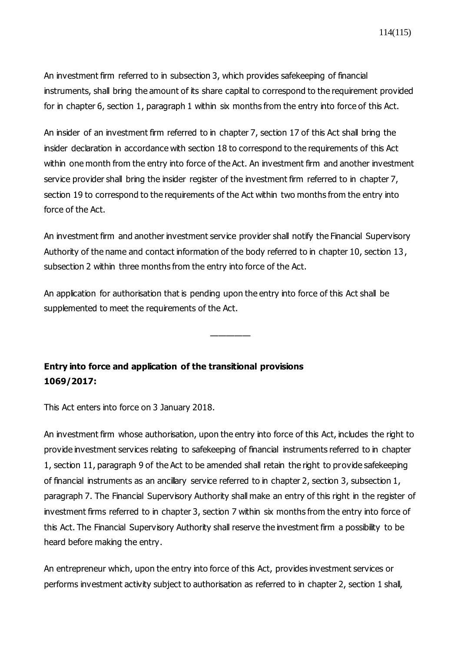An investment firm referred to in subsection 3, which provides safekeeping of financial instruments, shall bring the amount of its share capital to correspond to the requirement provided for in chapter 6, section 1, paragraph 1 within six months from the entry into force of this Act.

An insider of an investment firm referred to in chapter 7, section 17 of this Act shall bring the insider declaration in accordance with section 18 to correspond to the requirements of this Act within one month from the entry into force of the Act. An investment firm and another investment service provider shall bring the insider register of the investment firm referred to in chapter 7, section 19 to correspond to the requirements of the Act within two months from the entry into force of the Act.

An investment firm and another investment service provider shall notify the Financial Supervisory Authority of the name and contact information of the body referred to in chapter 10, section 13, subsection 2 within three months from the entry into force of the Act.

—————

An application for authorisation that is pending upon the entry into force of this Act shall be supplemented to meet the requirements of the Act.

# **Entry into force and application of the transitional provisions 1069/2017:**

This Act enters into force on 3 January 2018.

An investment firm whose authorisation, upon the entry into force of this Act, includes the right to provide investment services relating to safekeeping of financial instruments referred to in chapter 1, section 11, paragraph 9 of the Act to be amended shall retain the right to provide safekeeping of financial instruments as an ancillary service referred to in chapter 2, section 3, subsection 1, paragraph 7. The Financial Supervisory Authority shall make an entry of this right in the register of investment firms referred to in chapter 3, section 7 within six months from the entry into force of this Act. The Financial Supervisory Authority shall reserve the investment firm a possibility to be heard before making the entry.

An entrepreneur which, upon the entry into force of this Act, provides investment services or performs investment activity subject to authorisation as referred to in chapter 2, section 1 shall,